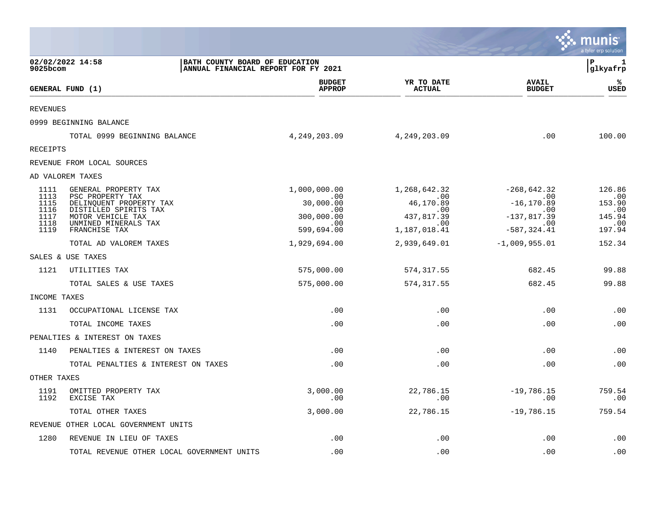|                              |                                                                                     |                                                                       |                                          |                                               | munis<br>a tyler erp solution  |
|------------------------------|-------------------------------------------------------------------------------------|-----------------------------------------------------------------------|------------------------------------------|-----------------------------------------------|--------------------------------|
| 9025bcom                     | 02/02/2022 14:58                                                                    | BATH COUNTY BOARD OF EDUCATION<br>ANNUAL FINANCIAL REPORT FOR FY 2021 |                                          |                                               | ΙP<br>1<br>glkyafrp            |
|                              | GENERAL FUND (1)                                                                    | <b>BUDGET</b><br><b>APPROP</b>                                        | YR TO DATE<br><b>ACTUAL</b>              | <b>AVAIL</b><br><b>BUDGET</b>                 | ℁<br>USED                      |
| <b>REVENUES</b>              |                                                                                     |                                                                       |                                          |                                               |                                |
|                              | 0999 BEGINNING BALANCE                                                              |                                                                       |                                          |                                               |                                |
|                              | TOTAL 0999 BEGINNING BALANCE                                                        | 4, 249, 203.09                                                        | 4,249,203.09                             | .00                                           | 100.00                         |
| <b>RECEIPTS</b>              |                                                                                     |                                                                       |                                          |                                               |                                |
|                              | REVENUE FROM LOCAL SOURCES                                                          |                                                                       |                                          |                                               |                                |
|                              | AD VALOREM TAXES                                                                    |                                                                       |                                          |                                               |                                |
| 1111<br>1113<br>1115         | GENERAL PROPERTY TAX<br>PSC PROPERTY TAX<br>DELINQUENT PROPERTY TAX                 | 1,000,000.00<br>.00<br>30,000.00                                      | 1,268,642.32<br>.00<br>46,170.89         | $-268,642.32$<br>.00<br>$-16, 170.89$         | 126.86<br>.00<br>153.90        |
| 1116<br>1117<br>1118<br>1119 | DISTILLED SPIRITS TAX<br>MOTOR VEHICLE TAX<br>UNMINED MINERALS TAX<br>FRANCHISE TAX | .00<br>300,000.00<br>.00<br>599,694.00                                | .00<br>437,817.39<br>.00<br>1,187,018.41 | .00<br>$-137,817.39$<br>.00<br>$-587, 324.41$ | .00<br>145.94<br>.00<br>197.94 |
|                              | TOTAL AD VALOREM TAXES                                                              | 1,929,694.00                                                          | 2,939,649.01                             | $-1,009,955.01$                               | 152.34                         |
|                              | SALES & USE TAXES                                                                   |                                                                       |                                          |                                               |                                |
| 1121                         | UTILITIES TAX                                                                       | 575,000.00                                                            | 574, 317.55                              | 682.45                                        | 99.88                          |
|                              | TOTAL SALES & USE TAXES                                                             | 575,000.00                                                            | 574, 317.55                              | 682.45                                        | 99.88                          |
| INCOME TAXES                 |                                                                                     |                                                                       |                                          |                                               |                                |
| 1131                         | OCCUPATIONAL LICENSE TAX                                                            | .00                                                                   | .00                                      | .00                                           | .00                            |
|                              | TOTAL INCOME TAXES                                                                  | .00                                                                   | .00                                      | .00                                           | .00                            |
|                              | PENALTIES & INTEREST ON TAXES                                                       |                                                                       |                                          |                                               |                                |
| 1140                         | PENALTIES & INTEREST ON TAXES                                                       | .00                                                                   | .00                                      | .00                                           | .00                            |
|                              | TOTAL PENALTIES & INTEREST ON TAXES                                                 | .00                                                                   | .00                                      | .00                                           | .00                            |
| OTHER TAXES                  |                                                                                     |                                                                       |                                          |                                               |                                |
| 1191<br>1192                 | OMITTED PROPERTY TAX<br>EXCISE TAX                                                  | 3,000.00<br>.00                                                       | 22,786.15<br>.00                         | $-19,786.15$<br>.00                           | 759.54<br>.00                  |
|                              | TOTAL OTHER TAXES                                                                   | 3,000.00                                                              | 22,786.15                                | $-19,786.15$                                  | 759.54                         |
|                              | REVENUE OTHER LOCAL GOVERNMENT UNITS                                                |                                                                       |                                          |                                               |                                |
| 1280                         | REVENUE IN LIEU OF TAXES                                                            | .00                                                                   | .00                                      | .00                                           | .00                            |
|                              | TOTAL REVENUE OTHER LOCAL GOVERNMENT UNITS                                          | .00                                                                   | .00                                      | .00                                           | .00                            |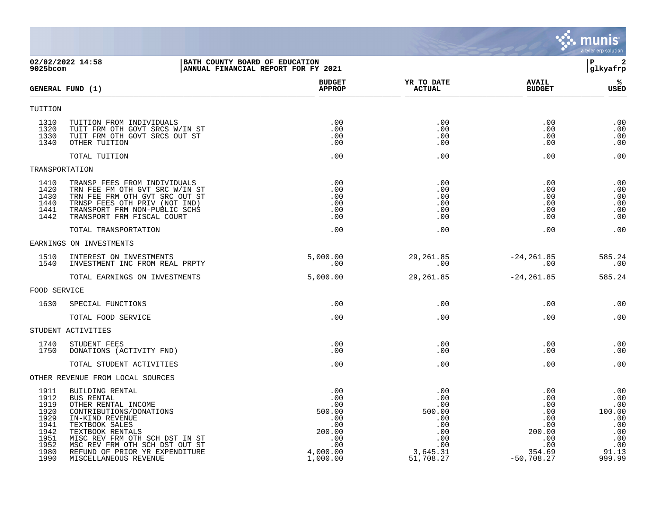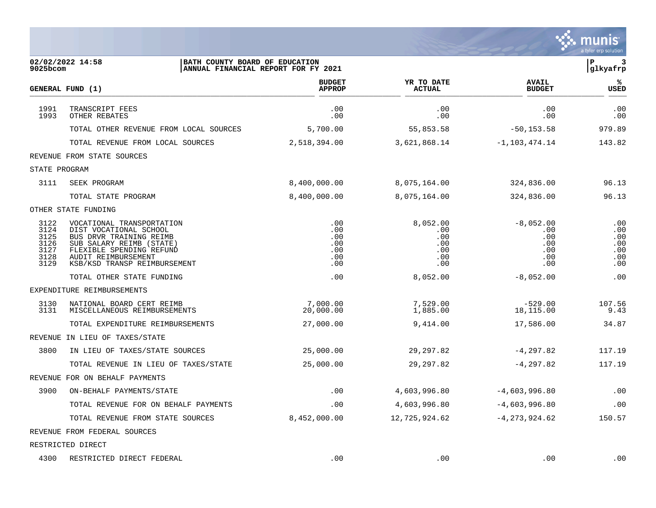|                                                      |                                                                                                                                                                                               |                                               |                                                    |                                                       | a tyler erp solution                          |
|------------------------------------------------------|-----------------------------------------------------------------------------------------------------------------------------------------------------------------------------------------------|-----------------------------------------------|----------------------------------------------------|-------------------------------------------------------|-----------------------------------------------|
| 9025bcom                                             | 02/02/2022 14:58<br>BATH COUNTY BOARD OF EDUCATION<br>ANNUAL FINANCIAL REPORT FOR FY 2021                                                                                                     |                                               |                                                    |                                                       | $\mathbf{P}$<br>3<br>glkyafrp                 |
|                                                      | GENERAL FUND (1)                                                                                                                                                                              | <b>BUDGET</b><br><b>APPROP</b>                | YR TO DATE<br><b>ACTUAL</b>                        | <b>AVAIL</b><br><b>BUDGET</b>                         | ℁<br>USED                                     |
| 1991<br>1993                                         | TRANSCRIPT FEES<br>OTHER REBATES                                                                                                                                                              | .00<br>.00                                    | .00<br>.00                                         | .00<br>.00                                            | .00<br>.00                                    |
|                                                      | TOTAL OTHER REVENUE FROM LOCAL SOURCES                                                                                                                                                        | 5,700.00                                      | 55,853.58                                          | $-50, 153.58$                                         | 979.89                                        |
|                                                      | TOTAL REVENUE FROM LOCAL SOURCES                                                                                                                                                              | 2,518,394.00                                  | 3,621,868.14                                       | $-1, 103, 474.14$                                     | 143.82                                        |
|                                                      | REVENUE FROM STATE SOURCES                                                                                                                                                                    |                                               |                                                    |                                                       |                                               |
| STATE PROGRAM                                        |                                                                                                                                                                                               |                                               |                                                    |                                                       |                                               |
| 3111                                                 | SEEK PROGRAM                                                                                                                                                                                  | 8,400,000.00                                  | 8,075,164.00                                       | 324,836.00                                            | 96.13                                         |
|                                                      | TOTAL STATE PROGRAM                                                                                                                                                                           | 8,400,000.00                                  | 8,075,164.00                                       | 324,836.00                                            | 96.13                                         |
|                                                      | OTHER STATE FUNDING                                                                                                                                                                           |                                               |                                                    |                                                       |                                               |
| 3122<br>3124<br>3125<br>3126<br>3127<br>3128<br>3129 | VOCATIONAL TRANSPORTATION<br>DIST VOCATIONAL SCHOOL<br>BUS DRVR TRAINING REIMB<br>SUB SALARY REIMB (STATE)<br>FLEXIBLE SPENDING REFUND<br>AUDIT REIMBURSEMENT<br>KSB/KSD TRANSP REIMBURSEMENT | .00<br>.00<br>.00<br>.00<br>.00<br>.00<br>.00 | 8,052.00<br>.00<br>.00<br>.00<br>.00<br>.00<br>.00 | $-8,052.00$<br>.00<br>.00<br>.00<br>.00<br>.00<br>.00 | .00<br>.00<br>.00<br>.00<br>.00<br>.00<br>.00 |
|                                                      | TOTAL OTHER STATE FUNDING                                                                                                                                                                     | .00                                           | 8,052.00                                           | $-8,052.00$                                           | .00                                           |
|                                                      | EXPENDITURE REIMBURSEMENTS                                                                                                                                                                    |                                               |                                                    |                                                       |                                               |
| 3130<br>3131                                         | NATIONAL BOARD CERT REIMB<br>MISCELLANEOUS REIMBURSEMENTS                                                                                                                                     | 7,000.00<br>20,000.00                         | 7,529.00<br>1,885.00                               | $-529.00$<br>18,115.00                                | 107.56<br>9.43                                |
|                                                      | TOTAL EXPENDITURE REIMBURSEMENTS                                                                                                                                                              | 27,000.00                                     | 9,414.00                                           | 17,586.00                                             | 34.87                                         |
| REVENUE                                              | IN LIEU OF TAXES/STATE                                                                                                                                                                        |                                               |                                                    |                                                       |                                               |
| 3800                                                 | IN LIEU OF TAXES/STATE SOURCES                                                                                                                                                                | 25,000.00                                     | 29,297.82                                          | $-4, 297.82$                                          | 117.19                                        |
|                                                      | TOTAL REVENUE IN LIEU OF TAXES/STATE                                                                                                                                                          | 25,000.00                                     | 29,297.82                                          | -4,297.82                                             | 117.19                                        |
|                                                      | REVENUE FOR ON BEHALF PAYMENTS                                                                                                                                                                |                                               |                                                    |                                                       |                                               |
| 3900                                                 | ON-BEHALF PAYMENTS/STATE                                                                                                                                                                      | .00                                           | 4,603,996.80                                       | $-4,603,996.80$                                       | .00                                           |
|                                                      | TOTAL REVENUE FOR ON BEHALF PAYMENTS                                                                                                                                                          | .00                                           | 4,603,996.80                                       | $-4,603,996.80$                                       | .00                                           |
|                                                      | TOTAL REVENUE FROM STATE SOURCES                                                                                                                                                              | 8,452,000.00                                  | 12,725,924.62                                      | $-4, 273, 924.62$                                     | 150.57                                        |
|                                                      | REVENUE FROM FEDERAL SOURCES                                                                                                                                                                  |                                               |                                                    |                                                       |                                               |
|                                                      | RESTRICTED DIRECT                                                                                                                                                                             |                                               |                                                    |                                                       |                                               |
|                                                      | 4300 RESTRICTED DIRECT FEDERAL                                                                                                                                                                | .00                                           | .00                                                | $.00 \,$                                              | .00                                           |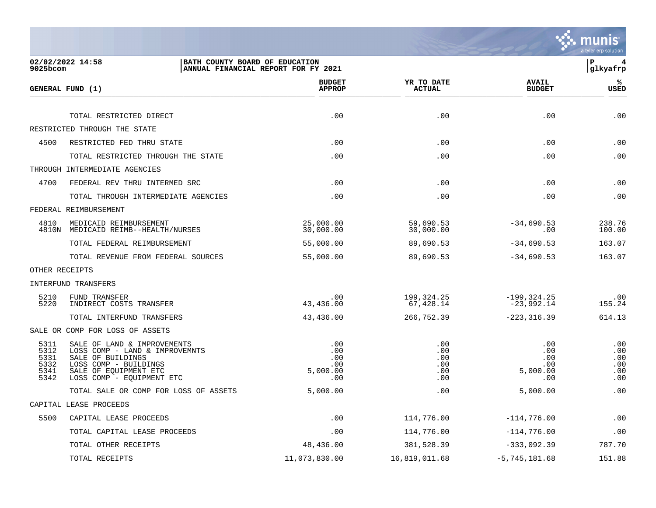

| $9025$ bcom                                  | 02/02/2022 14:58<br>BATH COUNTY BOARD OF EDUCATION                                                                                                                | ANNUAL FINANCIAL REPORT FOR FY 2021         |                                        |                                             | ΙP<br>4<br>glkyafrp                    |
|----------------------------------------------|-------------------------------------------------------------------------------------------------------------------------------------------------------------------|---------------------------------------------|----------------------------------------|---------------------------------------------|----------------------------------------|
|                                              | GENERAL FUND (1)                                                                                                                                                  | <b>BUDGET</b><br><b>APPROP</b>              | YR TO DATE<br><b>ACTUAL</b>            | <b>AVAIL</b><br><b>BUDGET</b>               | %ะ<br><b>USED</b>                      |
|                                              | TOTAL RESTRICTED DIRECT                                                                                                                                           | .00                                         | .00                                    | .00                                         | .00                                    |
|                                              | RESTRICTED THROUGH THE STATE                                                                                                                                      |                                             |                                        |                                             |                                        |
| 4500                                         | RESTRICTED FED THRU STATE                                                                                                                                         | .00                                         | .00                                    | .00                                         | .00                                    |
|                                              | TOTAL RESTRICTED THROUGH THE STATE                                                                                                                                | .00                                         | .00                                    | .00                                         | .00                                    |
|                                              | THROUGH INTERMEDIATE AGENCIES                                                                                                                                     |                                             |                                        |                                             |                                        |
| 4700                                         | FEDERAL REV THRU INTERMED SRC                                                                                                                                     | .00                                         | .00                                    | .00                                         | .00                                    |
|                                              | TOTAL THROUGH INTERMEDIATE AGENCIES                                                                                                                               | .00                                         | .00                                    | .00                                         | .00                                    |
|                                              | FEDERAL REIMBURSEMENT                                                                                                                                             |                                             |                                        |                                             |                                        |
| 4810                                         | MEDICAID REIMBURSEMENT<br>4810N MEDICAID REIMB--HEALTH/NURSES                                                                                                     | 25,000.00<br>30,000.00                      | 59,690.53<br>30,000.00                 | $-34,690.53$<br>.00                         | 238.76<br>100.00                       |
|                                              | TOTAL FEDERAL REIMBURSEMENT                                                                                                                                       | 55,000.00                                   | 89,690.53                              | $-34,690.53$                                | 163.07                                 |
|                                              | TOTAL REVENUE FROM FEDERAL SOURCES                                                                                                                                | 55,000.00                                   | 89,690.53                              | $-34,690.53$                                | 163.07                                 |
|                                              | OTHER RECEIPTS                                                                                                                                                    |                                             |                                        |                                             |                                        |
|                                              | INTERFUND TRANSFERS                                                                                                                                               |                                             |                                        |                                             |                                        |
| 5210<br>5220                                 | FUND TRANSFER<br>INDIRECT COSTS TRANSFER                                                                                                                          | .00<br>43,436.00                            | 199,324.25<br>67,428.14                | $-199, 324.25$<br>$-23,992.14$              | .00<br>155.24                          |
|                                              | TOTAL INTERFUND TRANSFERS                                                                                                                                         | 43,436.00                                   | 266,752.39                             | $-223, 316.39$                              | 614.13                                 |
|                                              | SALE OR COMP FOR LOSS OF ASSETS                                                                                                                                   |                                             |                                        |                                             |                                        |
| 5311<br>5312<br>5331<br>5332<br>5341<br>5342 | SALE OF LAND & IMPROVEMENTS<br>LOSS COMP - LAND & IMPROVEMNTS<br>SALE OF BUILDINGS<br>LOSS COMP - BUILDINGS<br>SALE OF EOUIPMENT ETC<br>LOSS COMP - EQUIPMENT ETC | .00<br>.00<br>.00<br>.00<br>5,000.00<br>.00 | .00<br>.00<br>.00<br>.00<br>.00<br>.00 | .00<br>.00<br>.00<br>.00<br>5,000.00<br>.00 | .00<br>.00<br>.00<br>.00<br>.00<br>.00 |
|                                              | TOTAL SALE OR COMP FOR LOSS OF ASSETS                                                                                                                             | 5,000.00                                    | .00                                    | 5,000.00                                    | .00                                    |
|                                              | CAPITAL LEASE PROCEEDS                                                                                                                                            |                                             |                                        |                                             |                                        |
| 5500                                         | CAPITAL LEASE PROCEEDS                                                                                                                                            | .00                                         | 114,776.00                             | $-114,776.00$                               | .00                                    |
|                                              | TOTAL CAPITAL LEASE PROCEEDS                                                                                                                                      | .00                                         | 114,776.00                             | $-114,776.00$                               | .00                                    |
|                                              | TOTAL OTHER RECEIPTS                                                                                                                                              | 48,436.00                                   | 381,528.39                             | $-333,092.39$                               | 787.70                                 |
|                                              | TOTAL RECEIPTS                                                                                                                                                    | 11,073,830.00                               | 16,819,011.68                          | $-5,745,181.68$                             | 151.88                                 |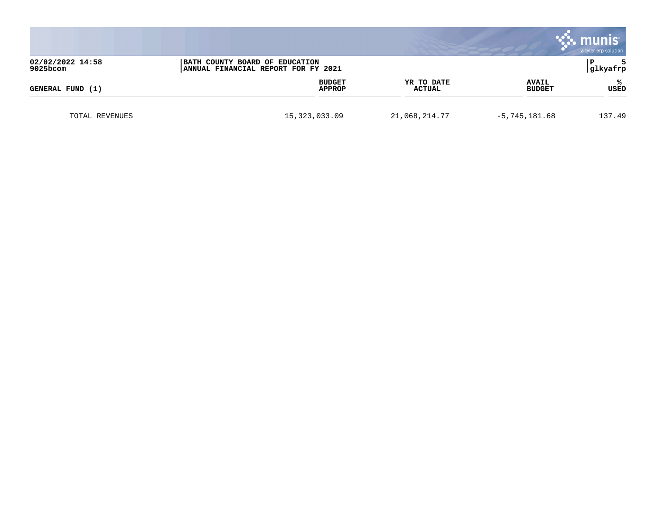|                              |                         |                             |                               | munis<br>a tyler erp solution |
|------------------------------|-------------------------|-----------------------------|-------------------------------|-------------------------------|
| 02/02/2022 14:58<br>9025bcom |                         | glkyafrp                    |                               |                               |
| GENERAL FUND (1)             | <b>BUDGET</b><br>APPROP | YR TO DATE<br><b>ACTUAL</b> | <b>AVAIL</b><br><b>BUDGET</b> | ℁<br><b>USED</b>              |
| TOTAL REVENUES               | 15, 323, 033.09         | 21,068,214.77               | $-5,745,181.68$               | 137.49                        |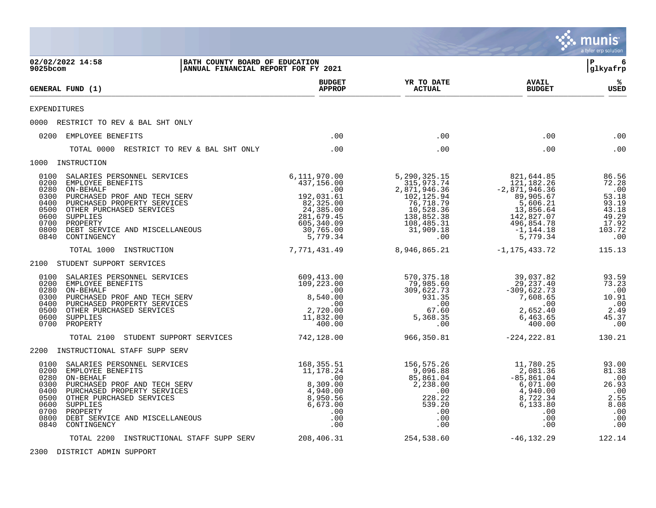|                                                                                                                                                                                                                                                                                                                   |                                                                                                                                |                                                                                                                                       |                                                                                                                                           | munis<br>a tyler erp solution                                                           |
|-------------------------------------------------------------------------------------------------------------------------------------------------------------------------------------------------------------------------------------------------------------------------------------------------------------------|--------------------------------------------------------------------------------------------------------------------------------|---------------------------------------------------------------------------------------------------------------------------------------|-------------------------------------------------------------------------------------------------------------------------------------------|-----------------------------------------------------------------------------------------|
| 02/02/2022 14:58<br>9025bcom                                                                                                                                                                                                                                                                                      | BATH COUNTY BOARD OF EDUCATION<br>ANNUAL FINANCIAL REPORT FOR FY 2021                                                          |                                                                                                                                       |                                                                                                                                           | 6<br>l P<br> glkyafrp                                                                   |
| GENERAL FUND (1)                                                                                                                                                                                                                                                                                                  | <b>BUDGET</b><br><b>APPROP</b>                                                                                                 | YR TO DATE<br><b>ACTUAL</b>                                                                                                           | <b>AVAIL</b><br><b>BUDGET</b>                                                                                                             | ℁<br>USED                                                                               |
| <b>EXPENDITURES</b>                                                                                                                                                                                                                                                                                               |                                                                                                                                |                                                                                                                                       |                                                                                                                                           |                                                                                         |
| 0000 RESTRICT TO REV & BAL SHT ONLY                                                                                                                                                                                                                                                                               |                                                                                                                                |                                                                                                                                       |                                                                                                                                           |                                                                                         |
| 0200 EMPLOYEE BENEFITS                                                                                                                                                                                                                                                                                            | .00                                                                                                                            | .00                                                                                                                                   | .00                                                                                                                                       | .00                                                                                     |
| TOTAL 0000 RESTRICT TO REV & BAL SHT ONLY                                                                                                                                                                                                                                                                         | .00                                                                                                                            | .00                                                                                                                                   | .00                                                                                                                                       | .00                                                                                     |
| 1000 INSTRUCTION                                                                                                                                                                                                                                                                                                  |                                                                                                                                |                                                                                                                                       |                                                                                                                                           |                                                                                         |
| 0100<br>SALARIES PERSONNEL SERVICES<br>0200<br>EMPLOYEE BENEFITS<br>0280<br>ON-BEHALF<br>0300<br>PURCHASED PROF AND TECH SERV<br>0400<br>PURCHASED PROPERTY SERVICES<br>0500<br>OTHER PURCHASED SERVICES<br>0600<br>SUPPLIES<br>0700<br>PROPERTY<br>0800<br>DEBT SERVICE AND MISCELLANEOUS<br>0840<br>CONTINGENCY | 6,111,970.00<br>437,156.00<br>.00<br>192,031.61<br>82,325.00<br>24,385.00<br>281,679.45<br>605,340.09<br>30,765.00<br>5,779.34 | 5, 290, 325. 15<br>315,973.74<br>2,871,946.36<br>102,125.94<br>76,718.79<br>10,528.36<br>138,852.38<br>108,485.31<br>31,909.18<br>.00 | 821,644.85<br>121,182.26<br>$-2,871,946.36$<br>89,905.67<br>5,606.21<br>13,856.64<br>142,827.07<br>496,854.78<br>$-1, 144.18$<br>5,779.34 | 86.56<br>72.28<br>.00<br>53.18<br>93.19<br>$43.18$<br>$49.29$<br>17.92<br>103.72<br>.00 |
| TOTAL 1000<br>INSTRUCTION                                                                                                                                                                                                                                                                                         | 7,771,431.49                                                                                                                   | 8,946,865.21                                                                                                                          | -1,175,433.72                                                                                                                             | 115.13                                                                                  |
| 2100 STUDENT SUPPORT SERVICES                                                                                                                                                                                                                                                                                     |                                                                                                                                |                                                                                                                                       |                                                                                                                                           |                                                                                         |
| 0100<br>SALARIES PERSONNEL SERVICES<br>0200<br>EMPLOYEE BENEFITS<br>0280<br>ON-BEHALF<br>0300<br>PURCHASED PROF AND TECH SERV<br>0400<br>PURCHASED PROPERTY SERVICES<br>0500<br>OTHER PURCHASED SERVICES<br>0600<br>SUPPLIES<br>0700<br>PROPERTY                                                                  | 609,413.00<br>109,223.00<br>.00<br>8,540.00<br>.00<br>2,720.00<br>11,832.00<br>400.00                                          | 570,375.18<br>79,985.60<br>309,622.73<br>931.35<br>.00<br>67.60<br>5,368.35<br>.00                                                    | 39,037.82<br>29, 237. 40<br>$-309,622.73$<br>7,608.65<br>.00<br>2,652.40<br>6,463.65<br>400.00                                            | 93.59<br>73.23<br>.00<br>10.91<br>.00<br>2.49<br>45.37<br>.00                           |
| STUDENT SUPPORT SERVICES<br>TOTAL 2100                                                                                                                                                                                                                                                                            | 742,128.00                                                                                                                     | 966,350.81                                                                                                                            | $-224, 222.81$                                                                                                                            | 130.21                                                                                  |
| 2200 INSTRUCTIONAL STAFF SUPP SERV                                                                                                                                                                                                                                                                                |                                                                                                                                |                                                                                                                                       |                                                                                                                                           |                                                                                         |
| 0100<br>SALARIES PERSONNEL SERVICES<br>0200<br>EMPLOYEE BENEFITS<br>0280<br>ON-BEHALF<br>0300<br>PURCHASED PROF AND TECH SERV<br>0400<br>PURCHASED PROPERTY SERVICES<br>0500<br>OTHER PURCHASED SERVICES<br>0600<br>SUPPLIES<br>0700<br>PROPERTY<br>0800<br>DEBT SERVICE AND MISCELLANEOUS<br>0840<br>CONTINGENCY | 168,355.51<br>11,178.24<br>.00<br>8,309.00<br>4,940.00<br>8,950.56<br>6,673.00<br>$.00 \,$<br>.00<br>.00                       | 156,575.26<br>9,096.88<br>85,861.04<br>2,238.00<br>.00<br>228.22<br>539.20<br>.00<br>.00<br>.00                                       | 11,780.25<br>2,081.36<br>$-85, 861.04$<br>6,071.00<br>4,940.00<br>8,722.34<br>6,133.80<br>.00<br>.00<br>.00                               | 93.00<br>81.38<br>.00<br>26.93<br>.00<br>2.55<br>8.08<br>.00<br>.00<br>.00              |
| TOTAL 2200 INSTRUCTIONAL STAFF SUPP SERV                                                                                                                                                                                                                                                                          | 208,406.31                                                                                                                     | 254,538.60                                                                                                                            | $-46, 132.29$                                                                                                                             | 122.14                                                                                  |

2300 DISTRICT ADMIN SUPPORT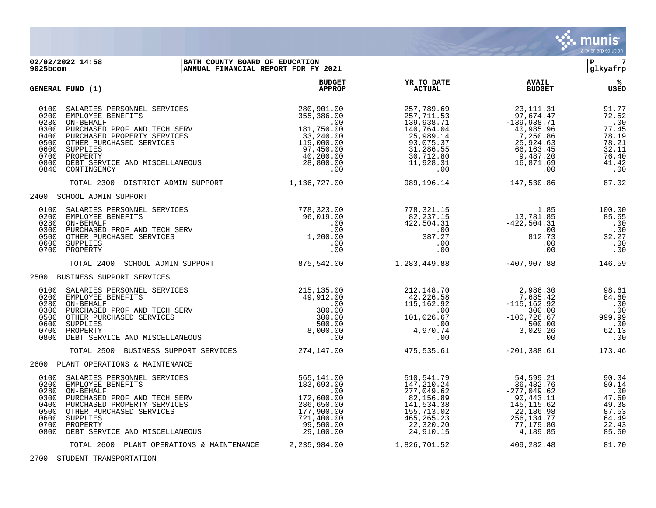

#### **02/02/2022 14:58 |BATH COUNTY BOARD OF EDUCATION |P 7 9025bcom |ANNUAL FINANCIAL REPORT FOR FY 2021 |glkyafrp**

|                                                                      | GENERAL FUND (1)                                                                                                                                                                                                                       | <b>BUDGET</b><br><b>APPROP</b>                                                                                              | YR TO DATE<br><b>ACTUAL</b>                                                                                                       | <b>AVAIL</b><br><b>BUDGET</b>                                                                                                     | ℁<br><b>USED</b>                                                                   |
|----------------------------------------------------------------------|----------------------------------------------------------------------------------------------------------------------------------------------------------------------------------------------------------------------------------------|-----------------------------------------------------------------------------------------------------------------------------|-----------------------------------------------------------------------------------------------------------------------------------|-----------------------------------------------------------------------------------------------------------------------------------|------------------------------------------------------------------------------------|
| 0100<br>0200<br>0280<br>0300<br>0400<br>0500<br>0600<br>0800<br>0840 | SALARIES PERSONNEL SERVICES<br>EMPLOYEE BENEFITS<br>ON-BEHALF<br>PURCHASED PROF AND TECH SERV<br>PURCHASED PROPERTY SERVICES<br>OTHER PURCHASED SERVICES<br>SUPPLIES<br>0700 PROPERTY<br>DEBT SERVICE AND MISCELLANEOUS<br>CONTINGENCY | 280,901.00<br>355,386.00<br>.00<br>181,750.00<br>33,240.00<br>119,000.00<br>97,450.00<br>40,200.00<br>28,800.00<br>$.00 \,$ | 257,789.69<br>257,711.53<br>139,938.71<br>140,764.04<br>25,989.14<br>93,075.37<br>31,286.55<br>30,712.80<br>11,928.31<br>$.00 \,$ | 23, 111. 31<br>97,674.47<br>$-139,938.71$<br>40,985.96<br>7,250.86<br>25,924.63<br>66,163.45<br>9,487.20<br>16,871.69<br>$.00 \,$ | 91.77<br>72.52<br>.00<br>77.45<br>78.19<br>78.21<br>32.11<br>76.40<br>41.42<br>.00 |
|                                                                      | TOTAL 2300 DISTRICT ADMIN SUPPORT                                                                                                                                                                                                      | 1,136,727.00                                                                                                                | 989,196.14                                                                                                                        | 147,530.86                                                                                                                        | 87.02                                                                              |
|                                                                      | 2400 SCHOOL ADMIN SUPPORT                                                                                                                                                                                                              |                                                                                                                             |                                                                                                                                   |                                                                                                                                   |                                                                                    |
| 0100<br>0200<br>0300<br>0500<br>0600                                 | SALARIES PERSONNEL SERVICES<br>EMPLOYEE BENEFITS<br>0280 ON-BEHALF<br>PURCHASED PROF AND TECH SERV<br>OTHER PURCHASED SERVICES<br>SUPPLIES<br>0700 PROPERTY                                                                            | 778,323.00<br>96,019.00<br>.00<br>.00<br>1,200.00<br>$.00 \ \rm$<br>.00                                                     | 778,321.15<br>82,237.15<br>422,504.31<br>507.00<br>387.27<br>.00<br>.00                                                           | $1.85$<br>13,781.85<br>$-422,504.31$<br>00.00<br>812.73<br>.00<br>.00                                                             | 100.00<br>85.65<br>.00<br>.00<br>32.27<br>.00<br>.00                               |
|                                                                      | TOTAL 2400<br>SCHOOL ADMIN SUPPORT                                                                                                                                                                                                     | 875,542.00                                                                                                                  | 1,283,449.88                                                                                                                      | $-407,907.88$                                                                                                                     | 146.59                                                                             |
|                                                                      | 2500 BUSINESS SUPPORT SERVICES                                                                                                                                                                                                         |                                                                                                                             |                                                                                                                                   |                                                                                                                                   |                                                                                    |
| 0100<br>0200<br>0280<br>0300<br>0500<br>0600<br>0800                 | SALARIES PERSONNEL SERVICES<br>EMPLOYEE BENEFITS<br>ON-BEHALF<br>PURCHASED PROF AND TECH SERV<br>OTHER PURCHASED SERVICES<br>SUPPLIES<br>0700 PROPERTY<br>DEBT SERVICE AND MISCELLANEOUS                                               | 215,135.00<br>49,912.00<br>.00<br>300.00<br>300.00<br>500.00<br>8,000.00<br>.00                                             | 212,148.70<br>42,226.58<br>115,162.92<br>$\sim 00$<br>101,026.67<br>4.970<br>.00                                                  | 2,986.30<br>7,685.42<br>$-115, 162.92$<br>300.00<br>$-100, 726.67$<br>500.00<br>3,029.26<br>.00                                   | 98.61<br>84.60<br>.00<br>.00<br>999.99<br>$\ldots$ 00<br>62.13<br>.00              |
|                                                                      | TOTAL 2500 BUSINESS SUPPORT SERVICES                                                                                                                                                                                                   | 274,147.00                                                                                                                  | 475,535.61                                                                                                                        | $-201, 388.61$                                                                                                                    | 173.46                                                                             |
|                                                                      | 2600 PLANT OPERATIONS & MAINTENANCE                                                                                                                                                                                                    |                                                                                                                             |                                                                                                                                   |                                                                                                                                   |                                                                                    |
| 0100<br>0200<br>0280<br>0300<br>0400<br>0500<br>0600<br>0700<br>0800 | SALARIES PERSONNEL SERVICES<br>EMPLOYEE BENEFITS<br>ON-BEHALF<br>PURCHASED PROF AND TECH SERV<br>PURCHASED PROPERTY SERVICES<br>OTHER PURCHASED SERVICES<br>SUPPLIES<br>PROPERTY<br>DEBT SERVICE AND MISCELLANEOUS                     | 565,141.00<br>183,693.00<br>.00<br>172,600.00<br>286,650.00<br>177,900.00<br>721,400.00<br>99,500.00<br>29,100.00           | 510,541.79<br>147,210.24<br>277,049.62<br>82,156.89<br>141,534.38<br>155,713.02<br>465, 265. 23<br>22,320.20<br>24,910.15         | 54,599.21<br>36,482.76<br>$-277,049.62$<br>90,443.11<br>145, 115.62<br>22,186.98<br>256, 134. 77<br>77,179.80<br>4,189.85         | 90.34<br>80.14<br>.00<br>47.60<br>49.38<br>87.53<br>64.49<br>22.43<br>85.60        |
|                                                                      | TOTAL 2600 PLANT OPERATIONS & MAINTENANCE                                                                                                                                                                                              | 2,235,984.00                                                                                                                | 1,826,701.52                                                                                                                      | 409,282.48                                                                                                                        | 81.70                                                                              |

2700 STUDENT TRANSPORTATION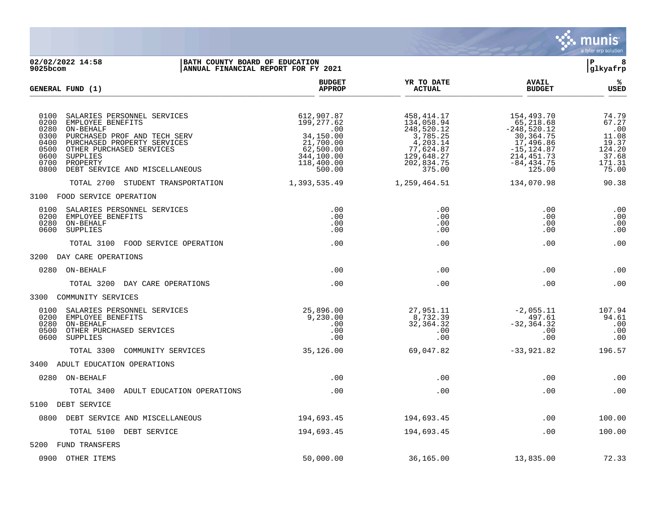

**02/02/2022 14:58 |BATH COUNTY BOARD OF EDUCATION |P 8 ANNUAL FINANCIAL REPORT FOR FY 2021 BUDGET YR TO DATE AVAIL % GENERAL FUND (1) APPROP ACTUAL BUDGET USED**  $\frac{A_{\text{H}^{\text{F}}\text{N}}}{A_{\text{H}}\text{N}}$   $\frac{A_{\text{H}}\text{N}}{A_{\text{H}}\text{N}}$   $\frac{A_{\text{H}}\text{N}}{A_{\text{H}}\text{N}}$   $\frac{A_{\text{H}}\text{N}}{A_{\text{H}}\text{N}}$   $\frac{B_{\text{H}}\text{N}}{B_{\text{H}}\text{N}}$  0100 SALARIES PERSONNEL SERVICES 612,907.87 458,414.17 154,493.70 74.79 0200 EMPLOYEE BENEFITS 199,277.62 134,058.94 65,218.68 67.27 0280 ON-BEHALF .00 248,520.12 -248,520.12 .00 0300 PURCHASED PROF AND TECH SERV 34,150.00 34,150.00 37,785.25 30,364.75 30,364.75 11.08<br>0400 PURCHASED PROPERTY SERVICES 30,3785.25 30,364.75 11.08 0400 PURCHASED PROPERTY SERVICES <br>0500 OTHER PURCHASED SERVICES 62,500.00 0 77,624.87 -15,124.87 124.20 0500 OTHER PURCHASED SERVICES 62,500.00 62,500.00 77,624.87 -15,124.87 124.20<br>0600 SUPPLIES 37.68 344,100.00 129,648.27 214,451.73 37.68 0600 SUPPLIES 344,100.00 129,648.27 214,451.73 37.68 0700 PROPERTY 118,400.00 202,834.75 -84,434.75 171.31 0800 DEBT SERVICE AND MISCELLANEOUS 500.00 375.00 125.00 75.00 TOTAL 2700 STUDENT TRANSPORTATION 1,393,535.49 1,259,464.51 134,070.98 90.38 3100 FOOD SERVICE OPERATION 0100 SALARIES PERSONNEL SERVICES .00 .00 .00 .00 0200 EMPLOYEE BENEFITS .00 .00 .00 .00 0280 ON-BEHALF .00 .00 .00 .00 0600 SUPPLIES .00 .00 .00 .00 TOTAL 3100 FOOD SERVICE OPERATION .00 .00 .00 .00 3200 DAY CARE OPERATIONS 0280 ON-BEHALF .00 .00 .00 .00 TOTAL 3200 DAY CARE OPERATIONS .00 .00 .00 .00 3300 COMMUNITY SERVICES 0100 SALARIES PERSONNEL SERVICES 25,896.00 27,951.11 -2,055.11 107.94 0200 EMPLOYEE BENEFITS 9,230.00 8,732.39 497.61 94.61 0280 ON-BEHALF .00 32,364.32 -32,364.32 .00 0500 OTHER PURCHASED SERVICES .00 .00 .00 .00 0600 SUPPLIES .00 .00 .00 .00 TOTAL 3300 COMMUNITY SERVICES 35,126.00 69,047.82 -33,921.82 196.57 3400 ADULT EDUCATION OPERATIONS 0280 ON-BEHALF .00 .00 .00 .00 TOTAL 3400 ADULT EDUCATION OPERATIONS .00 .00 .00 .00 5100 DEBT SERVICE 0800 DEBT SERVICE AND MISCELLANEOUS 194,693.45 194,693.45 .00 100.00 TOTAL 5100 DEBT SERVICE  $194,693.45$   $194,693.45$   $194,693.45$   $100.00$ 5200 FUND TRANSFERS 0900 OTHER ITEMS 50,000.00 36,165.00 13,835.00 72.33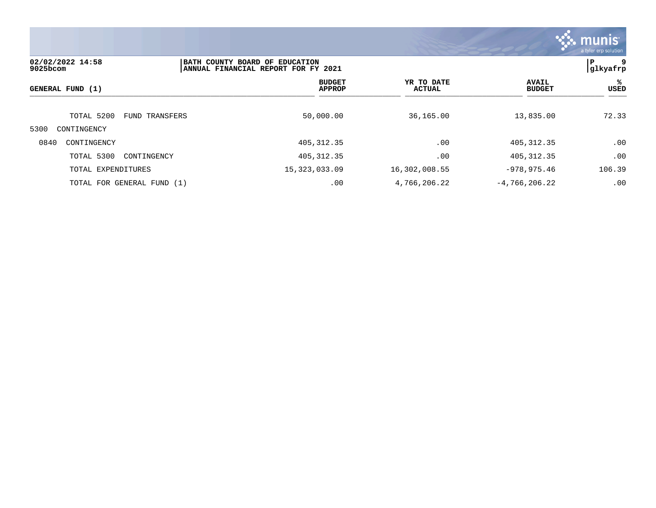

| 02/02/2022 14:58<br>$9025$ bcom |                | BATH COUNTY BOARD OF EDUCATION<br>ANNUAL FINANCIAL REPORT FOR FY 2021 |     |                             |                 |                               | 9<br>P<br> glkyafrp |
|---------------------------------|----------------|-----------------------------------------------------------------------|-----|-----------------------------|-----------------|-------------------------------|---------------------|
| GENERAL FUND (1)                |                | <b>BUDGET</b><br><b>APPROP</b>                                        |     | YR TO DATE<br><b>ACTUAL</b> |                 | <b>AVAIL</b><br><b>BUDGET</b> | %ะ<br>USED          |
| TOTAL 5200                      | FUND TRANSFERS | 50,000.00                                                             |     | 36,165.00                   |                 | 13,835.00                     | 72.33               |
| 5300<br>CONTINGENCY             |                |                                                                       |     |                             |                 |                               |                     |
| 0840<br>CONTINGENCY             |                | 405, 312.35                                                           |     | .00                         |                 | 405, 312.35                   | .00                 |
| TOTAL 5300<br>CONTINGENCY       |                | 405, 312.35                                                           |     | .00                         |                 | 405, 312.35                   | .00                 |
| TOTAL EXPENDITURES              |                | 15, 323, 033.09                                                       |     | 16,302,008.55               | $-978, 975.46$  |                               | 106.39              |
| TOTAL FOR GENERAL FUND (1)      |                |                                                                       | .00 | 4,766,206.22                | $-4,766,206.22$ |                               | .00                 |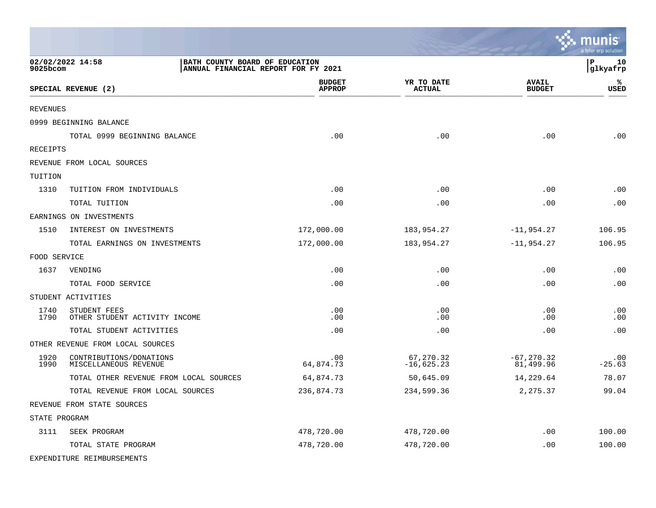|               |                                                                                           |                                |                             |                               | a tyler erp solution |
|---------------|-------------------------------------------------------------------------------------------|--------------------------------|-----------------------------|-------------------------------|----------------------|
| 9025bcom      | 02/02/2022 14:58<br>BATH COUNTY BOARD OF EDUCATION<br>ANNUAL FINANCIAL REPORT FOR FY 2021 |                                |                             |                               | P<br>10<br>glkyafrp  |
|               | SPECIAL REVENUE (2)                                                                       | <b>BUDGET</b><br><b>APPROP</b> | YR TO DATE<br><b>ACTUAL</b> | <b>AVAIL</b><br><b>BUDGET</b> | ℁<br>USED            |
| REVENUES      |                                                                                           |                                |                             |                               |                      |
|               | 0999 BEGINNING BALANCE                                                                    |                                |                             |                               |                      |
|               | TOTAL 0999 BEGINNING BALANCE                                                              | .00                            | .00                         | .00                           | .00                  |
| RECEIPTS      |                                                                                           |                                |                             |                               |                      |
|               | REVENUE FROM LOCAL SOURCES                                                                |                                |                             |                               |                      |
| TUITION       |                                                                                           |                                |                             |                               |                      |
| 1310          | TUITION FROM INDIVIDUALS                                                                  | .00                            | .00                         | .00                           | .00                  |
|               | TOTAL TUITION                                                                             | .00                            | .00                         | .00                           | .00                  |
|               | EARNINGS ON INVESTMENTS                                                                   |                                |                             |                               |                      |
| 1510          | INTEREST ON INVESTMENTS                                                                   | 172,000.00                     | 183,954.27                  | $-11,954.27$                  | 106.95               |
|               | TOTAL EARNINGS ON INVESTMENTS                                                             | 172,000.00                     | 183,954.27                  | $-11,954.27$                  | 106.95               |
| FOOD SERVICE  |                                                                                           |                                |                             |                               |                      |
| 1637          | VENDING                                                                                   | .00                            | .00                         | .00                           | .00                  |
|               | TOTAL FOOD SERVICE                                                                        | .00                            | .00                         | .00                           | .00                  |
|               | STUDENT ACTIVITIES                                                                        |                                |                             |                               |                      |
| 1740<br>1790  | STUDENT FEES<br>OTHER STUDENT ACTIVITY INCOME                                             | .00<br>.00                     | .00<br>.00                  | .00<br>.00                    | .00<br>.00           |
|               | TOTAL STUDENT ACTIVITIES                                                                  | .00                            | .00                         | .00                           | .00                  |
|               | OTHER REVENUE FROM LOCAL SOURCES                                                          |                                |                             |                               |                      |
| 1920<br>1990  | CONTRIBUTIONS/DONATIONS<br>MISCELLANEOUS REVENUE                                          | .00<br>64,874.73               | 67,270.32<br>$-16,625.23$   | $-67, 270.32$<br>81,499.96    | .00<br>$-25.63$      |
|               | TOTAL OTHER REVENUE FROM LOCAL SOURCES                                                    | 64,874.73                      | 50,645.09                   | 14,229.64                     | 78.07                |
|               | TOTAL REVENUE FROM LOCAL SOURCES                                                          | 236,874.73                     | 234,599.36                  | 2,275.37                      | 99.04                |
|               | REVENUE FROM STATE SOURCES                                                                |                                |                             |                               |                      |
| STATE PROGRAM |                                                                                           |                                |                             |                               |                      |
| 3111          | SEEK PROGRAM                                                                              | 478,720.00                     | 478,720.00                  | .00                           | 100.00               |
|               | TOTAL STATE PROGRAM                                                                       | 478,720.00                     | 478,720.00                  | .00                           | 100.00               |
|               | EXPENDITURE REIMBURSEMENTS                                                                |                                |                             |                               |                      |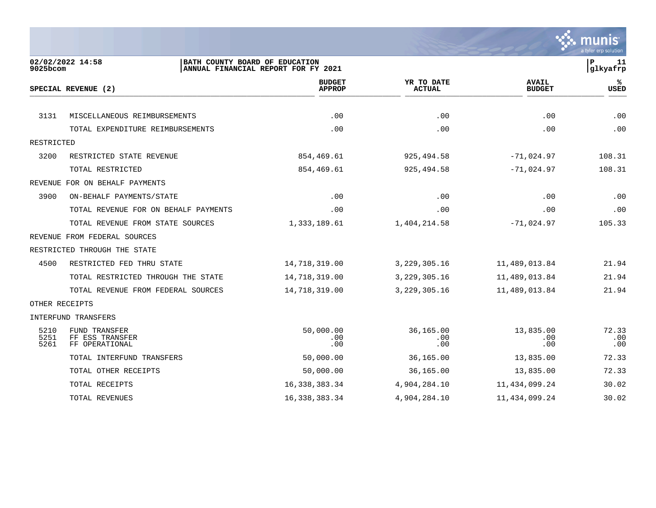

| 9025bcom             | 02/02/2022 14:58<br>BATH COUNTY BOARD OF EDUCATION        | ANNUAL FINANCIAL REPORT FOR FY 2021 |                             |                               | P<br>11<br>glkyafrp |
|----------------------|-----------------------------------------------------------|-------------------------------------|-----------------------------|-------------------------------|---------------------|
|                      | SPECIAL REVENUE (2)                                       | <b>BUDGET</b><br><b>APPROP</b>      | YR TO DATE<br><b>ACTUAL</b> | <b>AVAIL</b><br><b>BUDGET</b> | ℁<br>USED           |
|                      |                                                           |                                     |                             |                               |                     |
| 3131                 | MISCELLANEOUS REIMBURSEMENTS                              | .00                                 | .00                         | .00                           | .00                 |
|                      | TOTAL EXPENDITURE REIMBURSEMENTS                          | .00                                 | .00                         | .00                           | .00                 |
| RESTRICTED           |                                                           |                                     |                             |                               |                     |
| 3200                 | RESTRICTED STATE REVENUE                                  | 854,469.61                          | 925, 494.58                 | $-71,024.97$                  | 108.31              |
|                      | TOTAL RESTRICTED                                          | 854,469.61                          | 925,494.58                  | $-71,024.97$                  | 108.31              |
|                      | REVENUE FOR ON BEHALF PAYMENTS                            |                                     |                             |                               |                     |
| 3900                 | ON-BEHALF PAYMENTS/STATE                                  | .00                                 | .00                         | .00                           | .00                 |
|                      | TOTAL REVENUE FOR ON BEHALF PAYMENTS                      | .00                                 | .00                         | .00                           | .00                 |
|                      | TOTAL REVENUE FROM STATE SOURCES                          | 1,333,189.61                        | 1,404,214.58                | $-71,024.97$                  | 105.33              |
|                      | REVENUE FROM FEDERAL SOURCES                              |                                     |                             |                               |                     |
|                      | RESTRICTED THROUGH THE STATE                              |                                     |                             |                               |                     |
| 4500                 | RESTRICTED FED THRU STATE                                 | 14,718,319.00                       | 3,229,305.16                | 11,489,013.84                 | 21.94               |
|                      | TOTAL RESTRICTED THROUGH THE STATE                        | 14,718,319.00                       | 3, 229, 305. 16             | 11,489,013.84                 | 21.94               |
|                      | TOTAL REVENUE FROM FEDERAL SOURCES                        | 14,718,319.00                       | 3, 229, 305. 16             | 11,489,013.84                 | 21.94               |
|                      | OTHER RECEIPTS                                            |                                     |                             |                               |                     |
|                      | INTERFUND TRANSFERS                                       |                                     |                             |                               |                     |
| 5210<br>5251<br>5261 | <b>FUND TRANSFER</b><br>FF ESS TRANSFER<br>FF OPERATIONAL | 50,000.00<br>.00<br>.00             | 36,165.00<br>.00<br>.00     | 13,835.00<br>.00.<br>.00      | 72.33<br>.00<br>.00 |
|                      | TOTAL INTERFUND TRANSFERS                                 | 50,000.00                           | 36,165.00                   | 13,835.00                     | 72.33               |
|                      | TOTAL OTHER RECEIPTS                                      | 50,000.00                           | 36,165.00                   | 13,835.00                     | 72.33               |
|                      | TOTAL RECEIPTS                                            | 16, 338, 383. 34                    | 4,904,284.10                | 11,434,099.24                 | 30.02               |
|                      | TOTAL REVENUES                                            | 16, 338, 383. 34                    | 4,904,284.10                | 11, 434, 099. 24              | 30.02               |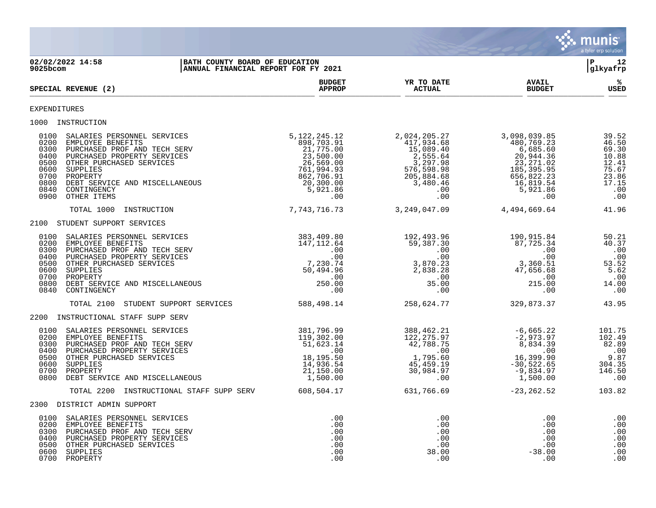

**02/02/2022 14:58 |BATH COUNTY BOARD OF EDUCATION |P 12 |ANNUAL FINANCIAL REPORT FOR FY 2021 BUDGET YR TO DATE AVAIL %**  $SPECTAL REVIEW (2)$  $\frac{\text{AFR} + \text{R}}{\text{AFR}}$ EXPENDITURES 1000 INSTRUCTION<br>0100 SALARIES PERSONNEL SERVICES<br>0200 EMPLOYEE BENEFITS<br>0300 PURCHASED PROF AND TECH SERV<br>0400 PURCHASED PROPERTY SERVICES<br>0500 OTHER PURCHASED SERVICES 0100 SALARIES PERSONNEL SERVICES 5,122,245.12 2,024,205.27 3,098,039.85 39.52 0200 EMPLOYEE BENEFITS 898,703.91 417,934.68 480,769.23 46.50 0300 PURCHASED PROF AND TECH SERV 21,775.00 15,089.40 6,685.60 69.30 0400 PURCHASED PROPERTY SERVICES 23,500.00 2,555.64 20,944.36 10.88 0500 OTHER PURCHASED SERVICES 26,569.00 3,297.98 23,271.02 12.41 0600 SUPPLIES 761,994.93 576,598.98 185,395.95 75.67 0700 PROPERTY 862,706.91 205,884.68 656,822.23 23.86 0800 DEBT SERVICE AND MISCELLANEOUS 20,300.00 3,480.46 16,819.54 17.15 0840 CONTINGENCY 5,921.86 .00 5,921.86 .00 0900 OTHER ITEMS .00 .00 .00 .00 TOTAL 1000 INSTRUCTION <br>  $7,743,716.73$ <br>  $3,249,047.09$ <br>  $4,494,669.64$ <br>  $41.96$ 2100 STUDENT SUPPORT SERVICES 0100 SALARIES PERSONNEL SERVICES 383,409.80 192,493.96 190,915.84 50.21 0200 EMPLOYEE BENEFITS 147,112.64 59,387.30 87,725.34 40.37 0300 PURCHASED PROF AND TECH SERV .00 .00 .00 .00 0400 PURCHASED PROPERTY SERVICES .00 .00 .00 .00 0500 OTHER PURCHASED SERVICES 7,230.74 3,870.23 3,360.51 53.52 0600 SUPPLIES 50,494.96 2,838.28 47,656.68 5.62 0700 PROPERTY .00 .00 .00 .00 0800 DEBT SERVICE AND MISCELLANEOUS 250.00 35.00 215.00 14.00 0840 CONTINGENCY .00 .00 .00 .00 TOTAL 2100 STUDENT SUPPORT SERVICES 588,498.14 258,624.77 329,873.37 43.95 2200 INSTRUCTIONAL STAFF SUPP SERV 0100 SALARIES PERSONNEL SERVICES 381,796.99 388,462.21 -6,665.22 101.75 0200 EMPLOYEE BENEFITS 119,302.00 122,275.97 -2,973.97 102.49 0300 PURCHASED PROF AND TECH SERV 51,623.14 42,788.75 8,834.39 82.89 0400 PURCHASED PROPERTY SERVICES .00 .00 .00 .00 0500 OTHER PURCHASED SERVICES 18,195.50 1,795.60 16,399.90 9.87 0600 SUPPLIES 14,936.54 45,459.19 -30,522.65 304.35 0700 PROPERTY 21,150.00 30,984.97 -9,834.97 146.50 0800 DEBT SERVICE AND MISCELLANEOUS **1,500.00** 1,500.00 .00 .00 .00 .00 .00 .00 .00 .00 TOTAL 2200 INSTRUCTIONAL STAFF SUPP SERV 608,504.17 631,766.69 -23,262.52 103.82 2300 DISTRICT ADMIN SUPPORT 0100 SALARIES PERSONNEL SERVICES .00 .00 .00 .00 0200 EMPLOYEE BENEFITS .00 .00 .00 .00 0300 PURCHASED PROF AND TECH SERV .00 .00 .00 .00 0400 PURCHASED PROPERTY SERVICES .00 .00 .00 .00 0500 OTHER PURCHASED SERVICES .00 .00 .00 .00 0600 SUPPLIES .00 38.00 -38.00 .00 0700 PROPERTY .00 .00 .00 .00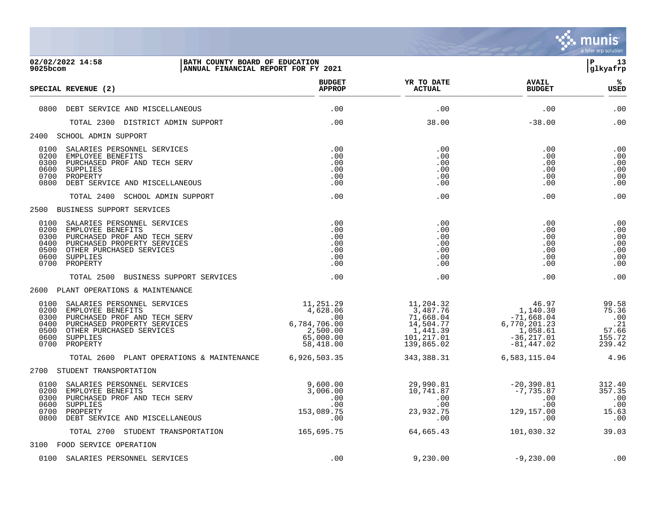

| 9025bcom                                             | 02/02/2022 14:58<br>BATH COUNTY BOARD OF EDUCATION<br>ANNUAL FINANCIAL REPORT FOR FY 2021                                                                                |                                                                                                                               |                                                                                          |                                                                                                                  | l P<br>13<br>glkyafrp                                     |
|------------------------------------------------------|--------------------------------------------------------------------------------------------------------------------------------------------------------------------------|-------------------------------------------------------------------------------------------------------------------------------|------------------------------------------------------------------------------------------|------------------------------------------------------------------------------------------------------------------|-----------------------------------------------------------|
|                                                      | SPECIAL REVENUE (2)                                                                                                                                                      | <b>BUDGET</b><br><b>APPROP</b>                                                                                                | YR TO DATE<br><b>ACTUAL</b>                                                              | <b>AVAIL</b><br><b>BUDGET</b>                                                                                    | %ร<br>USED                                                |
|                                                      | 0800 DEBT SERVICE AND MISCELLANEOUS                                                                                                                                      | .00                                                                                                                           | .00                                                                                      | .00                                                                                                              | .00                                                       |
|                                                      | TOTAL 2300 DISTRICT ADMIN SUPPORT                                                                                                                                        | .00                                                                                                                           | 38.00                                                                                    | $-38.00$                                                                                                         | .00                                                       |
|                                                      | 2400 SCHOOL ADMIN SUPPORT                                                                                                                                                |                                                                                                                               |                                                                                          |                                                                                                                  |                                                           |
| 0300<br>0600<br>0700<br>0800                         | 0100 SALARIES PERSONNEL SERVICES<br>0200 EMPLOYEE BENEFITS<br>PURCHASED PROF AND TECH SERV<br>SUPPLIES<br>PROPERTY<br>DEBT SERVICE AND MISCELLANEOUS                     | .00<br>.00<br>.00<br>.00<br>.00<br>.00                                                                                        | .00<br>.00<br>.00<br>.00<br>.00<br>.00                                                   | .00<br>.00<br>.00<br>.00<br>.00<br>.00                                                                           | .00<br>.00<br>.00<br>.00<br>.00<br>.00                    |
|                                                      | TOTAL 2400 SCHOOL ADMIN SUPPORT                                                                                                                                          | .00                                                                                                                           | .00                                                                                      | .00                                                                                                              | .00                                                       |
|                                                      | 2500 BUSINESS SUPPORT SERVICES                                                                                                                                           |                                                                                                                               |                                                                                          |                                                                                                                  |                                                           |
| 0200<br>0300<br>0400<br>0500<br>0600<br>0700         | 0100 SALARIES PERSONNEL SERVICES<br>EMPLOYEE BENEFITS<br>PURCHASED PROF AND TECH SERV<br>PURCHASED PROPERTY SERVICES<br>OTHER PURCHASED SERVICES<br>SUPPLIES<br>PROPERTY | .00<br>.00<br>.00<br>.00<br>.00<br>.00<br>.00                                                                                 | .00<br>.00<br>.00<br>.00<br>.00<br>.00<br>.00                                            | .00<br>.00<br>.00<br>.00<br>.00<br>.00<br>.00                                                                    | .00<br>.00<br>.00<br>.00<br>.00<br>.00<br>.00             |
|                                                      | TOTAL 2500 BUSINESS SUPPORT SERVICES                                                                                                                                     | .00                                                                                                                           | .00                                                                                      | .00                                                                                                              | .00                                                       |
|                                                      | 2600 PLANT OPERATIONS & MAINTENANCE                                                                                                                                      |                                                                                                                               |                                                                                          |                                                                                                                  |                                                           |
| 0100<br>0200<br>0300<br>0400<br>0500<br>0600<br>0700 | SALARIES PERSONNEL SERVICES<br>EMPLOYEE BENEFITS<br>PURCHASED PROF AND TECH SERV<br>PURCHASED PROPERTY SERVICES<br>OTHER PURCHASED SERVICES<br>SUPPLIES<br>PROPERTY      | $\begin{array}{r} 11,251.29 \\ 4,628.06 \\ .00 \\ 6,784,706.00 \\ 2,500.00 \end{array}$<br>2,500.00<br>65,000.00<br>58,418.00 | 11,204.32<br>3,487.76<br>71,668.04<br>14,504.77<br>1,441.39<br>101, 217.01<br>139,865.02 | 46.97<br>$1, 140.30$<br>$7, 140.30$<br>$-71,668.04$<br>6,770,201.23<br>1,058.61<br>$-36, 217.01$<br>$-81,447.02$ | 99.58<br>75.36<br>.00<br>.21<br>57.66<br>155.72<br>239.42 |
|                                                      | TOTAL 2600 PLANT OPERATIONS & MAINTENANCE                                                                                                                                | 6,926,503.35                                                                                                                  | 343,388.31                                                                               | 6,583,115.04                                                                                                     | 4.96                                                      |
|                                                      | 2700 STUDENT TRANSPORTATION                                                                                                                                              |                                                                                                                               |                                                                                          |                                                                                                                  |                                                           |
| 0100<br>0200<br>0300<br>0600<br>0700<br>0800         | SALARIES PERSONNEL SERVICES<br>EMPLOYEE BENEFITS<br>PURCHASED PROF AND TECH SERV<br>SUPPLIES<br>PROPERTY<br>DEBT SERVICE AND MISCELLANEOUS                               | 9,600.00<br>3,006.00<br>.00<br>.00<br>153,089.75<br>.00                                                                       | 29,990.81<br>10,741.87<br>.00<br>.00<br>23,932.75<br>.00                                 | $-20,390.81$<br>$-7,735.87$<br>.00<br>.00<br>129,157.00<br>$.00 \,$                                              | 312.40<br>357.35<br>.00<br>.00<br>15.63<br>$\ldots$       |
|                                                      | TOTAL 2700 STUDENT TRANSPORTATION                                                                                                                                        | 165,695.75                                                                                                                    | 64,665.43                                                                                | 101,030.32                                                                                                       | 39.03                                                     |
|                                                      | 3100 FOOD SERVICE OPERATION                                                                                                                                              |                                                                                                                               |                                                                                          |                                                                                                                  |                                                           |
|                                                      | 0100 SALARIES PERSONNEL SERVICES                                                                                                                                         | .00                                                                                                                           | 9,230.00                                                                                 | $-9,230.00$                                                                                                      | .00                                                       |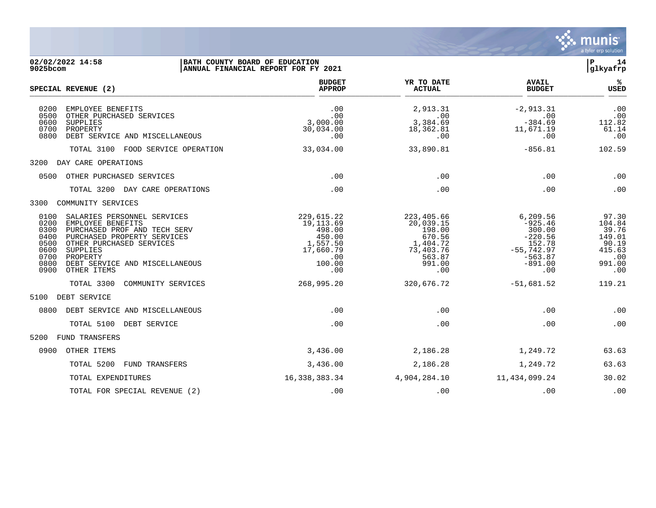

| 02/02/2022 14:58<br>BATH COUNTY BOARD OF EDUCATION<br>9025bcom                                                                                                                                                                                                                               | ANNUAL FINANCIAL REPORT FOR FY 2021                                                            |                                                                                                 |                                                                                                         | 14<br>lР<br> glkyafrp                                                         |
|----------------------------------------------------------------------------------------------------------------------------------------------------------------------------------------------------------------------------------------------------------------------------------------------|------------------------------------------------------------------------------------------------|-------------------------------------------------------------------------------------------------|---------------------------------------------------------------------------------------------------------|-------------------------------------------------------------------------------|
| SPECIAL REVENUE (2)                                                                                                                                                                                                                                                                          | <b>BUDGET</b><br><b>APPROP</b>                                                                 | YR TO DATE<br><b>ACTUAL</b>                                                                     | <b>AVAIL</b><br><b>BUDGET</b>                                                                           | %ะ<br><b>USED</b>                                                             |
| 0200<br>EMPLOYEE BENEFITS<br>0500<br>OTHER PURCHASED SERVICES<br>0600<br>SUPPLIES<br>0700<br>PROPERTY<br>0800<br>DEBT SERVICE AND MISCELLANEOUS                                                                                                                                              | .00<br>.00<br>3,000.00<br>30,034.00<br>.00                                                     | 2,913.31<br>.00<br>3,384.69<br>18,362.81<br>.00                                                 | $-2.913.31$<br>.00<br>$-384.69$<br>11,671.19<br>.00                                                     | .00<br>.00<br>112.82<br>61.14<br>.00                                          |
| TOTAL 3100 FOOD SERVICE OPERATION                                                                                                                                                                                                                                                            | 33,034.00                                                                                      | 33,890.81                                                                                       | $-856.81$                                                                                               | 102.59                                                                        |
| 3200 DAY CARE OPERATIONS                                                                                                                                                                                                                                                                     |                                                                                                |                                                                                                 |                                                                                                         |                                                                               |
| 0500<br>OTHER PURCHASED SERVICES                                                                                                                                                                                                                                                             | .00                                                                                            | .00                                                                                             | .00                                                                                                     | .00                                                                           |
| TOTAL 3200 DAY CARE OPERATIONS                                                                                                                                                                                                                                                               | .00                                                                                            | .00                                                                                             | .00                                                                                                     | .00                                                                           |
| COMMUNITY SERVICES<br>3300                                                                                                                                                                                                                                                                   |                                                                                                |                                                                                                 |                                                                                                         |                                                                               |
| 0100<br>SALARIES PERSONNEL SERVICES<br>0200<br>EMPLOYEE BENEFITS<br>0300<br>PURCHASED PROF AND TECH SERV<br>0400<br>PURCHASED PROPERTY SERVICES<br>0500<br>OTHER PURCHASED SERVICES<br>0600<br>SUPPLIES<br>0700<br>PROPERTY<br>0800<br>DEBT SERVICE AND MISCELLANEOUS<br>0900<br>OTHER ITEMS | 229,615.22<br>19, 113.69<br>498.00<br>450.00<br>1,557.50<br>17,660.79<br>.00.<br>100.00<br>.00 | 223,405.66<br>20,039.15<br>198.00<br>670.56<br>1,404.72<br>73,403.76<br>563.87<br>991.00<br>.00 | 6,209.56<br>$-925.46$<br>300.00<br>$-220.56$<br>152.78<br>$-55,742.97$<br>$-563.87$<br>$-891.00$<br>.00 | 97.30<br>104.84<br>39.76<br>149.01<br>90.19<br>415.63<br>.00<br>991.00<br>.00 |
| TOTAL 3300<br>COMMUNITY SERVICES                                                                                                                                                                                                                                                             | 268,995.20                                                                                     | 320,676.72                                                                                      | $-51,681.52$                                                                                            | 119.21                                                                        |
| DEBT SERVICE<br>5100                                                                                                                                                                                                                                                                         |                                                                                                |                                                                                                 |                                                                                                         |                                                                               |
| 0800<br>DEBT SERVICE AND MISCELLANEOUS                                                                                                                                                                                                                                                       | .00                                                                                            | .00                                                                                             | .00                                                                                                     | .00                                                                           |
| TOTAL 5100<br>DEBT SERVICE                                                                                                                                                                                                                                                                   | .00                                                                                            | .00                                                                                             | .00                                                                                                     | .00                                                                           |
| FUND TRANSFERS<br>5200                                                                                                                                                                                                                                                                       |                                                                                                |                                                                                                 |                                                                                                         |                                                                               |
| 0900<br>OTHER ITEMS                                                                                                                                                                                                                                                                          | 3,436.00                                                                                       | 2,186.28                                                                                        | 1,249.72                                                                                                | 63.63                                                                         |
| TOTAL 5200<br>FUND TRANSFERS                                                                                                                                                                                                                                                                 | 3,436.00                                                                                       | 2,186.28                                                                                        | 1,249.72                                                                                                | 63.63                                                                         |
| TOTAL EXPENDITURES                                                                                                                                                                                                                                                                           | 16, 338, 383. 34                                                                               | 4,904,284.10                                                                                    | 11,434,099.24                                                                                           | 30.02                                                                         |
| TOTAL FOR SPECIAL REVENUE (2)                                                                                                                                                                                                                                                                | .00                                                                                            | .00                                                                                             | .00                                                                                                     | .00                                                                           |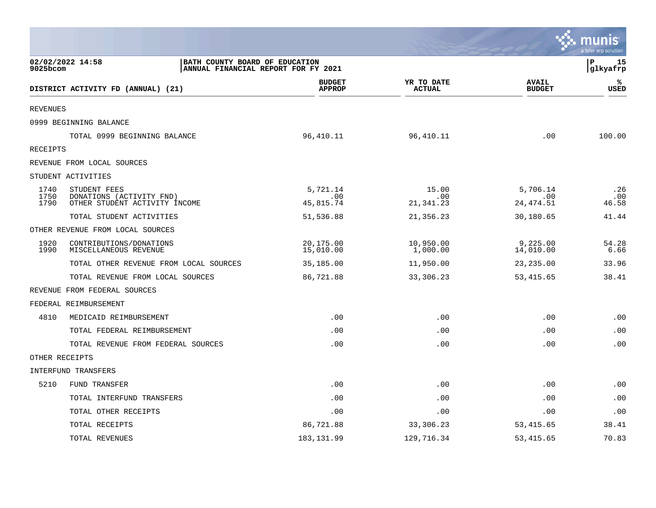|                      |                                                                                           |                                |                             |                               | munis<br>a tyler erp solution |
|----------------------|-------------------------------------------------------------------------------------------|--------------------------------|-----------------------------|-------------------------------|-------------------------------|
| 9025bcom             | 02/02/2022 14:58<br>BATH COUNTY BOARD OF EDUCATION<br>ANNUAL FINANCIAL REPORT FOR FY 2021 |                                |                             |                               | P<br>15<br>glkyafrp           |
|                      | DISTRICT ACTIVITY FD (ANNUAL) (21)                                                        | <b>BUDGET</b><br><b>APPROP</b> | YR TO DATE<br><b>ACTUAL</b> | <b>AVAIL</b><br><b>BUDGET</b> | ℁<br><b>USED</b>              |
| <b>REVENUES</b>      |                                                                                           |                                |                             |                               |                               |
|                      | 0999 BEGINNING BALANCE                                                                    |                                |                             |                               |                               |
|                      | TOTAL 0999 BEGINNING BALANCE                                                              | 96,410.11                      | 96, 410.11                  | .00                           | 100.00                        |
| RECEIPTS             |                                                                                           |                                |                             |                               |                               |
|                      | REVENUE FROM LOCAL SOURCES                                                                |                                |                             |                               |                               |
|                      | STUDENT ACTIVITIES                                                                        |                                |                             |                               |                               |
| 1740<br>1750<br>1790 | STUDENT FEES<br>DONATIONS (ACTIVITY FND)<br>OTHER STUDENT ACTIVITY INCOME                 | 5,721.14<br>.00<br>45,815.74   | 15.00<br>.00<br>21, 341.23  | 5,706.14<br>.00<br>24,474.51  | .26<br>.00<br>46.58           |
|                      | TOTAL STUDENT ACTIVITIES                                                                  | 51,536.88                      | 21,356.23                   | 30,180.65                     | 41.44                         |
|                      | OTHER REVENUE FROM LOCAL SOURCES                                                          |                                |                             |                               |                               |
| 1920<br>1990         | CONTRIBUTIONS/DONATIONS<br>MISCELLANEOUS REVENUE                                          | 20,175.00<br>15,010.00         | 10,950.00<br>1,000.00       | 9,225.00<br>14,010.00         | 54.28<br>6.66                 |
|                      | TOTAL OTHER REVENUE FROM LOCAL SOURCES                                                    | 35,185.00                      | 11,950.00                   | 23, 235.00                    | 33.96                         |
|                      | TOTAL REVENUE FROM LOCAL SOURCES                                                          | 86,721.88                      | 33,306.23                   | 53, 415.65                    | 38.41                         |
|                      | REVENUE FROM FEDERAL SOURCES                                                              |                                |                             |                               |                               |
|                      | FEDERAL REIMBURSEMENT                                                                     |                                |                             |                               |                               |
| 4810                 | MEDICAID REIMBURSEMENT                                                                    | .00                            | .00                         | .00                           | .00                           |
|                      | TOTAL FEDERAL REIMBURSEMENT                                                               | .00                            | .00                         | .00                           | .00                           |
|                      | TOTAL REVENUE FROM FEDERAL SOURCES                                                        | .00                            | .00                         | .00                           | .00                           |
| OTHER RECEIPTS       |                                                                                           |                                |                             |                               |                               |
|                      | INTERFUND TRANSFERS                                                                       |                                |                             |                               |                               |
| 5210                 | <b>FUND TRANSFER</b>                                                                      | .00                            | .00                         | .00                           | .00                           |
|                      | TOTAL INTERFUND TRANSFERS                                                                 | .00                            | .00                         | .00                           | .00                           |
|                      | TOTAL OTHER RECEIPTS                                                                      | .00                            | .00                         | .00                           | .00                           |
|                      | TOTAL RECEIPTS                                                                            | 86,721.88                      | 33,306.23                   | 53, 415.65                    | 38.41                         |
|                      | TOTAL REVENUES                                                                            | 183, 131.99                    | 129,716.34                  | 53,415.65                     | 70.83                         |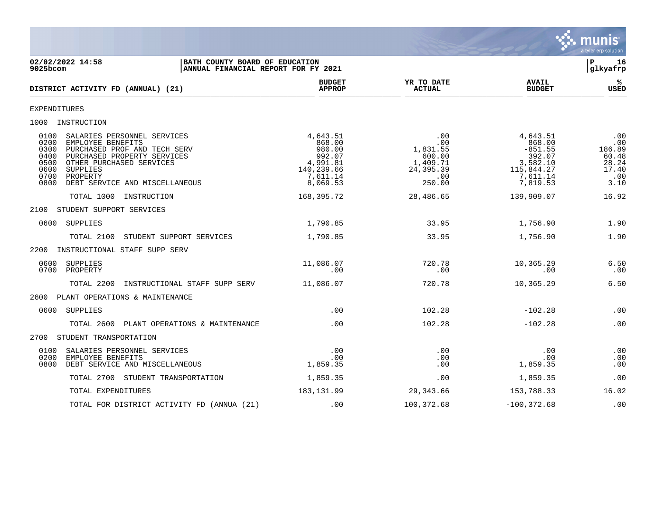

02/02/2022 14:58 **| BATH COUNTY BOARD OF EDUCATION**<br>9025bcom **| ANNUAL FINANCIAL REPORT FOR FY 2021** | GLASS | GLASS | GLASS | GLASS | GLASS | GLASS | GLASS | GLASS | GLASS | GLASS | GLASS | GLASS | GLASS | GLASS | GLASS | ANNUAL FINANCIAL REPORT FOR FY 2021 **BUDGET YR TO DATE AVAIL %**  $DISTRICT ACTIVITY FD (ANNUAL) (21)$  $\frac{MFACF}{MFACF}$  . Actival  $\frac{MFACF}{MFACF}$  . Actival  $\frac{MFACF}{MFACF}$  . Actival  $\frac{MFACF}{MFACF}$  . Actival  $\frac{MFACF}{MFACF}$ EXPENDITURES 1000 INSTRUCTION 0100 SALARIES PERSONNEL SERVICES 4,643.51 .00 4,643.51 .00 0200 EMPLOYEE BENEFITS 868.00 .00 868.00 .00 0300 PURCHASED PROF AND TECH SERV 980.00 1,831.55 -851.55 186.89 0400 PURCHASED PROPERTY SERVICES 992.07 600.00 392.07 60.48 0500 OTHER PURCHASED SERVICES (1,991.81 1,409.71 3,582.10 28.24<br>0600 SUPPLIES (1,409.71 3,582.10 28.24 115,844.27 17.40<br>0700 PROPERTY (11.14 7,611.14 1,991.81 115,844.27 17.40<br>0800 DEBT SERVICE AND MISCELLANEOUS (1,610.53 0600 SUPPLIES 140,239.66 24,395.39 115,844.27 17.40 0700 PROPERTY 7,611.14 .00 7,611.14 .00 0800 DEBT SERVICE AND MISCELLANEOUS 8,069.53 250.00 7,819.53 3.10 TOTAL 1000 INSTRUCTION 168,395.72 28,486.65 139,909.07 16.92 2100 STUDENT SUPPORT SERVICES 0600 SUPPLIES 1,790.85 33.95 1,756.90 1.90 TOTAL 2100 STUDENT SUPPORT SERVICES 1,790.85 33.95 1,756.90 1.90 2200 INSTRUCTIONAL STAFF SUPP SERV 0600 SUPPLIES 11,086.07 720.78 10,365.29 6.50 0700 PROPERTY .00 .00 .00 .00 TOTAL 2200 INSTRUCTIONAL STAFF SUPP SERV 11,086.07 720.78 10,365.29 6.50 2600 PLANT OPERATIONS & MAINTENANCE 0600 SUPPLIES .00 102.28 -102.28 .00 TOTAL 2600 PLANT OPERATIONS & MAINTENANCE  $\qquad \qquad .00$  ... 102.28  $\qquad \qquad -102.28$  ... 00 2700 STUDENT TRANSPORTATION 0100 SALARIES PERSONNEL SERVICES .00 .00 .00 .00 0200 EMPLOYEE BENEFITS .00 .00 .00 .00 0800 DEBT SERVICE AND MISCELLANEOUS TOTAL 2700 STUDENT TRANSPORTATION 1,859.35 .00 00 1,859.35 .00 TOTAL EXPENDITURES 16.02 183,131.99 29,343.66 153,788.33 16.02 TOTAL FOR DISTRICT ACTIVITY FD (ANNUA (21) .00 100,372.68 -100,372.68 .00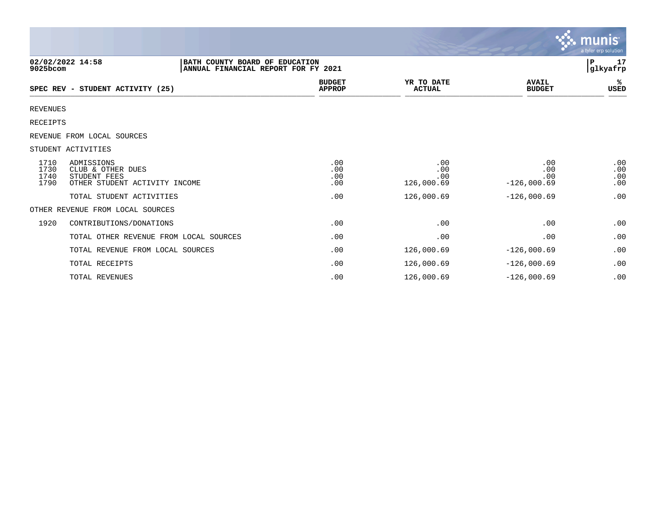|                              |                                                                                           |                                |                                 |                                    | munis <sup>®</sup><br>a tyler erp solution |
|------------------------------|-------------------------------------------------------------------------------------------|--------------------------------|---------------------------------|------------------------------------|--------------------------------------------|
| 9025bcom                     | 02/02/2022 14:58<br>BATH COUNTY BOARD OF EDUCATION<br>ANNUAL FINANCIAL REPORT FOR FY 2021 |                                |                                 | 17<br>P<br>glkyafrp                |                                            |
|                              | SPEC REV - STUDENT ACTIVITY (25)                                                          | <b>BUDGET</b><br><b>APPROP</b> | YR TO DATE<br><b>ACTUAL</b>     | <b>AVAIL</b><br><b>BUDGET</b>      | %ะ<br>USED                                 |
| <b>REVENUES</b>              |                                                                                           |                                |                                 |                                    |                                            |
| <b>RECEIPTS</b>              |                                                                                           |                                |                                 |                                    |                                            |
|                              | REVENUE FROM LOCAL SOURCES                                                                |                                |                                 |                                    |                                            |
|                              | STUDENT ACTIVITIES                                                                        |                                |                                 |                                    |                                            |
| 1710<br>1730<br>1740<br>1790 | ADMISSIONS<br>CLUB & OTHER DUES<br>STUDENT FEES<br>OTHER STUDENT ACTIVITY INCOME          | .00<br>.00<br>.00<br>.00       | .00<br>.00<br>.00<br>126,000.69 | .00<br>.00<br>.00<br>$-126,000.69$ | .00<br>.00<br>.00<br>.00                   |
|                              | TOTAL STUDENT ACTIVITIES                                                                  | .00                            | 126,000.69                      | $-126,000.69$                      | .00                                        |
|                              | OTHER REVENUE FROM LOCAL SOURCES                                                          |                                |                                 |                                    |                                            |
| 1920                         | CONTRIBUTIONS/DONATIONS                                                                   | .00                            | .00                             | .00                                | .00                                        |
|                              | TOTAL OTHER REVENUE FROM LOCAL SOURCES                                                    | .00                            | .00                             | .00                                | .00                                        |
|                              | TOTAL REVENUE FROM LOCAL SOURCES                                                          | .00                            | 126,000.69                      | $-126,000.69$                      | .00                                        |
|                              | TOTAL RECEIPTS                                                                            | .00                            | 126,000.69                      | $-126,000.69$                      | .00                                        |
|                              | TOTAL REVENUES                                                                            | .00                            | 126,000.69                      | $-126,000.69$                      | .00                                        |

and the contract of the contract of the contract of the contract of the contract of the contract of the contract of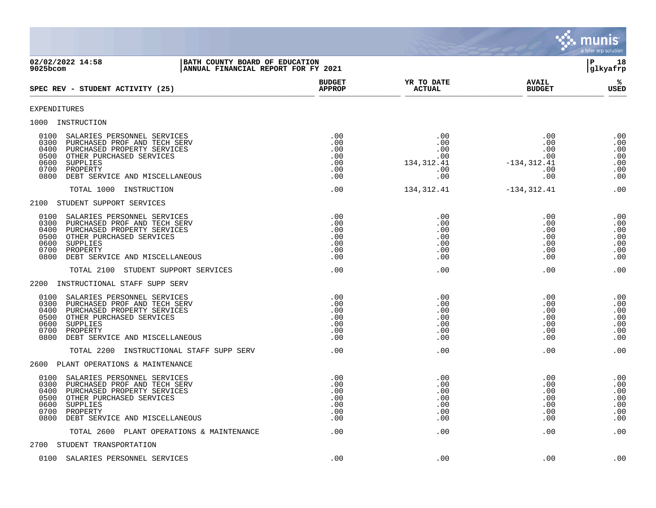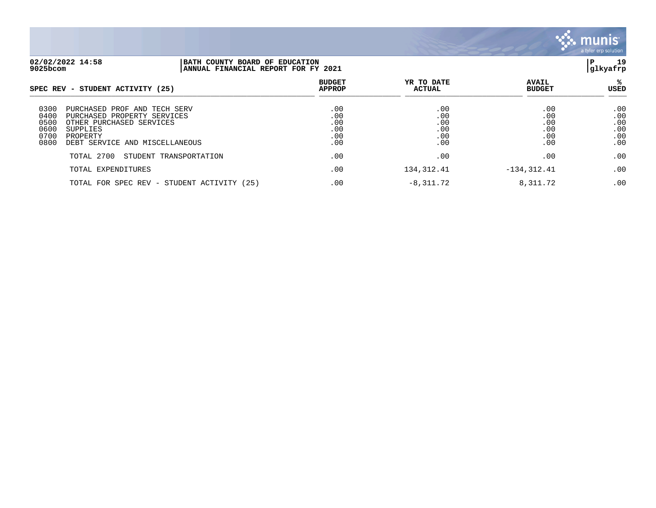

| 02/02/2022 14:58<br>9025bcom                                                                                                                                                                            |      | BATH COUNTY BOARD OF EDUCATION<br> ANNUAL FINANCIAL REPORT FOR FY 2021 |                                        |                                        |                                        |
|---------------------------------------------------------------------------------------------------------------------------------------------------------------------------------------------------------|------|------------------------------------------------------------------------|----------------------------------------|----------------------------------------|----------------------------------------|
| SPEC REV - STUDENT ACTIVITY (25)                                                                                                                                                                        |      | <b>BUDGET</b><br><b>APPROP</b>                                         | YR TO DATE<br><b>ACTUAL</b>            | <b>AVAIL</b><br><b>BUDGET</b>          | ℁<br>USED                              |
| 0300<br>PURCHASED PROF AND<br>TECH<br>SERV<br>0400<br>PURCHASED PROPERTY SERVICES<br>0500<br>OTHER PURCHASED SERVICES<br>0600<br>SUPPLIES<br>0700<br>PROPERTY<br>0800<br>DEBT SERVICE AND MISCELLANEOUS |      | .00<br>.00<br>.00<br>.00<br>.00<br>.00                                 | .00<br>.00<br>.00<br>.00<br>.00<br>.00 | .00<br>.00<br>.00<br>.00<br>.00<br>.00 | .00<br>.00<br>.00<br>.00<br>.00<br>.00 |
| TOTAL 2700<br>STUDENT TRANSPORTATION                                                                                                                                                                    |      | .00                                                                    | .00                                    | .00                                    | .00                                    |
| TOTAL EXPENDITURES                                                                                                                                                                                      |      | .00                                                                    | 134, 312.41                            | $-134, 312.41$                         | .00                                    |
| TOTAL FOR SPEC REV - STUDENT ACTIVITY                                                                                                                                                                   | (25) | .00                                                                    | $-8,311.72$                            | 8,311.72                               | .00                                    |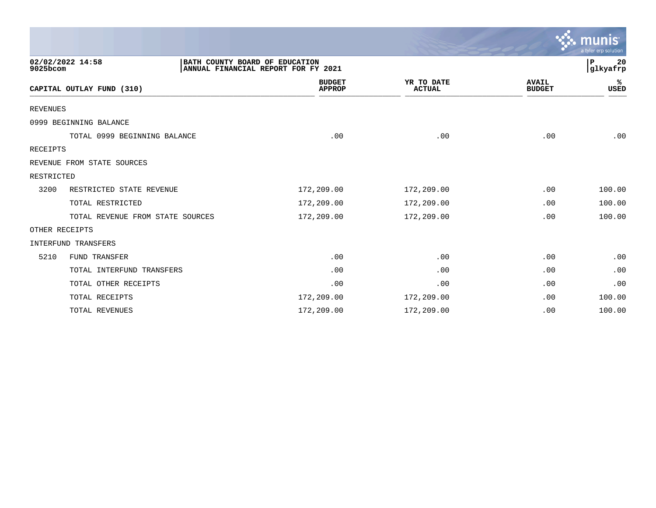|                 |                                                    |                                     |                             |                               | a tyler erp solution |
|-----------------|----------------------------------------------------|-------------------------------------|-----------------------------|-------------------------------|----------------------|
| 9025bcom        | 02/02/2022 14:58<br>BATH COUNTY BOARD OF EDUCATION | ANNUAL FINANCIAL REPORT FOR FY 2021 |                             |                               | P<br>20<br>glkyafrp  |
|                 | CAPITAL OUTLAY FUND (310)                          | <b>BUDGET</b><br><b>APPROP</b>      | YR TO DATE<br><b>ACTUAL</b> | <b>AVAIL</b><br><b>BUDGET</b> | ℁<br><b>USED</b>     |
| <b>REVENUES</b> |                                                    |                                     |                             |                               |                      |
|                 | 0999 BEGINNING BALANCE                             |                                     |                             |                               |                      |
|                 | TOTAL 0999 BEGINNING BALANCE                       | .00                                 | .00                         | .00                           | .00                  |
| RECEIPTS        |                                                    |                                     |                             |                               |                      |
|                 | REVENUE FROM STATE SOURCES                         |                                     |                             |                               |                      |
| RESTRICTED      |                                                    |                                     |                             |                               |                      |
| 3200            | RESTRICTED STATE REVENUE                           | 172,209.00                          | 172,209.00                  | .00                           | 100.00               |
|                 | TOTAL RESTRICTED                                   | 172,209.00                          | 172,209.00                  | .00                           | 100.00               |
|                 | TOTAL REVENUE FROM STATE SOURCES                   | 172,209.00                          | 172,209.00                  | .00                           | 100.00               |
|                 | OTHER RECEIPTS                                     |                                     |                             |                               |                      |
|                 | <b>INTERFUND TRANSFERS</b>                         |                                     |                             |                               |                      |
| 5210            | FUND TRANSFER                                      | .00                                 | .00                         | .00                           | .00                  |
|                 | TOTAL INTERFUND TRANSFERS                          | .00                                 | .00                         | .00                           | .00                  |
|                 | TOTAL OTHER RECEIPTS                               | .00                                 | .00                         | .00                           | .00                  |
|                 | TOTAL RECEIPTS                                     | 172,209.00                          | 172,209.00                  | .00                           | 100.00               |
|                 | TOTAL REVENUES                                     | 172,209.00                          | 172,209.00                  | .00                           | 100.00               |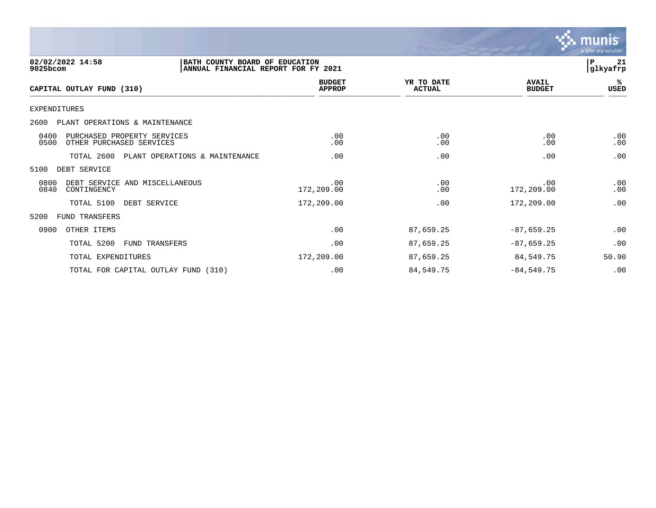

| 02/02/2022 14:58<br>BATH COUNTY BOARD OF EDUCATION<br>9025bcom<br>ANNUAL FINANCIAL REPORT FOR FY 2021 |                                     |                                |                             |                               | 21<br>$\mathbf{P}$<br> glkyafrp |
|-------------------------------------------------------------------------------------------------------|-------------------------------------|--------------------------------|-----------------------------|-------------------------------|---------------------------------|
| CAPITAL OUTLAY FUND (310)                                                                             |                                     | <b>BUDGET</b><br><b>APPROP</b> | YR TO DATE<br><b>ACTUAL</b> | <b>AVAIL</b><br><b>BUDGET</b> | %ะ<br>USED                      |
| EXPENDITURES                                                                                          |                                     |                                |                             |                               |                                 |
| 2600<br>PLANT OPERATIONS & MAINTENANCE                                                                |                                     |                                |                             |                               |                                 |
| 0400<br>PURCHASED PROPERTY SERVICES<br>0500<br>OTHER PURCHASED SERVICES                               |                                     | .00<br>.00                     | .00<br>.00                  | .00<br>.00                    | .00<br>.00                      |
| TOTAL 2600                                                                                            | PLANT OPERATIONS & MAINTENANCE      | .00                            | .00                         | .00                           | .00                             |
| 5100<br>DEBT SERVICE                                                                                  |                                     |                                |                             |                               |                                 |
| 0800<br>DEBT SERVICE AND MISCELLANEOUS<br>0840<br>CONTINGENCY                                         |                                     | .00<br>172,209.00              | .00<br>.00                  | .00<br>172,209.00             | .00<br>.00                      |
| TOTAL 5100                                                                                            | DEBT SERVICE                        | 172,209.00                     | .00                         | 172,209.00                    | .00                             |
| 5200<br>FUND TRANSFERS                                                                                |                                     |                                |                             |                               |                                 |
| 0900<br>OTHER ITEMS                                                                                   |                                     | .00                            | 87,659.25                   | $-87,659.25$                  | .00                             |
| TOTAL 5200                                                                                            | <b>FUND TRANSFERS</b>               | .00                            | 87,659.25                   | $-87,659.25$                  | .00                             |
| TOTAL EXPENDITURES                                                                                    |                                     | 172,209.00                     | 87,659.25                   | 84,549.75                     | 50.90                           |
|                                                                                                       | TOTAL FOR CAPITAL OUTLAY FUND (310) | .00                            | 84,549.75                   | $-84,549.75$                  | .00                             |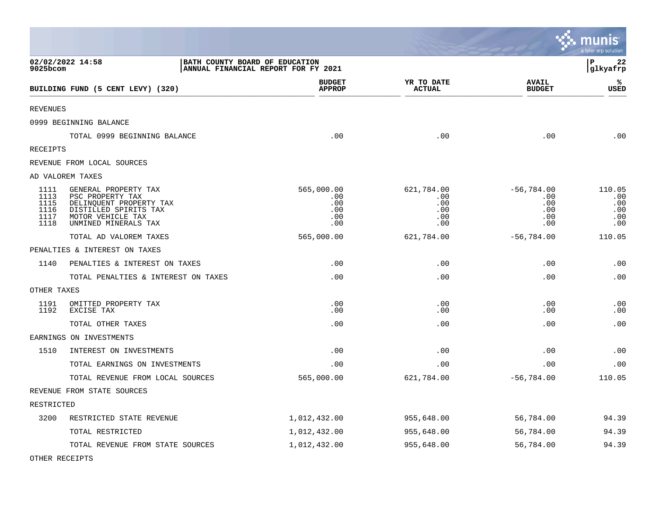|                                              |                                                                                                                                           |                                |                                               |                                               |                                                 | munis<br>a tyler erp solution             |
|----------------------------------------------|-------------------------------------------------------------------------------------------------------------------------------------------|--------------------------------|-----------------------------------------------|-----------------------------------------------|-------------------------------------------------|-------------------------------------------|
| 9025bcom                                     | 02/02/2022 14:58                                                                                                                          | BATH COUNTY BOARD OF EDUCATION | ANNUAL FINANCIAL REPORT FOR FY 2021           |                                               |                                                 | P<br>22<br>glkyafrp                       |
|                                              | BUILDING FUND (5 CENT LEVY) (320)                                                                                                         |                                | <b>BUDGET</b><br><b>APPROP</b>                | YR TO DATE<br><b>ACTUAL</b>                   | <b>AVAIL</b><br><b>BUDGET</b>                   | ℁<br><b>USED</b>                          |
| <b>REVENUES</b>                              |                                                                                                                                           |                                |                                               |                                               |                                                 |                                           |
|                                              | 0999 BEGINNING BALANCE                                                                                                                    |                                |                                               |                                               |                                                 |                                           |
|                                              | TOTAL 0999 BEGINNING BALANCE                                                                                                              |                                | .00                                           | .00                                           | .00                                             | .00                                       |
| RECEIPTS                                     |                                                                                                                                           |                                |                                               |                                               |                                                 |                                           |
|                                              | REVENUE FROM LOCAL SOURCES                                                                                                                |                                |                                               |                                               |                                                 |                                           |
|                                              | AD VALOREM TAXES                                                                                                                          |                                |                                               |                                               |                                                 |                                           |
| 1111<br>1113<br>1115<br>1116<br>1117<br>1118 | GENERAL PROPERTY TAX<br>PSC PROPERTY TAX<br>DELINQUENT PROPERTY TAX<br>DISTILLED SPIRITS TAX<br>MOTOR VEHICLE TAX<br>UNMINED MINERALS TAX |                                | 565,000.00<br>.00<br>.00<br>.00<br>.00<br>.00 | 621,784.00<br>.00<br>.00<br>.00<br>.00<br>.00 | $-56,784.00$<br>.00<br>.00<br>.00<br>.00<br>.00 | 110.05<br>.00<br>.00<br>.00<br>.00<br>.00 |
|                                              | TOTAL AD VALOREM TAXES                                                                                                                    |                                | 565,000.00                                    | 621,784.00                                    | $-56,784.00$                                    | 110.05                                    |
|                                              | PENALTIES & INTEREST ON TAXES                                                                                                             |                                |                                               |                                               |                                                 |                                           |
| 1140                                         | PENALTIES & INTEREST ON TAXES                                                                                                             |                                | .00                                           | .00                                           | .00                                             | .00                                       |
|                                              | TOTAL PENALTIES & INTEREST ON TAXES                                                                                                       |                                | .00                                           | .00                                           | .00                                             | .00                                       |
| OTHER TAXES                                  |                                                                                                                                           |                                |                                               |                                               |                                                 |                                           |
| 1191<br>1192                                 | OMITTED PROPERTY TAX<br>EXCISE TAX                                                                                                        |                                | .00<br>.00                                    | .00<br>.00                                    | .00<br>.00                                      | .00<br>.00                                |
|                                              | TOTAL OTHER TAXES                                                                                                                         |                                | .00                                           | .00                                           | .00                                             | .00                                       |
|                                              | EARNINGS ON INVESTMENTS                                                                                                                   |                                |                                               |                                               |                                                 |                                           |
| 1510                                         | INTEREST ON INVESTMENTS                                                                                                                   |                                | .00                                           | .00                                           | .00                                             | .00                                       |
|                                              | TOTAL EARNINGS ON INVESTMENTS                                                                                                             |                                | .00                                           | .00                                           | .00                                             | .00                                       |
|                                              | TOTAL REVENUE FROM LOCAL SOURCES                                                                                                          |                                | 565,000.00                                    | 621,784.00                                    | $-56,784.00$                                    | 110.05                                    |
|                                              | REVENUE FROM STATE SOURCES                                                                                                                |                                |                                               |                                               |                                                 |                                           |
| RESTRICTED                                   |                                                                                                                                           |                                |                                               |                                               |                                                 |                                           |
| 3200                                         | RESTRICTED STATE REVENUE                                                                                                                  |                                | 1,012,432.00                                  | 955,648.00                                    | 56,784.00                                       | 94.39                                     |
|                                              | TOTAL RESTRICTED                                                                                                                          |                                | 1,012,432.00                                  | 955,648.00                                    | 56,784.00                                       | 94.39                                     |
|                                              | TOTAL REVENUE FROM STATE SOURCES                                                                                                          |                                | 1,012,432.00                                  | 955,648.00                                    | 56,784.00                                       | 94.39                                     |

 $\mathcal{L}$ 

OTHER RECEIPTS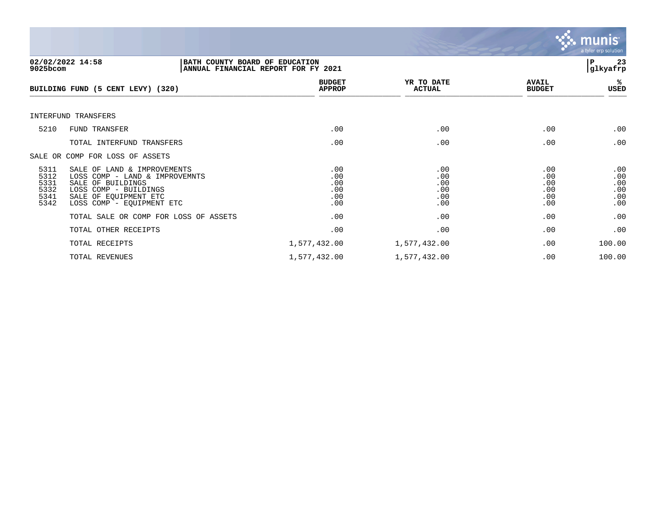

| 9025bcom                                     | 02/02/2022 14:58<br>BATH COUNTY BOARD OF EDUCATION<br>ANNUAL FINANCIAL REPORT FOR FY 2021                                                                         |                                        |                                        | 23<br>ΙP<br> glkyafrp                  |                                        |
|----------------------------------------------|-------------------------------------------------------------------------------------------------------------------------------------------------------------------|----------------------------------------|----------------------------------------|----------------------------------------|----------------------------------------|
|                                              | BUILDING FUND (5 CENT LEVY) (320)                                                                                                                                 | <b>BUDGET</b><br><b>APPROP</b>         | YR TO DATE<br><b>ACTUAL</b>            | <b>AVAIL</b><br><b>BUDGET</b>          | %ร<br>USED                             |
|                                              | INTERFUND TRANSFERS                                                                                                                                               |                                        |                                        |                                        |                                        |
| 5210                                         | FUND TRANSFER                                                                                                                                                     | .00                                    | .00                                    | .00                                    | .00                                    |
|                                              | TOTAL INTERFUND TRANSFERS                                                                                                                                         | .00                                    | .00                                    | .00                                    | .00                                    |
|                                              | SALE OR COMP FOR LOSS OF ASSETS                                                                                                                                   |                                        |                                        |                                        |                                        |
| 5311<br>5312<br>5331<br>5332<br>5341<br>5342 | SALE OF LAND & IMPROVEMENTS<br>LOSS COMP - LAND & IMPROVEMNTS<br>SALE OF BUILDINGS<br>LOSS COMP - BUILDINGS<br>SALE OF EQUIPMENT ETC<br>LOSS COMP - EQUIPMENT ETC | .00<br>.00<br>.00<br>.00<br>.00<br>.00 | .00<br>.00<br>.00<br>.00<br>.00<br>.00 | .00<br>.00<br>.00<br>.00<br>.00<br>.00 | .00<br>.00<br>.00<br>.00<br>.00<br>.00 |
|                                              | TOTAL SALE OR COMP FOR LOSS OF ASSETS                                                                                                                             | .00                                    | .00                                    | .00                                    | .00                                    |
|                                              | TOTAL OTHER RECEIPTS                                                                                                                                              | .00                                    | .00                                    | .00                                    | .00                                    |
|                                              | TOTAL RECEIPTS                                                                                                                                                    | 1,577,432.00                           | 1,577,432.00                           | .00                                    | 100.00                                 |
|                                              | TOTAL REVENUES                                                                                                                                                    | 1,577,432.00                           | 1,577,432.00                           | .00                                    | 100.00                                 |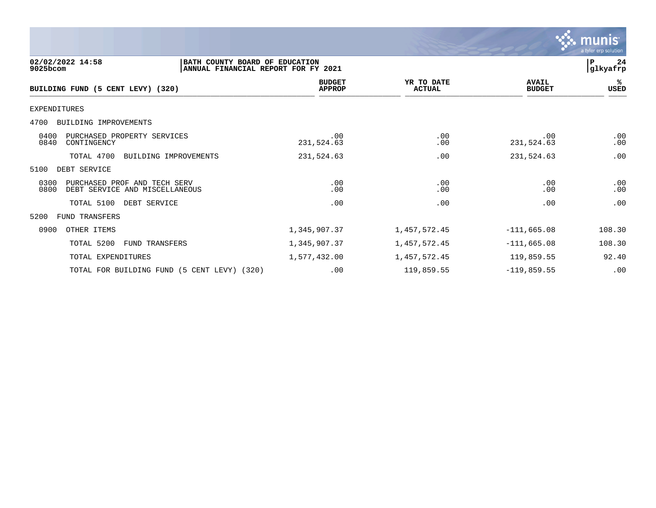

### 4700 BUILDING IMPROVEMENTS

**BUILDING FUND (5 CENT LEVY) (320)** 

| 4700<br>BUILDING IMPROVEMENTS                                                  |                   |              |                   |            |
|--------------------------------------------------------------------------------|-------------------|--------------|-------------------|------------|
| 0400<br>PURCHASED PROPERTY SERVICES<br>0840<br>CONTINGENCY                     | .00<br>231,524.63 | .00<br>.00   | .00<br>231,524.63 | .00<br>.00 |
| TOTAL 4700<br>BUILDING IMPROVEMENTS                                            | 231,524.63        | .00          | 231,524.63        | .00        |
| 5100<br>DEBT SERVICE                                                           |                   |              |                   |            |
| 0300<br>PURCHASED PROF AND TECH SERV<br>0800<br>DEBT SERVICE AND MISCELLANEOUS | .00<br>.00        | .00<br>.00   | .00<br>.00        | .00<br>.00 |
| TOTAL 5100<br>DEBT SERVICE                                                     | .00               | .00          | .00               | .00        |
| 5200<br>FUND TRANSFERS                                                         |                   |              |                   |            |
| 0900<br>OTHER ITEMS                                                            | 1,345,907.37      | 1,457,572.45 | $-111,665.08$     | 108.30     |
| TOTAL 5200<br><b>FUND TRANSFERS</b>                                            | 1,345,907.37      | 1,457,572.45 | $-111,665.08$     | 108.30     |
| TOTAL EXPENDITURES                                                             | 1,577,432.00      | 1,457,572.45 | 119,859.55        | 92.40      |
| TOTAL FOR BUILDING FUND (5 CENT LEVY) (320)                                    | .00               | 119,859.55   | $-119,859.55$     | .00        |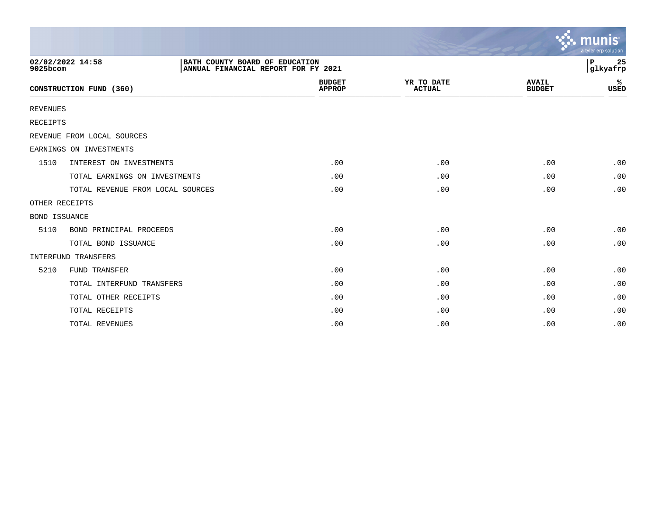|                      |                                  |                                                                       |                                |                             |                               | munis<br>a tyler erp solution |
|----------------------|----------------------------------|-----------------------------------------------------------------------|--------------------------------|-----------------------------|-------------------------------|-------------------------------|
| 9025bcom             | 02/02/2022 14:58                 | BATH COUNTY BOARD OF EDUCATION<br>ANNUAL FINANCIAL REPORT FOR FY 2021 |                                |                             |                               | 25<br>ΙP<br> glkyafrp         |
|                      | CONSTRUCTION FUND (360)          |                                                                       | <b>BUDGET</b><br><b>APPROP</b> | YR TO DATE<br><b>ACTUAL</b> | <b>AVAIL</b><br><b>BUDGET</b> | ℁<br><b>USED</b>              |
| <b>REVENUES</b>      |                                  |                                                                       |                                |                             |                               |                               |
| RECEIPTS             |                                  |                                                                       |                                |                             |                               |                               |
|                      | REVENUE FROM LOCAL SOURCES       |                                                                       |                                |                             |                               |                               |
|                      | EARNINGS ON INVESTMENTS          |                                                                       |                                |                             |                               |                               |
| 1510                 | INTEREST ON INVESTMENTS          |                                                                       | .00                            | .00                         | .00                           | .00                           |
|                      | TOTAL EARNINGS ON INVESTMENTS    |                                                                       | .00                            | .00                         | .00                           | .00                           |
|                      | TOTAL REVENUE FROM LOCAL SOURCES |                                                                       | .00                            | .00                         | .00                           | .00                           |
| OTHER RECEIPTS       |                                  |                                                                       |                                |                             |                               |                               |
| <b>BOND ISSUANCE</b> |                                  |                                                                       |                                |                             |                               |                               |
| 5110                 | BOND PRINCIPAL PROCEEDS          |                                                                       | .00                            | .00                         | .00                           | .00                           |
|                      | TOTAL BOND ISSUANCE              |                                                                       | .00                            | .00                         | .00                           | .00                           |
|                      | INTERFUND TRANSFERS              |                                                                       |                                |                             |                               |                               |
| 5210                 | <b>FUND TRANSFER</b>             |                                                                       | .00                            | .00                         | .00                           | .00                           |
|                      | TOTAL INTERFUND TRANSFERS        |                                                                       | .00                            | .00                         | .00                           | .00                           |
|                      | TOTAL OTHER RECEIPTS             |                                                                       | .00                            | .00                         | .00                           | .00                           |
|                      | TOTAL RECEIPTS                   |                                                                       | .00                            | .00                         | .00                           | .00                           |
|                      | TOTAL REVENUES                   |                                                                       | .00                            | .00                         | .00                           | .00                           |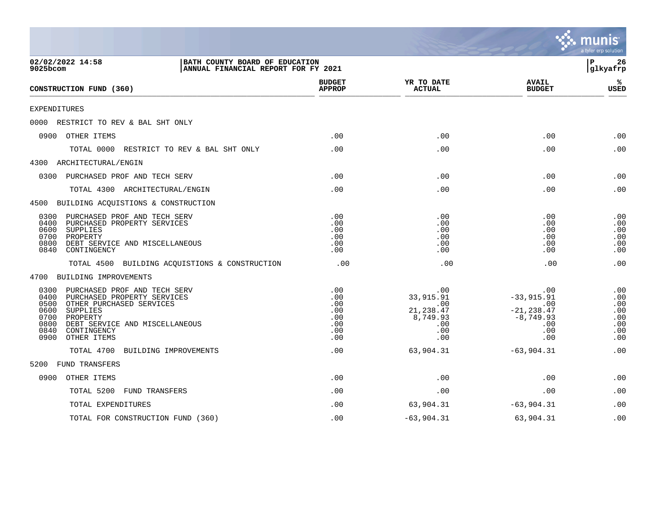|                                                                                                                                                                                                                                                 |                                                      |                                                                        |                                                                                 | a tyler erp solution                                 |
|-------------------------------------------------------------------------------------------------------------------------------------------------------------------------------------------------------------------------------------------------|------------------------------------------------------|------------------------------------------------------------------------|---------------------------------------------------------------------------------|------------------------------------------------------|
| 02/02/2022 14:58<br>BATH COUNTY BOARD OF EDUCATION<br>9025bcom<br>ANNUAL FINANCIAL REPORT FOR FY 2021                                                                                                                                           |                                                      |                                                                        |                                                                                 | Þ<br>26<br> glkyafrp                                 |
| CONSTRUCTION FUND (360)                                                                                                                                                                                                                         | <b>BUDGET</b><br><b>APPROP</b>                       | YR TO DATE<br><b>ACTUAL</b>                                            | <b>AVAIL</b><br><b>BUDGET</b>                                                   | ℁<br><b>USED</b>                                     |
| EXPENDITURES                                                                                                                                                                                                                                    |                                                      |                                                                        |                                                                                 |                                                      |
| 0000 RESTRICT TO REV & BAL SHT ONLY                                                                                                                                                                                                             |                                                      |                                                                        |                                                                                 |                                                      |
| 0900 OTHER ITEMS                                                                                                                                                                                                                                | .00                                                  | .00                                                                    | .00                                                                             | .00                                                  |
| TOTAL 0000<br>RESTRICT TO REV & BAL SHT ONLY                                                                                                                                                                                                    | .00                                                  | .00                                                                    | .00                                                                             | .00                                                  |
| 4300 ARCHITECTURAL/ENGIN                                                                                                                                                                                                                        |                                                      |                                                                        |                                                                                 |                                                      |
| PURCHASED PROF AND TECH SERV<br>0300                                                                                                                                                                                                            | .00                                                  | .00                                                                    | .00                                                                             | .00                                                  |
| TOTAL 4300 ARCHITECTURAL/ENGIN                                                                                                                                                                                                                  | .00                                                  | .00                                                                    | .00                                                                             | .00                                                  |
| 4500 BUILDING ACQUISTIONS & CONSTRUCTION                                                                                                                                                                                                        |                                                      |                                                                        |                                                                                 |                                                      |
| 0300<br>PURCHASED PROF AND TECH SERV<br>0400<br>PURCHASED PROPERTY SERVICES<br>0600<br>SUPPLIES<br>0700<br>PROPERTY<br>0800<br>DEBT SERVICE AND MISCELLANEOUS<br>0840<br>CONTINGENCY                                                            | .00<br>.00<br>.00<br>.00<br>.00<br>.00               | .00<br>.00<br>.00<br>.00<br>.00<br>.00                                 | .00<br>.00<br>.00<br>.00<br>.00<br>.00                                          | .00<br>.00<br>.00<br>.00<br>.00<br>.00               |
| TOTAL 4500 BUILDING ACQUISTIONS & CONSTRUCTION                                                                                                                                                                                                  | .00                                                  | .00                                                                    | .00                                                                             | .00                                                  |
| 4700 BUILDING IMPROVEMENTS                                                                                                                                                                                                                      |                                                      |                                                                        |                                                                                 |                                                      |
| 0300<br>PURCHASED PROF AND TECH SERV<br>0400<br>PURCHASED PROPERTY SERVICES<br>0500<br>OTHER PURCHASED SERVICES<br>0600<br>SUPPLIES<br>0700<br>PROPERTY<br>0800<br>DEBT SERVICE AND MISCELLANEOUS<br>0840<br>CONTINGENCY<br>0900<br>OTHER ITEMS | .00<br>.00<br>.00<br>.00<br>.00<br>.00<br>.00<br>.00 | .00<br>33,915.91<br>.00<br>21, 238.47<br>8,749.93<br>.00<br>.00<br>.00 | .00<br>$-33,915.91$<br>.00<br>$-21, 238.47$<br>$-8,749.93$<br>.00<br>.00<br>.00 | .00<br>.00<br>.00<br>.00<br>.00<br>.00<br>.00<br>.00 |
| TOTAL 4700<br>BUILDING IMPROVEMENTS                                                                                                                                                                                                             | .00                                                  | 63,904.31                                                              | $-63,904.31$                                                                    | .00                                                  |
| FUND TRANSFERS<br>5200                                                                                                                                                                                                                          |                                                      |                                                                        |                                                                                 |                                                      |
| 0900<br>OTHER ITEMS                                                                                                                                                                                                                             | .00                                                  | .00                                                                    | .00                                                                             | .00                                                  |
| TOTAL 5200<br><b>FUND TRANSFERS</b>                                                                                                                                                                                                             | .00                                                  | .00                                                                    | .00                                                                             | .00                                                  |
| TOTAL EXPENDITURES                                                                                                                                                                                                                              | .00                                                  | 63,904.31                                                              | $-63,904.31$                                                                    | .00                                                  |
| TOTAL FOR CONSTRUCTION FUND (360)                                                                                                                                                                                                               | .00                                                  | $-63,904.31$                                                           | 63,904.31                                                                       | .00                                                  |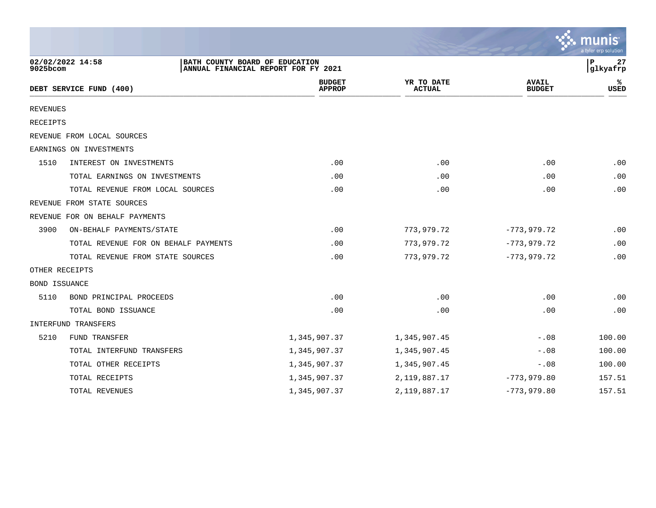|                      |                                                    |                                     |                             |                               | a tyler erp solution |
|----------------------|----------------------------------------------------|-------------------------------------|-----------------------------|-------------------------------|----------------------|
| 9025bcom             | 02/02/2022 14:58<br>BATH COUNTY BOARD OF EDUCATION | ANNUAL FINANCIAL REPORT FOR FY 2021 |                             |                               | 27<br>P<br>glkyafrp  |
|                      | DEBT SERVICE FUND (400)                            | <b>BUDGET</b><br><b>APPROP</b>      | YR TO DATE<br><b>ACTUAL</b> | <b>AVAIL</b><br><b>BUDGET</b> | ℁<br><b>USED</b>     |
| <b>REVENUES</b>      |                                                    |                                     |                             |                               |                      |
| <b>RECEIPTS</b>      |                                                    |                                     |                             |                               |                      |
|                      | REVENUE FROM LOCAL SOURCES                         |                                     |                             |                               |                      |
|                      | EARNINGS ON INVESTMENTS                            |                                     |                             |                               |                      |
| 1510                 | INTEREST ON INVESTMENTS                            | .00                                 | .00                         | .00                           | .00                  |
|                      | TOTAL EARNINGS ON INVESTMENTS                      | .00                                 | .00                         | .00                           | .00                  |
|                      | TOTAL REVENUE FROM LOCAL SOURCES                   | .00                                 | .00                         | .00                           | .00                  |
|                      | REVENUE FROM STATE SOURCES                         |                                     |                             |                               |                      |
|                      | REVENUE FOR ON BEHALF PAYMENTS                     |                                     |                             |                               |                      |
| 3900                 | ON-BEHALF PAYMENTS/STATE                           | .00                                 | 773,979.72                  | $-773,979.72$                 | .00                  |
|                      | TOTAL REVENUE FOR ON BEHALF PAYMENTS               | .00                                 | 773,979.72                  | $-773,979.72$                 | .00                  |
|                      | TOTAL REVENUE FROM STATE SOURCES                   | .00                                 | 773,979.72                  | $-773, 979.72$                | .00                  |
| OTHER RECEIPTS       |                                                    |                                     |                             |                               |                      |
| <b>BOND ISSUANCE</b> |                                                    |                                     |                             |                               |                      |
| 5110                 | BOND PRINCIPAL PROCEEDS                            | .00                                 | .00                         | .00                           | .00                  |
|                      | TOTAL BOND ISSUANCE                                | .00                                 | .00                         | .00                           | .00                  |
|                      | INTERFUND TRANSFERS                                |                                     |                             |                               |                      |
| 5210                 | FUND TRANSFER                                      | 1,345,907.37                        | 1,345,907.45                | $-.08$                        | 100.00               |
|                      | TOTAL INTERFUND TRANSFERS                          | 1,345,907.37                        | 1,345,907.45                | $-.08$                        | 100.00               |
|                      | TOTAL OTHER RECEIPTS                               | 1,345,907.37                        | 1,345,907.45                | $-.08$                        | 100.00               |
|                      | TOTAL RECEIPTS                                     | 1,345,907.37                        | 2, 119, 887. 17             | $-773,979.80$                 | 157.51               |
|                      | TOTAL REVENUES                                     | 1,345,907.37                        | 2, 119, 887. 17             | $-773,979.80$                 | 157.51               |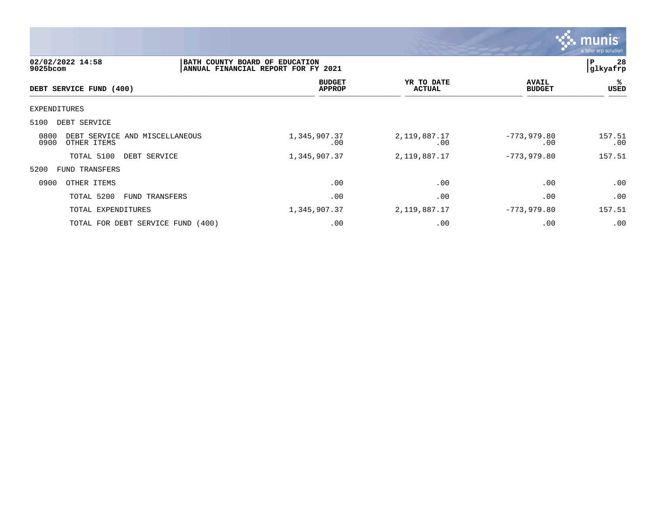

| 02/02/2022 14:58<br>9025bcom                                  | BATH COUNTY BOARD OF EDUCATION<br>ANNUAL FINANCIAL REPORT FOR FY 2021 |                                |             |                             |                               | 28<br>ΙP<br> glkyafrp |  |
|---------------------------------------------------------------|-----------------------------------------------------------------------|--------------------------------|-------------|-----------------------------|-------------------------------|-----------------------|--|
| DEBT SERVICE FUND (400)                                       |                                                                       | <b>BUDGET</b><br><b>APPROP</b> |             | YR TO DATE<br><b>ACTUAL</b> | <b>AVAIL</b><br><b>BUDGET</b> | %ะ<br>USED            |  |
| EXPENDITURES                                                  |                                                                       |                                |             |                             |                               |                       |  |
| 5100<br>DEBT SERVICE                                          |                                                                       |                                |             |                             |                               |                       |  |
| 0800<br>DEBT SERVICE AND MISCELLANEOUS<br>0900<br>OTHER ITEMS |                                                                       | 1,345,907.37                   | $.00 \ \rm$ | 2,119,887.17<br>.00         | $-773,979.80$<br>.00          | 157.51<br>.00         |  |
| TOTAL 5100<br>DEBT SERVICE                                    |                                                                       | 1,345,907.37                   |             | 2,119,887.17                | $-773,979.80$                 | 157.51                |  |
| 5200<br><b>FUND TRANSFERS</b>                                 |                                                                       |                                |             |                             |                               |                       |  |
| 0900<br>OTHER ITEMS                                           |                                                                       |                                | .00         | .00                         | .00                           | .00                   |  |
| TOTAL 5200<br>FUND TRANSFERS                                  |                                                                       |                                | .00         | .00                         | .00                           | .00                   |  |
| TOTAL EXPENDITURES                                            |                                                                       | 1,345,907.37                   |             | 2,119,887.17                | $-773,979.80$                 | 157.51                |  |
| TOTAL FOR DEBT SERVICE FUND (400)                             |                                                                       |                                | .00         | .00                         | .00                           | .00                   |  |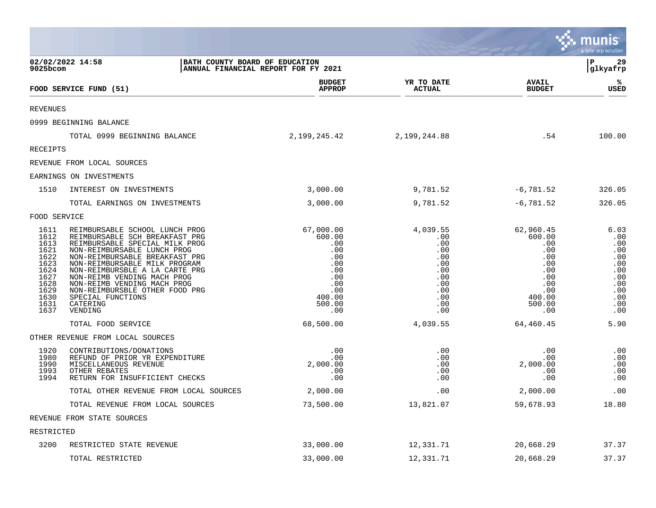|                                                                                                      |                                                                                                                                                                                                                                                                                                                                                                                    |                                                                                                        |                                                                                              |                                                                                                        | <b>munis</b><br>a tyler erp solution                                                     |
|------------------------------------------------------------------------------------------------------|------------------------------------------------------------------------------------------------------------------------------------------------------------------------------------------------------------------------------------------------------------------------------------------------------------------------------------------------------------------------------------|--------------------------------------------------------------------------------------------------------|----------------------------------------------------------------------------------------------|--------------------------------------------------------------------------------------------------------|------------------------------------------------------------------------------------------|
| 9025bcom                                                                                             | 02/02/2022 14:58<br>BATH COUNTY BOARD OF EDUCATION                                                                                                                                                                                                                                                                                                                                 | ANNUAL FINANCIAL REPORT FOR FY 2021                                                                    |                                                                                              |                                                                                                        | 29<br>P<br>glkyafrp                                                                      |
|                                                                                                      | FOOD SERVICE FUND (51)                                                                                                                                                                                                                                                                                                                                                             | <b>BUDGET</b><br><b>APPROP</b>                                                                         | YR TO DATE<br><b>ACTUAL</b>                                                                  | <b>AVAIL</b><br><b>BUDGET</b>                                                                          | ℁<br><b>USED</b>                                                                         |
| <b>REVENUES</b>                                                                                      |                                                                                                                                                                                                                                                                                                                                                                                    |                                                                                                        |                                                                                              |                                                                                                        |                                                                                          |
|                                                                                                      | 0999 BEGINNING BALANCE                                                                                                                                                                                                                                                                                                                                                             |                                                                                                        |                                                                                              |                                                                                                        |                                                                                          |
|                                                                                                      | TOTAL 0999 BEGINNING BALANCE                                                                                                                                                                                                                                                                                                                                                       | 2,199,245.42                                                                                           | 2,199,244.88                                                                                 | .54                                                                                                    | 100.00                                                                                   |
| RECEIPTS                                                                                             |                                                                                                                                                                                                                                                                                                                                                                                    |                                                                                                        |                                                                                              |                                                                                                        |                                                                                          |
|                                                                                                      | REVENUE FROM LOCAL SOURCES                                                                                                                                                                                                                                                                                                                                                         |                                                                                                        |                                                                                              |                                                                                                        |                                                                                          |
|                                                                                                      | EARNINGS ON INVESTMENTS                                                                                                                                                                                                                                                                                                                                                            |                                                                                                        |                                                                                              |                                                                                                        |                                                                                          |
| 1510                                                                                                 | INTEREST ON INVESTMENTS                                                                                                                                                                                                                                                                                                                                                            | 3,000.00                                                                                               | 9,781.52                                                                                     | $-6,781.52$                                                                                            | 326.05                                                                                   |
|                                                                                                      | TOTAL EARNINGS ON INVESTMENTS                                                                                                                                                                                                                                                                                                                                                      | 3,000.00                                                                                               | 9,781.52                                                                                     | $-6,781.52$                                                                                            | 326.05                                                                                   |
| FOOD SERVICE                                                                                         |                                                                                                                                                                                                                                                                                                                                                                                    |                                                                                                        |                                                                                              |                                                                                                        |                                                                                          |
| 1611<br>1612<br>1613<br>1621<br>1622<br>1623<br>1624<br>1627<br>1628<br>1629<br>1630<br>1631<br>1637 | REIMBURSABLE SCHOOL LUNCH PROG<br>REIMBURSABLE SCH BREAKFAST PRG<br>REIMBURSABLE SPECIAL MILK PROG<br>NON-REIMBURSABLE LUNCH PROG<br>NON-REIMBURSABLE BREAKFAST PRG<br>NON-REIMBURSABLE MILK PROGRAM<br>NON-REIMBURSBLE A LA CARTE PRG<br>NON-REIMB VENDING MACH PROG<br>NON-REIMB VENDING MACH PROG<br>NON-REIMBURSBLE OTHER FOOD PRG<br>SPECIAL FUNCTIONS<br>CATERING<br>VENDING | 67,000.00<br>600.00<br>.00<br>.00<br>.00<br>.00<br>.00<br>.00<br>.00<br>.00<br>400.00<br>500.00<br>.00 | 4,039.55<br>.00<br>.00<br>.00<br>.00<br>.00<br>.00<br>.00<br>.00<br>.00<br>.00<br>.00<br>.00 | 62,960.45<br>600.00<br>.00<br>.00<br>.00<br>.00<br>.00<br>.00<br>.00<br>.00<br>400.00<br>500.00<br>.00 | 6.03<br>.00<br>.00<br>.00<br>.00<br>.00<br>.00<br>.00<br>.00<br>.00<br>.00<br>.00<br>.00 |
|                                                                                                      | TOTAL FOOD SERVICE                                                                                                                                                                                                                                                                                                                                                                 | 68,500.00                                                                                              | 4,039.55                                                                                     | 64,460.45                                                                                              | 5.90                                                                                     |
|                                                                                                      | OTHER REVENUE FROM LOCAL SOURCES                                                                                                                                                                                                                                                                                                                                                   |                                                                                                        |                                                                                              |                                                                                                        |                                                                                          |
| 1920<br>1980<br>1990<br>1993<br>1994                                                                 | CONTRIBUTIONS/DONATIONS<br>REFUND OF PRIOR YR EXPENDITURE<br>MISCELLANEOUS REVENUE<br>OTHER REBATES<br>RETURN FOR INSUFFICIENT CHECKS                                                                                                                                                                                                                                              | .00<br>.00<br>2,000.00<br>.00<br>.00                                                                   | .00<br>.00<br>.00<br>.00<br>.00                                                              | .00<br>.00<br>2,000.00<br>.00<br>.00                                                                   | .00<br>.00<br>.00<br>.00<br>.00                                                          |
|                                                                                                      | TOTAL OTHER REVENUE FROM LOCAL SOURCES                                                                                                                                                                                                                                                                                                                                             | 2,000.00                                                                                               | .00                                                                                          | 2,000.00                                                                                               | .00                                                                                      |
|                                                                                                      | TOTAL REVENUE FROM LOCAL SOURCES                                                                                                                                                                                                                                                                                                                                                   | 73,500.00                                                                                              | 13,821.07                                                                                    | 59,678.93                                                                                              | 18.80                                                                                    |
|                                                                                                      | REVENUE FROM STATE SOURCES                                                                                                                                                                                                                                                                                                                                                         |                                                                                                        |                                                                                              |                                                                                                        |                                                                                          |
| RESTRICTED                                                                                           |                                                                                                                                                                                                                                                                                                                                                                                    |                                                                                                        |                                                                                              |                                                                                                        |                                                                                          |
| 3200                                                                                                 | RESTRICTED STATE REVENUE                                                                                                                                                                                                                                                                                                                                                           | 33,000.00                                                                                              | 12,331.71                                                                                    | 20,668.29                                                                                              | 37.37                                                                                    |
|                                                                                                      | TOTAL RESTRICTED                                                                                                                                                                                                                                                                                                                                                                   | 33,000.00                                                                                              | 12,331.71                                                                                    | 20,668.29                                                                                              | 37.37                                                                                    |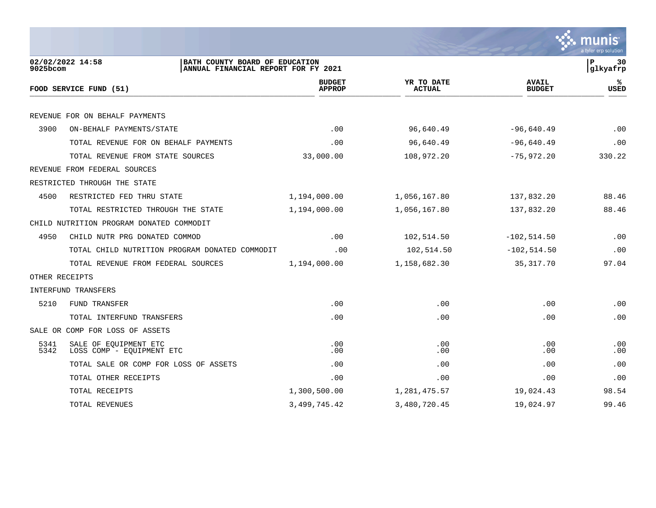

| 9025bcom       | 02/02/2022 14:58<br>BATH COUNTY BOARD OF EDUCATION<br>ANNUAL FINANCIAL REPORT FOR FY 2021 |                                |                             |                               | 30<br>lР<br> glkyafrp |
|----------------|-------------------------------------------------------------------------------------------|--------------------------------|-----------------------------|-------------------------------|-----------------------|
|                | FOOD SERVICE FUND (51)                                                                    | <b>BUDGET</b><br><b>APPROP</b> | YR TO DATE<br><b>ACTUAL</b> | <b>AVAIL</b><br><b>BUDGET</b> | %ะ<br><b>USED</b>     |
|                |                                                                                           |                                |                             |                               |                       |
|                | REVENUE FOR ON BEHALF PAYMENTS                                                            |                                |                             |                               |                       |
| 3900           | ON-BEHALF PAYMENTS/STATE                                                                  | .00                            | 96,640.49                   | $-96,640.49$                  | .00                   |
|                | TOTAL REVENUE FOR ON BEHALF PAYMENTS                                                      | .00                            | 96,640.49                   | $-96,640.49$                  | .00                   |
|                | TOTAL REVENUE FROM STATE SOURCES                                                          | 33,000.00                      | 108,972.20                  | $-75,972.20$                  | 330.22                |
|                | REVENUE FROM FEDERAL SOURCES                                                              |                                |                             |                               |                       |
|                | RESTRICTED THROUGH THE STATE                                                              |                                |                             |                               |                       |
| 4500           | RESTRICTED FED THRU STATE                                                                 | 1,194,000.00                   | 1,056,167.80                | 137,832.20                    | 88.46                 |
|                | TOTAL RESTRICTED THROUGH THE STATE                                                        | 1,194,000.00                   | 1,056,167.80                | 137,832.20                    | 88.46                 |
|                | CHILD NUTRITION PROGRAM DONATED COMMODIT                                                  |                                |                             |                               |                       |
| 4950           | CHILD NUTR PRG DONATED COMMOD                                                             | .00                            | 102,514.50                  | $-102, 514.50$                | .00                   |
|                | TOTAL CHILD NUTRITION PROGRAM DONATED COMMODIT                                            | .00                            | 102,514.50                  | $-102, 514.50$                | .00                   |
|                | TOTAL REVENUE FROM FEDERAL SOURCES                                                        | 1,194,000.00                   | 1,158,682.30                | 35,317.70                     | 97.04                 |
| OTHER RECEIPTS |                                                                                           |                                |                             |                               |                       |
|                | INTERFUND TRANSFERS                                                                       |                                |                             |                               |                       |
| 5210           | FUND TRANSFER                                                                             | .00                            | .00                         | .00                           | .00                   |
|                | TOTAL INTERFUND TRANSFERS                                                                 | .00                            | .00                         | .00                           | .00                   |
|                | SALE OR COMP FOR LOSS OF ASSETS                                                           |                                |                             |                               |                       |
| 5341<br>5342   | SALE OF EQUIPMENT ETC<br>LOSS COMP - EQUIPMENT ETC                                        | .00<br>.00                     | .00<br>.00                  | .00<br>.00.                   | .00<br>.00            |
|                | TOTAL SALE OR COMP FOR LOSS OF ASSETS                                                     | .00                            | .00                         | .00                           | .00                   |
|                | TOTAL OTHER RECEIPTS                                                                      | .00                            | .00                         | .00                           | .00                   |
|                | TOTAL RECEIPTS                                                                            | 1,300,500.00                   | 1,281,475.57                | 19,024.43                     | 98.54                 |
|                | TOTAL REVENUES                                                                            | 3, 499, 745.42                 | 3,480,720.45                | 19,024.97                     | 99.46                 |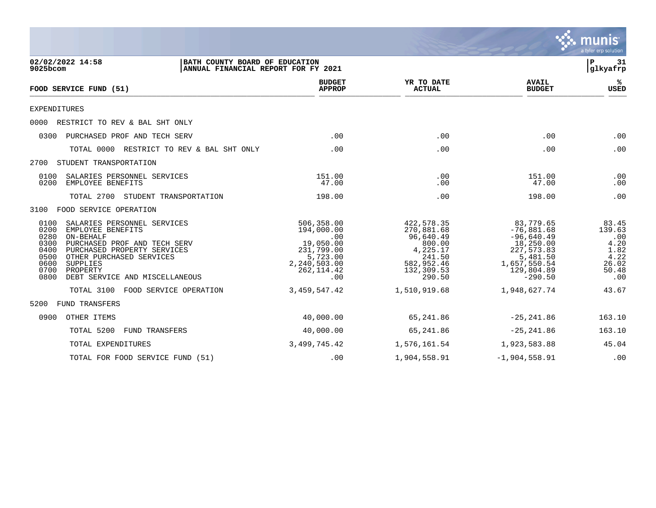

| 02/02/2022 14:58<br>BATH COUNTY BOARD OF EDUCATION<br>9025bcom<br>ANNUAL FINANCIAL REPORT FOR FY 2021                                                                                                                                                                                      |                                                                                                              |                                                                                                              |                                                                                                                             | 31<br>Р<br>glkyafrp                                                     |
|--------------------------------------------------------------------------------------------------------------------------------------------------------------------------------------------------------------------------------------------------------------------------------------------|--------------------------------------------------------------------------------------------------------------|--------------------------------------------------------------------------------------------------------------|-----------------------------------------------------------------------------------------------------------------------------|-------------------------------------------------------------------------|
| FOOD SERVICE FUND (51)                                                                                                                                                                                                                                                                     | <b>BUDGET</b><br><b>APPROP</b>                                                                               | YR TO DATE<br><b>ACTUAL</b>                                                                                  | <b>AVAIL</b><br><b>BUDGET</b>                                                                                               | %ะ<br><b>USED</b>                                                       |
| <b>EXPENDITURES</b>                                                                                                                                                                                                                                                                        |                                                                                                              |                                                                                                              |                                                                                                                             |                                                                         |
| RESTRICT TO REV & BAL SHT ONLY<br>0000                                                                                                                                                                                                                                                     |                                                                                                              |                                                                                                              |                                                                                                                             |                                                                         |
| 0300<br>PURCHASED PROF AND TECH SERV                                                                                                                                                                                                                                                       | .00                                                                                                          | .00                                                                                                          | .00                                                                                                                         | .00                                                                     |
| TOTAL 0000 RESTRICT TO REV & BAL SHT ONLY                                                                                                                                                                                                                                                  | .00                                                                                                          | .00                                                                                                          | .00                                                                                                                         | .00                                                                     |
| STUDENT TRANSPORTATION<br>2700                                                                                                                                                                                                                                                             |                                                                                                              |                                                                                                              |                                                                                                                             |                                                                         |
| 0100<br>SALARIES PERSONNEL SERVICES<br>0200<br>EMPLOYEE BENEFITS                                                                                                                                                                                                                           | 151.00<br>47.00                                                                                              | .00<br>.00                                                                                                   | 151.00<br>47.00                                                                                                             | .00<br>.00                                                              |
| TOTAL 2700<br>STUDENT TRANSPORTATION                                                                                                                                                                                                                                                       | 198.00                                                                                                       | .00                                                                                                          | 198.00                                                                                                                      | .00                                                                     |
| FOOD SERVICE OPERATION<br>3100                                                                                                                                                                                                                                                             |                                                                                                              |                                                                                                              |                                                                                                                             |                                                                         |
| 0100<br>SALARIES PERSONNEL SERVICES<br>0200<br>EMPLOYEE BENEFITS<br>0280<br>ON-BEHALF<br>0300<br>PURCHASED PROF AND TECH SERV<br>0400<br>PURCHASED PROPERTY SERVICES<br>0500<br>OTHER PURCHASED SERVICES<br>0600<br>SUPPLIES<br>0700<br>PROPERTY<br>0800<br>DEBT SERVICE AND MISCELLANEOUS | 506,358.00<br>194,000.00<br>.00<br>19,050.00<br>231,799.00<br>5,723.00<br>2,240,503.00<br>262, 114.42<br>.00 | 422, 578.35<br>270,881.68<br>96,640.49<br>800.00<br>4,225.17<br>241.50<br>582,952.46<br>132,309.53<br>290.50 | 83,779.65<br>$-76,881.68$<br>$-96,640.49$<br>18,250.00<br>227,573.83<br>5,481.50<br>1,657,550.54<br>129,804.89<br>$-290.50$ | 83.45<br>139.63<br>.00<br>4.20<br>1.82<br>4.22<br>26.02<br>50.48<br>.00 |
| FOOD SERVICE OPERATION<br>TOTAL 3100                                                                                                                                                                                                                                                       | 3, 459, 547.42                                                                                               | 1,510,919.68                                                                                                 | 1,948,627.74                                                                                                                | 43.67                                                                   |
| <b>FUND TRANSFERS</b><br>5200                                                                                                                                                                                                                                                              |                                                                                                              |                                                                                                              |                                                                                                                             |                                                                         |
| 0900<br>OTHER ITEMS                                                                                                                                                                                                                                                                        | 40,000.00                                                                                                    | 65,241.86                                                                                                    | $-25, 241.86$                                                                                                               | 163.10                                                                  |
| TOTAL 5200<br>FUND TRANSFERS                                                                                                                                                                                                                                                               | 40,000.00                                                                                                    | 65,241.86                                                                                                    | $-25, 241.86$                                                                                                               | 163.10                                                                  |
| TOTAL EXPENDITURES                                                                                                                                                                                                                                                                         | 3,499,745.42                                                                                                 | 1,576,161.54                                                                                                 | 1,923,583.88                                                                                                                | 45.04                                                                   |
| TOTAL FOR FOOD SERVICE FUND (51)                                                                                                                                                                                                                                                           | .00                                                                                                          | 1,904,558.91                                                                                                 | $-1,904,558.91$                                                                                                             | .00                                                                     |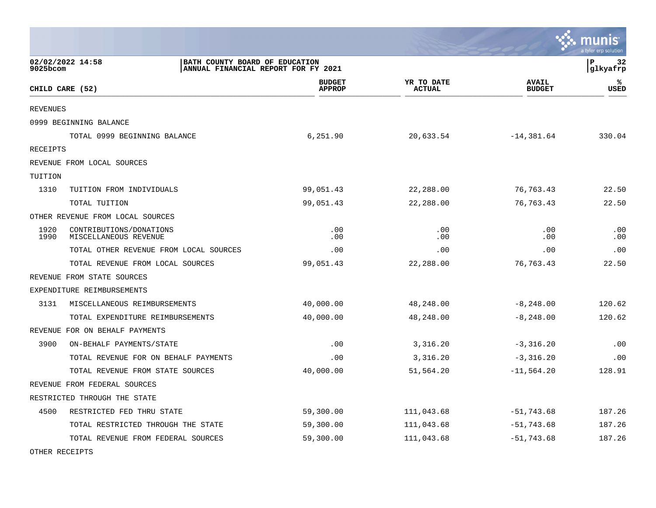|                 |                                                    |                                     |                             |                               | munis<br>a tyler erp solution |
|-----------------|----------------------------------------------------|-------------------------------------|-----------------------------|-------------------------------|-------------------------------|
| 9025bcom        | 02/02/2022 14:58<br>BATH COUNTY BOARD OF EDUCATION | ANNUAL FINANCIAL REPORT FOR FY 2021 |                             |                               | lР<br>32<br>glkyafrp          |
|                 | CHILD CARE (52)                                    | <b>BUDGET</b><br><b>APPROP</b>      | YR TO DATE<br><b>ACTUAL</b> | <b>AVAIL</b><br><b>BUDGET</b> | ℁<br><b>USED</b>              |
| <b>REVENUES</b> |                                                    |                                     |                             |                               |                               |
|                 | 0999 BEGINNING BALANCE                             |                                     |                             |                               |                               |
|                 | TOTAL 0999 BEGINNING BALANCE                       | 6,251.90                            | 20,633.54                   | $-14,381.64$                  | 330.04                        |
| RECEIPTS        |                                                    |                                     |                             |                               |                               |
|                 | REVENUE FROM LOCAL SOURCES                         |                                     |                             |                               |                               |
| TUITION         |                                                    |                                     |                             |                               |                               |
| 1310            | TUITION FROM INDIVIDUALS                           | 99,051.43                           | 22,288.00                   | 76,763.43                     | 22.50                         |
|                 | TOTAL TUITION                                      | 99,051.43                           | 22,288.00                   | 76, 763. 43                   | 22.50                         |
|                 | OTHER REVENUE FROM LOCAL SOURCES                   |                                     |                             |                               |                               |
| 1920<br>1990    | CONTRIBUTIONS/DONATIONS<br>MISCELLANEOUS REVENUE   | .00<br>.00                          | .00<br>.00                  | .00<br>.00                    | .00<br>.00                    |
|                 | TOTAL OTHER REVENUE FROM LOCAL SOURCES             | .00                                 | .00                         | .00                           | .00                           |
|                 | TOTAL REVENUE FROM LOCAL SOURCES                   | 99,051.43                           | 22,288.00                   | 76, 763. 43                   | 22.50                         |
|                 | REVENUE FROM STATE SOURCES                         |                                     |                             |                               |                               |
|                 | EXPENDITURE REIMBURSEMENTS                         |                                     |                             |                               |                               |
| 3131            | MISCELLANEOUS REIMBURSEMENTS                       | 40,000.00                           | 48,248.00                   | $-8, 248.00$                  | 120.62                        |
|                 | TOTAL EXPENDITURE REIMBURSEMENTS                   | 40,000.00                           | 48,248.00                   | $-8, 248.00$                  | 120.62                        |
|                 | REVENUE FOR ON BEHALF PAYMENTS                     |                                     |                             |                               |                               |
| 3900            | ON-BEHALF PAYMENTS/STATE                           | .00                                 | 3,316.20                    | $-3,316.20$                   | .00                           |
|                 | TOTAL REVENUE FOR ON BEHALF PAYMENTS               | .00                                 | 3,316.20                    | $-3,316.20$                   | .00                           |
|                 | TOTAL REVENUE FROM STATE SOURCES                   | 40,000.00                           | 51,564.20                   | $-11,564.20$                  | 128.91                        |
|                 | REVENUE FROM FEDERAL SOURCES                       |                                     |                             |                               |                               |
|                 | RESTRICTED THROUGH THE STATE                       |                                     |                             |                               |                               |
| 4500            | RESTRICTED FED THRU STATE                          | 59,300.00                           | 111,043.68                  | $-51,743.68$                  | 187.26                        |
|                 | TOTAL RESTRICTED THROUGH THE STATE                 | 59,300.00                           | 111,043.68                  | $-51,743.68$                  | 187.26                        |
|                 | TOTAL REVENUE FROM FEDERAL SOURCES                 | 59,300.00                           | 111,043.68                  | $-51,743.68$                  | 187.26                        |
|                 |                                                    |                                     |                             |                               |                               |

**Contract Contract** 

OTHER RECEIPTS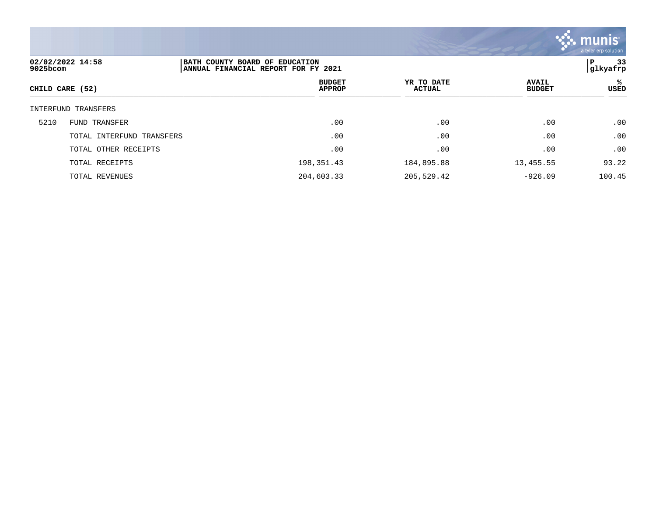

| 02/02/2022 14:58<br>9025bcom |                           | BATH COUNTY BOARD OF EDUCATION<br>ANNUAL FINANCIAL REPORT FOR FY 2021 |                      |                               |            |
|------------------------------|---------------------------|-----------------------------------------------------------------------|----------------------|-------------------------------|------------|
| CHILD CARE (52)              |                           | <b>BUDGET</b><br><b>APPROP</b>                                        | YR TO DATE<br>ACTUAL | <b>AVAIL</b><br><b>BUDGET</b> | %ะ<br>USED |
|                              | INTERFUND TRANSFERS       |                                                                       |                      |                               |            |
| 5210                         | <b>FUND TRANSFER</b>      | .00                                                                   | .00                  | .00                           | .00        |
|                              | TOTAL INTERFUND TRANSFERS | .00                                                                   | .00                  | .00                           | .00        |
|                              | TOTAL OTHER RECEIPTS      | .00                                                                   | .00                  | .00                           | .00        |
|                              | TOTAL RECEIPTS            | 198,351.43                                                            | 184,895.88           | 13,455.55                     | 93.22      |
|                              | TOTAL REVENUES            | 204,603.33                                                            | 205,529.42           | $-926.09$                     | 100.45     |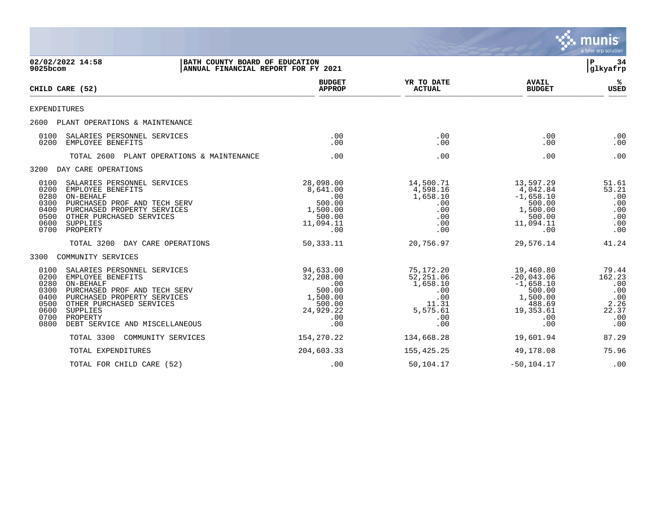|                                                                      |                                                                                                                                                                                                                    |                                                                                          |                                                                                     |                                                                                                     | munis<br>a tyler erp solution                                       |
|----------------------------------------------------------------------|--------------------------------------------------------------------------------------------------------------------------------------------------------------------------------------------------------------------|------------------------------------------------------------------------------------------|-------------------------------------------------------------------------------------|-----------------------------------------------------------------------------------------------------|---------------------------------------------------------------------|
| 9025bcom                                                             | 02/02/2022 14:58<br>  BATH COUNTY BOARD OF EDUCATION<br>ANNUAL FINANCIAL REPORT FOR FY 2021                                                                                                                        |                                                                                          |                                                                                     |                                                                                                     | l P<br>34<br>glkyafrp                                               |
|                                                                      | CHILD CARE (52)                                                                                                                                                                                                    | <b>BUDGET</b><br><b>APPROP</b>                                                           | YR TO DATE<br><b>ACTUAL</b>                                                         | <b>AVAIL</b><br><b>BUDGET</b>                                                                       | ℁<br><b>USED</b>                                                    |
| <b>EXPENDITURES</b>                                                  |                                                                                                                                                                                                                    |                                                                                          |                                                                                     |                                                                                                     |                                                                     |
| 2600                                                                 | PLANT OPERATIONS & MAINTENANCE                                                                                                                                                                                     |                                                                                          |                                                                                     |                                                                                                     |                                                                     |
| 0100<br>0200                                                         | SALARIES PERSONNEL SERVICES<br>EMPLOYEE BENEFITS                                                                                                                                                                   | .00<br>.00                                                                               | .00<br>.00                                                                          | .00<br>.00                                                                                          | .00<br>.00                                                          |
|                                                                      | TOTAL 2600 PLANT OPERATIONS & MAINTENANCE                                                                                                                                                                          | .00                                                                                      | .00                                                                                 | .00                                                                                                 | .00                                                                 |
| 3200                                                                 | DAY CARE OPERATIONS                                                                                                                                                                                                |                                                                                          |                                                                                     |                                                                                                     |                                                                     |
| 0100<br>0200<br>0280<br>0300<br>0400<br>0500<br>0600<br>0700         | SALARIES PERSONNEL SERVICES<br>EMPLOYEE BENEFITS<br>ON-BEHALF<br>PURCHASED PROF AND TECH SERV<br>PURCHASED PROPERTY SERVICES<br>OTHER PURCHASED SERVICES<br>SUPPLIES<br>PROPERTY                                   | 28,098.00<br>8,641.00<br>.00<br>500.00<br>1,500.00<br>500.00<br>11,094.11<br>.00         | 14,500.71<br>4,598.16<br>1,658.10<br>.00<br>.00<br>.00<br>.00<br>.00                | 13,597.29<br>4,042.84<br>$-1,658.10$<br>500.00<br>1,500.00<br>500.00<br>11,094.11<br>.00            | 51.61<br>53.21<br>.00<br>.00<br>.00<br>.00<br>.00<br>.00            |
|                                                                      | TOTAL 3200<br>DAY CARE OPERATIONS                                                                                                                                                                                  | 50, 333. 11                                                                              | 20,756.97                                                                           | 29,576.14                                                                                           | 41.24                                                               |
| 3300                                                                 | COMMUNITY SERVICES                                                                                                                                                                                                 |                                                                                          |                                                                                     |                                                                                                     |                                                                     |
| 0100<br>0200<br>0280<br>0300<br>0400<br>0500<br>0600<br>0700<br>0800 | SALARIES PERSONNEL SERVICES<br>EMPLOYEE BENEFITS<br>ON-BEHALF<br>PURCHASED PROF AND TECH SERV<br>PURCHASED PROPERTY SERVICES<br>OTHER PURCHASED SERVICES<br>SUPPLIES<br>PROPERTY<br>DEBT SERVICE AND MISCELLANEOUS | 94,633.00<br>32,208.00<br>.00<br>500.00<br>1,500.00<br>500.00<br>24,929.22<br>.00<br>.00 | 75,172.20<br>52,251.06<br>1,658.10<br>.00<br>.00<br>11.31<br>5,575.61<br>.00<br>.00 | 19,460.80<br>$-20,043.06$<br>$-1,658.10$<br>500.00<br>1,500.00<br>488.69<br>19,353.61<br>.00<br>.00 | 79.44<br>162.23<br>.00<br>.00<br>.00<br>2.26<br>22.37<br>.00<br>.00 |
|                                                                      | TOTAL 3300<br>COMMUNITY SERVICES                                                                                                                                                                                   | 154, 270. 22                                                                             | 134,668.28                                                                          | 19,601.94                                                                                           | 87.29                                                               |
|                                                                      | TOTAL EXPENDITURES                                                                                                                                                                                                 | 204,603.33                                                                               | 155,425.25                                                                          | 49,178.08                                                                                           | 75.96                                                               |
|                                                                      | TOTAL FOR CHILD CARE (52)                                                                                                                                                                                          | .00                                                                                      | 50,104.17                                                                           | $-50, 104.17$                                                                                       | .00                                                                 |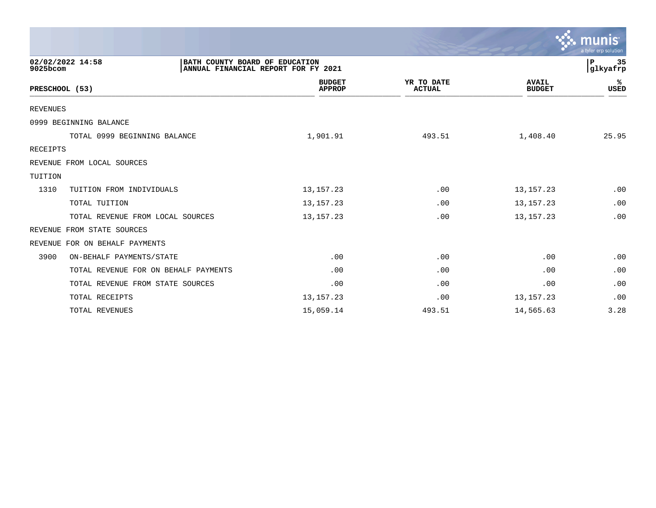|                                                                                                       |                                |                             |                               | $\mathcal{C}$ munis<br>a tyler erp solution |
|-------------------------------------------------------------------------------------------------------|--------------------------------|-----------------------------|-------------------------------|---------------------------------------------|
| 02/02/2022 14:58<br>BATH COUNTY BOARD OF EDUCATION<br>9025bcom<br>ANNUAL FINANCIAL REPORT FOR FY 2021 |                                |                             |                               |                                             |
| PRESCHOOL (53)                                                                                        | <b>BUDGET</b><br><b>APPROP</b> | YR TO DATE<br><b>ACTUAL</b> | <b>AVAIL</b><br><b>BUDGET</b> | ℁<br><b>USED</b>                            |
| REVENUES                                                                                              |                                |                             |                               |                                             |
| 0999 BEGINNING BALANCE                                                                                |                                |                             |                               |                                             |
| TOTAL 0999 BEGINNING BALANCE                                                                          | 1,901.91                       | 493.51                      | 1,408.40                      | 25.95                                       |
| RECEIPTS                                                                                              |                                |                             |                               |                                             |
| REVENUE FROM LOCAL SOURCES                                                                            |                                |                             |                               |                                             |
| TUITION                                                                                               |                                |                             |                               |                                             |
| 1310<br>TUITION FROM INDIVIDUALS                                                                      | 13, 157. 23                    | .00                         | 13, 157. 23                   | .00                                         |
| TOTAL TUITION                                                                                         | 13, 157. 23                    | .00                         | 13, 157. 23                   | .00                                         |
| TOTAL REVENUE FROM LOCAL SOURCES                                                                      | 13, 157. 23                    | .00                         | 13, 157. 23                   | .00                                         |
| FROM STATE SOURCES<br>REVENUE                                                                         |                                |                             |                               |                                             |
| REVENUE<br>FOR ON BEHALF PAYMENTS                                                                     |                                |                             |                               |                                             |
| 3900<br>ON-BEHALF PAYMENTS/STATE                                                                      | .00                            | .00                         | .00                           | .00                                         |
| TOTAL REVENUE FOR ON BEHALF PAYMENTS                                                                  | .00                            | .00                         | .00                           | .00                                         |
| TOTAL REVENUE FROM STATE SOURCES                                                                      | .00                            | .00                         | .00                           | .00                                         |
| TOTAL RECEIPTS                                                                                        | 13, 157. 23                    | .00                         | 13, 157. 23                   | .00                                         |
| <b>TOTAL REVENUES</b>                                                                                 | 15,059.14                      | 493.51                      | 14,565.63                     | 3.28                                        |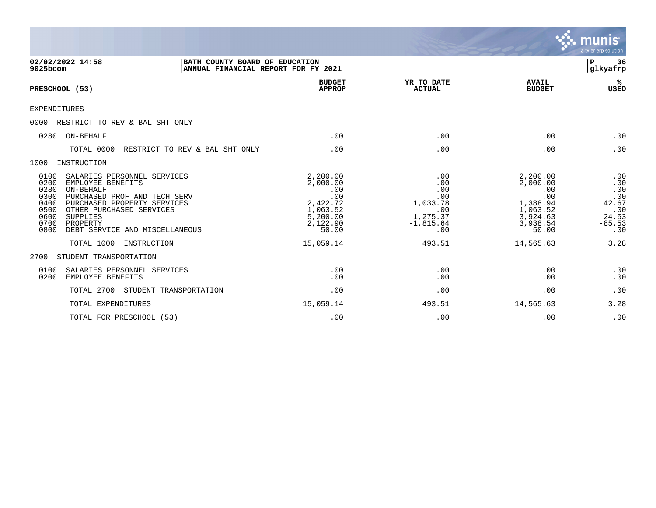|                                                                                                                                                                                                                                                                                            |                                                                                             |                                                                               |                                                                                             | munis<br>a tyler erp solution                                        |
|--------------------------------------------------------------------------------------------------------------------------------------------------------------------------------------------------------------------------------------------------------------------------------------------|---------------------------------------------------------------------------------------------|-------------------------------------------------------------------------------|---------------------------------------------------------------------------------------------|----------------------------------------------------------------------|
| 02/02/2022 14:58<br>BATH COUNTY BOARD OF EDUCATION<br>9025bcom<br>ANNUAL FINANCIAL REPORT FOR FY 2021                                                                                                                                                                                      |                                                                                             |                                                                               |                                                                                             | 36<br>P<br>glkyafrp                                                  |
| PRESCHOOL (53)                                                                                                                                                                                                                                                                             | <b>BUDGET</b><br><b>APPROP</b>                                                              | YR TO DATE<br><b>ACTUAL</b>                                                   | <b>AVAIL</b><br><b>BUDGET</b>                                                               | ℁<br><b>USED</b>                                                     |
| <b>EXPENDITURES</b>                                                                                                                                                                                                                                                                        |                                                                                             |                                                                               |                                                                                             |                                                                      |
| 0000<br>RESTRICT TO REV & BAL SHT ONLY                                                                                                                                                                                                                                                     |                                                                                             |                                                                               |                                                                                             |                                                                      |
| ON-BEHALF<br>0280                                                                                                                                                                                                                                                                          | .00                                                                                         | .00                                                                           | .00                                                                                         | .00                                                                  |
| TOTAL 0000<br>RESTRICT TO REV & BAL SHT ONLY                                                                                                                                                                                                                                               | .00                                                                                         | .00                                                                           | .00                                                                                         | .00                                                                  |
| 1000<br>INSTRUCTION                                                                                                                                                                                                                                                                        |                                                                                             |                                                                               |                                                                                             |                                                                      |
| 0100<br>SALARIES PERSONNEL SERVICES<br>EMPLOYEE BENEFITS<br>0200<br>0280<br>ON-BEHALF<br>0300<br>PURCHASED PROF AND TECH SERV<br>0400<br>PURCHASED PROPERTY SERVICES<br>0500<br>OTHER PURCHASED SERVICES<br>0600<br>SUPPLIES<br>0700<br>PROPERTY<br>0800<br>DEBT SERVICE AND MISCELLANEOUS | 2,200.00<br>2,000.00<br>.00<br>.00<br>2,422.72<br>1,063.52<br>5,200.00<br>2,122.90<br>50.00 | .00<br>.00<br>.00<br>.00<br>1,033.78<br>.00<br>1,275.37<br>$-1,815.64$<br>.00 | 2,200.00<br>2,000.00<br>.00<br>.00<br>1,388.94<br>1,063.52<br>3,924.63<br>3,938.54<br>50.00 | .00<br>.00<br>.00<br>.00<br>42.67<br>.00<br>24.53<br>$-85.53$<br>.00 |
| TOTAL 1000<br>INSTRUCTION                                                                                                                                                                                                                                                                  | 15,059.14                                                                                   | 493.51                                                                        | 14,565.63                                                                                   | 3.28                                                                 |
| 2700<br>STUDENT TRANSPORTATION                                                                                                                                                                                                                                                             |                                                                                             |                                                                               |                                                                                             |                                                                      |
| SALARIES PERSONNEL SERVICES<br>0100<br>0200<br>EMPLOYEE BENEFITS                                                                                                                                                                                                                           | .00<br>.00                                                                                  | .00<br>.00                                                                    | .00<br>.00                                                                                  | .00<br>.00                                                           |
| TOTAL 2700<br>STUDENT TRANSPORTATION                                                                                                                                                                                                                                                       | .00                                                                                         | .00                                                                           | .00                                                                                         | .00                                                                  |
| TOTAL EXPENDITURES                                                                                                                                                                                                                                                                         | 15,059.14                                                                                   | 493.51                                                                        | 14,565.63                                                                                   | 3.28                                                                 |
| TOTAL FOR PRESCHOOL (53)                                                                                                                                                                                                                                                                   | .00                                                                                         | .00                                                                           | .00                                                                                         | .00                                                                  |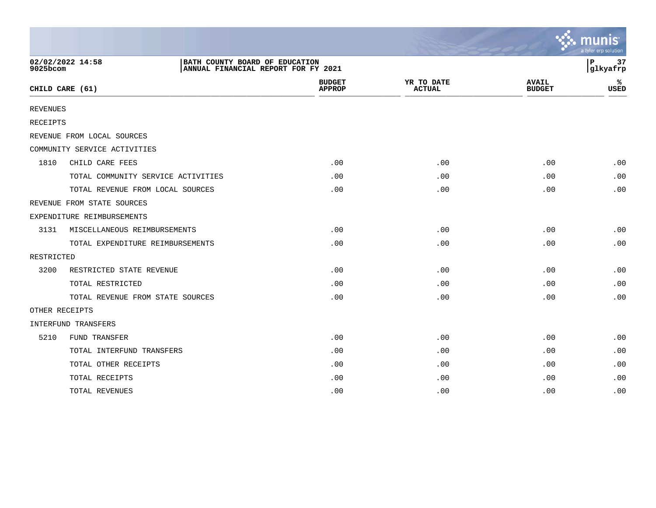|                 |                                                                                           |                                |                             |                               | $\mathbf{\mathcal{Z}}$ munis<br>a tyler erp solution |
|-----------------|-------------------------------------------------------------------------------------------|--------------------------------|-----------------------------|-------------------------------|------------------------------------------------------|
| 9025bcom        | 02/02/2022 14:58<br>BATH COUNTY BOARD OF EDUCATION<br>ANNUAL FINANCIAL REPORT FOR FY 2021 |                                |                             |                               | 37<br>$\mathbf{P}$<br>glkyafrp                       |
|                 | CHILD CARE (61)                                                                           | <b>BUDGET</b><br><b>APPROP</b> | YR TO DATE<br><b>ACTUAL</b> | <b>AVAIL</b><br><b>BUDGET</b> | ℁<br><b>USED</b>                                     |
| <b>REVENUES</b> |                                                                                           |                                |                             |                               |                                                      |
| <b>RECEIPTS</b> |                                                                                           |                                |                             |                               |                                                      |
|                 | REVENUE FROM LOCAL SOURCES                                                                |                                |                             |                               |                                                      |
|                 | COMMUNITY SERVICE ACTIVITIES                                                              |                                |                             |                               |                                                      |
| 1810            | CHILD CARE FEES                                                                           | .00                            | .00                         | .00                           | .00                                                  |
|                 | TOTAL COMMUNITY SERVICE ACTIVITIES                                                        | .00                            | .00                         | .00                           | .00                                                  |
|                 | TOTAL REVENUE FROM LOCAL SOURCES                                                          | .00                            | .00                         | .00                           | .00                                                  |
|                 | REVENUE FROM STATE SOURCES                                                                |                                |                             |                               |                                                      |
|                 | EXPENDITURE REIMBURSEMENTS                                                                |                                |                             |                               |                                                      |
| 3131            | MISCELLANEOUS REIMBURSEMENTS                                                              | .00                            | .00                         | .00                           | .00                                                  |
|                 | TOTAL EXPENDITURE REIMBURSEMENTS                                                          | .00                            | .00                         | .00                           | .00                                                  |
| RESTRICTED      |                                                                                           |                                |                             |                               |                                                      |
| 3200            | RESTRICTED STATE REVENUE                                                                  | .00                            | .00                         | .00                           | .00                                                  |
|                 | TOTAL RESTRICTED                                                                          | .00                            | .00                         | .00                           | .00                                                  |
|                 | TOTAL REVENUE FROM STATE SOURCES                                                          | .00                            | .00                         | .00                           | .00                                                  |
| OTHER RECEIPTS  |                                                                                           |                                |                             |                               |                                                      |
|                 | <b>INTERFUND TRANSFERS</b>                                                                |                                |                             |                               |                                                      |
| 5210            | FUND TRANSFER                                                                             | .00                            | .00                         | .00                           | .00                                                  |
|                 | TOTAL INTERFUND TRANSFERS                                                                 | .00                            | .00                         | .00                           | .00                                                  |
|                 | TOTAL OTHER RECEIPTS                                                                      | .00                            | .00                         | .00                           | .00                                                  |
|                 | TOTAL RECEIPTS                                                                            | .00                            | .00                         | .00                           | .00                                                  |
|                 | TOTAL REVENUES                                                                            | .00                            | .00                         | .00                           | .00                                                  |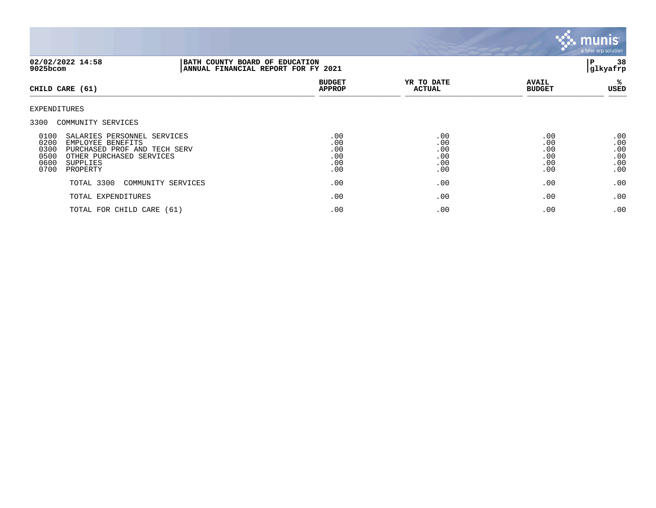

| 02/02/2022 14:58<br>9025bcom                                                                                                                                                                                    |                    | BATH COUNTY BOARD OF EDUCATION<br>ANNUAL FINANCIAL REPORT FOR FY 2021 |                                        |                                        |                                        |
|-----------------------------------------------------------------------------------------------------------------------------------------------------------------------------------------------------------------|--------------------|-----------------------------------------------------------------------|----------------------------------------|----------------------------------------|----------------------------------------|
| CHILD CARE (61)                                                                                                                                                                                                 |                    | <b>BUDGET</b><br><b>APPROP</b>                                        | YR TO DATE<br><b>ACTUAL</b>            | <b>AVAIL</b><br><b>BUDGET</b>          | %ะ<br>USED                             |
| EXPENDITURES                                                                                                                                                                                                    |                    |                                                                       |                                        |                                        |                                        |
| 3300 COMMUNITY SERVICES<br>0100<br>SALARIES PERSONNEL SERVICES<br>0200<br>EMPLOYEE BENEFITS<br>0300<br>PURCHASED PROF AND TECH SERV<br>0500<br>OTHER PURCHASED SERVICES<br>0600<br>SUPPLIES<br>0700<br>PROPERTY |                    | .00<br>.00<br>.00<br>.00<br>.00<br>.00                                | .00<br>.00<br>.00<br>.00<br>.00<br>.00 | .00<br>.00<br>.00<br>.00<br>.00<br>.00 | .00<br>.00<br>.00<br>.00<br>.00<br>.00 |
| TOTAL 3300                                                                                                                                                                                                      | COMMUNITY SERVICES | .00                                                                   | .00                                    | .00                                    | .00                                    |
| TOTAL EXPENDITURES                                                                                                                                                                                              |                    | .00                                                                   | .00                                    | .00                                    | .00                                    |
| TOTAL FOR CHILD CARE (61)                                                                                                                                                                                       |                    | .00                                                                   | .00                                    | .00                                    | .00                                    |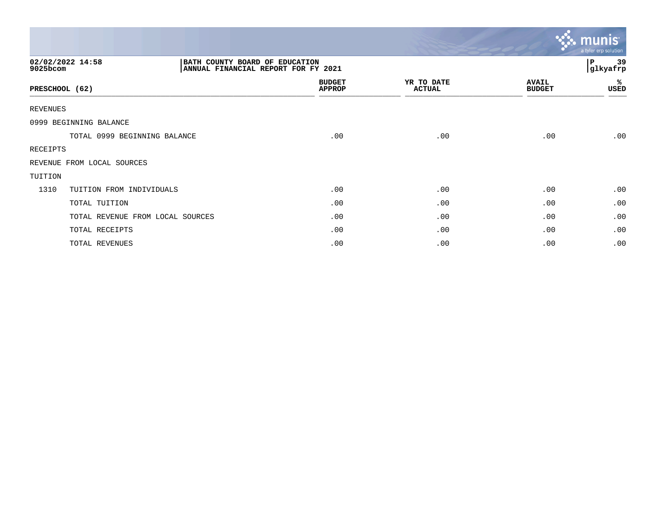|                              |                                                                       |                                |                             |                               | $\ddotsc$ munis<br>a tyler erp solution |
|------------------------------|-----------------------------------------------------------------------|--------------------------------|-----------------------------|-------------------------------|-----------------------------------------|
| 02/02/2022 14:58<br>9025bcom | BATH COUNTY BOARD OF EDUCATION<br>ANNUAL FINANCIAL REPORT FOR FY 2021 |                                |                             | 39<br>P<br>glkyafrp           |                                         |
| PRESCHOOL (62)               |                                                                       | <b>BUDGET</b><br><b>APPROP</b> | YR TO DATE<br><b>ACTUAL</b> | <b>AVAIL</b><br><b>BUDGET</b> | %<br>USED                               |
| <b>REVENUES</b>              |                                                                       |                                |                             |                               |                                         |
|                              | 0999 BEGINNING BALANCE                                                |                                |                             |                               |                                         |
|                              | TOTAL 0999 BEGINNING BALANCE                                          | .00                            | .00                         | .00                           | .00                                     |
| RECEIPTS                     |                                                                       |                                |                             |                               |                                         |
|                              | REVENUE FROM LOCAL SOURCES                                            |                                |                             |                               |                                         |
| TUITION                      |                                                                       |                                |                             |                               |                                         |
| 1310                         | TUITION FROM INDIVIDUALS                                              | .00                            | .00                         | .00                           | .00                                     |
|                              | TOTAL TUITION                                                         | .00                            | .00                         | .00                           | .00                                     |
|                              | TOTAL REVENUE FROM LOCAL SOURCES                                      | .00                            | .00                         | .00                           | .00                                     |
|                              | TOTAL RECEIPTS                                                        | .00                            | .00                         | .00                           | .00                                     |
|                              | TOTAL REVENUES                                                        | .00                            | .00                         | .00                           | .00                                     |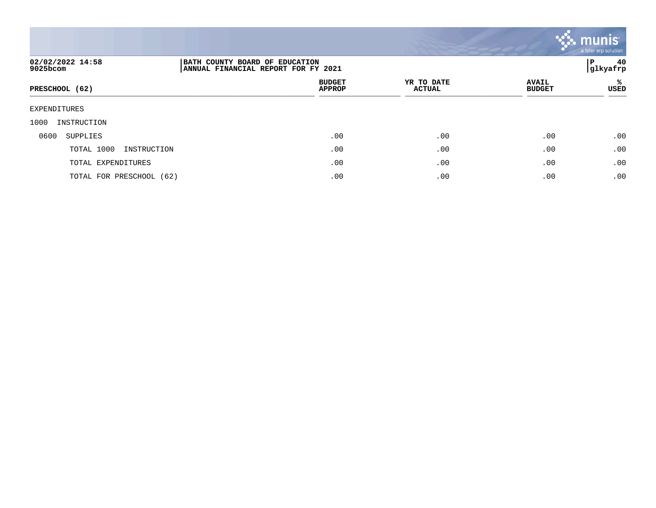

| 02/02/2022 14:58<br>9025bcom | BATH COUNTY BOARD OF EDUCATION<br>ANNUAL FINANCIAL REPORT FOR FY 2021 |                             |                               | 40<br>P<br> glkyafrp |
|------------------------------|-----------------------------------------------------------------------|-----------------------------|-------------------------------|----------------------|
| PRESCHOOL (62)               | <b>BUDGET</b><br><b>APPROP</b>                                        | YR TO DATE<br><b>ACTUAL</b> | <b>AVAIL</b><br><b>BUDGET</b> | %ะ<br>USED           |
| EXPENDITURES                 |                                                                       |                             |                               |                      |
| 1000<br>INSTRUCTION          |                                                                       |                             |                               |                      |
| 0600<br>SUPPLIES             | .00                                                                   | .00                         | .00                           | .00                  |
| TOTAL 1000<br>INSTRUCTION    | .00                                                                   | .00                         | .00                           | .00                  |
| TOTAL EXPENDITURES           | .00                                                                   | .00                         | .00                           | .00                  |
| TOTAL FOR PRESCHOOL (62)     | .00                                                                   | .00                         | .00                           | .00                  |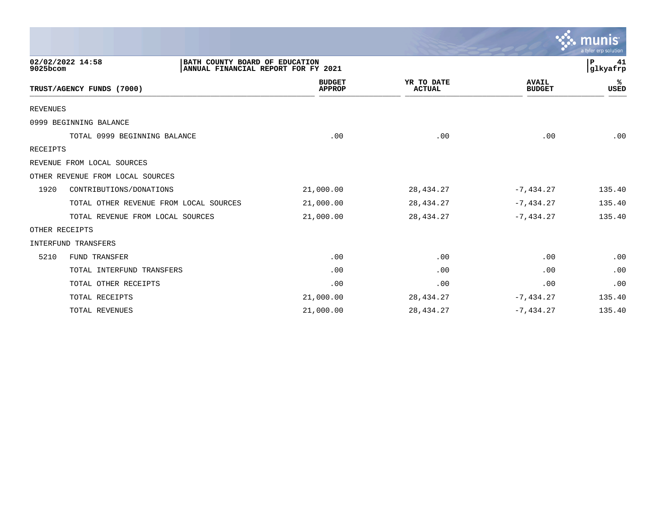|                 |                                                                                           |                                |                             |                               | munis<br>a tyler erp solution |
|-----------------|-------------------------------------------------------------------------------------------|--------------------------------|-----------------------------|-------------------------------|-------------------------------|
| 9025bcom        | 02/02/2022 14:58<br>BATH COUNTY BOARD OF EDUCATION<br>ANNUAL FINANCIAL REPORT FOR FY 2021 |                                |                             |                               | P<br>41<br>glkyafrp           |
|                 | TRUST/AGENCY FUNDS (7000)                                                                 | <b>BUDGET</b><br><b>APPROP</b> | YR TO DATE<br><b>ACTUAL</b> | <b>AVAIL</b><br><b>BUDGET</b> | ℁<br><b>USED</b>              |
| <b>REVENUES</b> |                                                                                           |                                |                             |                               |                               |
|                 | 0999 BEGINNING BALANCE                                                                    |                                |                             |                               |                               |
|                 | TOTAL 0999 BEGINNING BALANCE                                                              | .00                            | .00                         | .00                           | .00                           |
| RECEIPTS        |                                                                                           |                                |                             |                               |                               |
|                 | REVENUE FROM LOCAL SOURCES                                                                |                                |                             |                               |                               |
|                 | OTHER REVENUE FROM LOCAL SOURCES                                                          |                                |                             |                               |                               |
| 1920            | CONTRIBUTIONS/DONATIONS                                                                   | 21,000.00                      | 28, 434. 27                 | $-7,434.27$                   | 135.40                        |
|                 | TOTAL OTHER REVENUE FROM LOCAL SOURCES                                                    | 21,000.00                      | 28, 434. 27                 | $-7, 434.27$                  | 135.40                        |
|                 | TOTAL REVENUE FROM LOCAL SOURCES                                                          | 21,000.00                      | 28, 434. 27                 | $-7,434.27$                   | 135.40                        |
|                 | OTHER RECEIPTS                                                                            |                                |                             |                               |                               |
|                 | <b>INTERFUND TRANSFERS</b>                                                                |                                |                             |                               |                               |
| 5210            | FUND TRANSFER                                                                             | .00                            | .00                         | .00                           | .00                           |
|                 | TOTAL INTERFUND TRANSFERS                                                                 | .00                            | .00                         | .00                           | .00                           |
|                 | TOTAL OTHER RECEIPTS                                                                      | .00                            | .00                         | .00                           | .00                           |
|                 | TOTAL RECEIPTS                                                                            | 21,000.00                      | 28, 434. 27                 | $-7, 434.27$                  | 135.40                        |
|                 | TOTAL REVENUES                                                                            | 21,000.00                      | 28, 434. 27                 | $-7,434.27$                   | 135.40                        |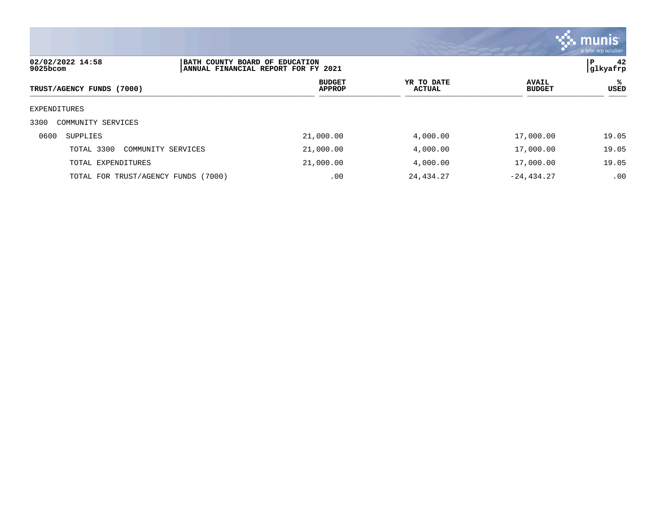

| 02/02/2022 14:58<br>9025bcom        | BATH COUNTY BOARD OF EDUCATION | ANNUAL FINANCIAL REPORT FOR FY 2021 |                      |                               | 42<br>P<br> glkyafrp |
|-------------------------------------|--------------------------------|-------------------------------------|----------------------|-------------------------------|----------------------|
| TRUST/AGENCY FUNDS (7000)           |                                | <b>BUDGET</b><br><b>APPROP</b>      | YR TO DATE<br>ACTUAL | <b>AVAIL</b><br><b>BUDGET</b> | %<br>USED            |
| EXPENDITURES                        |                                |                                     |                      |                               |                      |
| 3300<br>COMMUNITY SERVICES          |                                |                                     |                      |                               |                      |
| 0600<br>SUPPLIES                    |                                | 21,000.00                           | 4,000.00             | 17,000.00                     | 19.05                |
| TOTAL 3300                          | COMMUNITY SERVICES             | 21,000.00                           | 4,000.00             | 17,000.00                     | 19.05                |
| TOTAL EXPENDITURES                  |                                | 21,000.00                           | 4,000.00             | 17,000.00                     | 19.05                |
| TOTAL FOR TRUST/AGENCY FUNDS (7000) |                                | .00                                 | 24,434.27            | $-24, 434.27$                 | .00                  |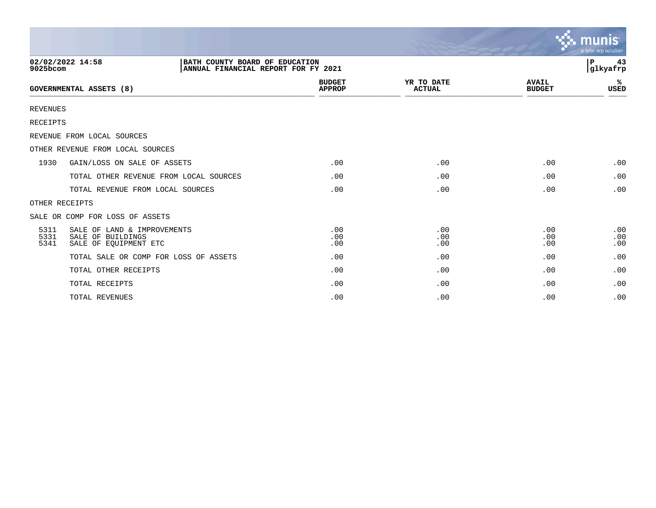|                      |                                                                           |                                                                       |                                |                             |                               | $\sim$ munis<br>a tyler erp solution |
|----------------------|---------------------------------------------------------------------------|-----------------------------------------------------------------------|--------------------------------|-----------------------------|-------------------------------|--------------------------------------|
| 9025bcom             | 02/02/2022 14:58                                                          | BATH COUNTY BOARD OF EDUCATION<br>ANNUAL FINANCIAL REPORT FOR FY 2021 |                                |                             |                               | 43<br>ΙP<br> glkyafrp                |
|                      | <b>GOVERNMENTAL ASSETS (8)</b>                                            |                                                                       | <b>BUDGET</b><br><b>APPROP</b> | YR TO DATE<br><b>ACTUAL</b> | <b>AVAIL</b><br><b>BUDGET</b> | %<br><b>USED</b>                     |
| <b>REVENUES</b>      |                                                                           |                                                                       |                                |                             |                               |                                      |
| <b>RECEIPTS</b>      |                                                                           |                                                                       |                                |                             |                               |                                      |
|                      | REVENUE FROM LOCAL SOURCES                                                |                                                                       |                                |                             |                               |                                      |
|                      | OTHER REVENUE FROM LOCAL SOURCES                                          |                                                                       |                                |                             |                               |                                      |
| 1930                 | GAIN/LOSS ON SALE OF ASSETS                                               |                                                                       | .00                            | .00                         | .00                           | .00                                  |
|                      | TOTAL OTHER REVENUE FROM LOCAL SOURCES                                    |                                                                       | .00                            | .00                         | .00                           | .00                                  |
|                      | TOTAL REVENUE FROM LOCAL SOURCES                                          |                                                                       | .00                            | .00                         | .00                           | .00                                  |
|                      | OTHER RECEIPTS                                                            |                                                                       |                                |                             |                               |                                      |
|                      | SALE OR COMP FOR LOSS OF ASSETS                                           |                                                                       |                                |                             |                               |                                      |
| 5311<br>5331<br>5341 | SALE OF LAND & IMPROVEMENTS<br>SALE OF BUILDINGS<br>SALE OF EQUIPMENT ETC |                                                                       | .00<br>.00<br>.00              | .00<br>.00<br>.00           | .00<br>.00<br>.00             | .00<br>.00<br>.00                    |
|                      | TOTAL SALE OR COMP FOR LOSS OF ASSETS                                     |                                                                       | .00                            | .00                         | .00                           | .00                                  |
|                      | TOTAL OTHER RECEIPTS                                                      |                                                                       | .00                            | .00                         | .00                           | .00                                  |
|                      | TOTAL RECEIPTS                                                            |                                                                       | .00                            | .00                         | .00                           | .00                                  |
|                      | TOTAL REVENUES                                                            |                                                                       | .00                            | .00                         | .00                           | .00                                  |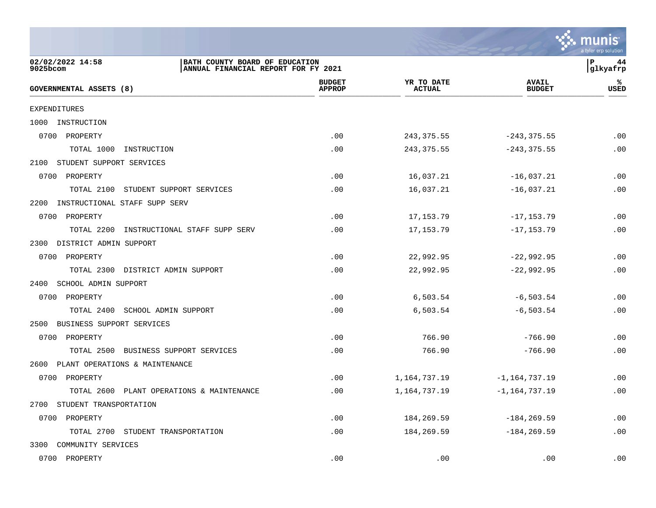

| 02/02/2022 14:58<br>BATH COUNTY BOARD OF EDUCATION<br>ANNUAL FINANCIAL REPORT FOR FY 2021<br>9025bcom |                                |                             |                               | ΙP<br>44<br> glkyafrp |
|-------------------------------------------------------------------------------------------------------|--------------------------------|-----------------------------|-------------------------------|-----------------------|
| <b>GOVERNMENTAL ASSETS (8)</b>                                                                        | <b>BUDGET</b><br><b>APPROP</b> | YR TO DATE<br><b>ACTUAL</b> | <b>AVAIL</b><br><b>BUDGET</b> | ℁<br>USED             |
| EXPENDITURES                                                                                          |                                |                             |                               |                       |
| INSTRUCTION<br>1000                                                                                   |                                |                             |                               |                       |
| 0700 PROPERTY                                                                                         | .00                            | 243, 375.55                 | $-243, 375.55$                | .00                   |
| TOTAL 1000<br>INSTRUCTION                                                                             | .00                            | 243, 375.55                 | $-243, 375.55$                | .00                   |
| 2100 STUDENT SUPPORT SERVICES                                                                         |                                |                             |                               |                       |
| 0700 PROPERTY                                                                                         | .00                            | 16,037.21                   | $-16,037.21$                  | .00                   |
| TOTAL 2100<br>STUDENT SUPPORT SERVICES                                                                | .00                            | 16,037.21                   | $-16,037.21$                  | .00                   |
| INSTRUCTIONAL STAFF SUPP SERV<br>2200                                                                 |                                |                             |                               |                       |
| 0700 PROPERTY                                                                                         | .00                            | 17, 153. 79                 | $-17, 153.79$                 | .00                   |
| TOTAL 2200<br>INSTRUCTIONAL STAFF SUPP SERV                                                           | .00                            | 17, 153. 79                 | $-17, 153.79$                 | .00                   |
| DISTRICT ADMIN SUPPORT<br>2300                                                                        |                                |                             |                               |                       |
| 0700 PROPERTY                                                                                         | .00                            | 22,992.95                   | $-22,992.95$                  | .00                   |
| TOTAL 2300 DISTRICT ADMIN SUPPORT                                                                     | .00                            | 22,992.95                   | $-22,992.95$                  | .00                   |
| SCHOOL ADMIN SUPPORT<br>2400                                                                          |                                |                             |                               |                       |
| 0700 PROPERTY                                                                                         | .00                            | 6,503.54                    | $-6, 503.54$                  | .00                   |
| TOTAL 2400 SCHOOL ADMIN SUPPORT                                                                       | .00                            | 6,503.54                    | $-6, 503.54$                  | .00                   |
| BUSINESS SUPPORT SERVICES<br>2500                                                                     |                                |                             |                               |                       |
| 0700 PROPERTY                                                                                         | .00                            | 766.90                      | $-766.90$                     | .00                   |
| TOTAL 2500 BUSINESS SUPPORT SERVICES                                                                  | .00                            | 766.90                      | $-766.90$                     | .00                   |
| PLANT OPERATIONS & MAINTENANCE<br>2600                                                                |                                |                             |                               |                       |
| 0700 PROPERTY                                                                                         | .00                            | 1,164,737.19                | $-1, 164, 737.19$             | .00                   |
| TOTAL 2600 PLANT OPERATIONS & MAINTENANCE                                                             | .00                            | 1,164,737.19                | $-1, 164, 737.19$             | .00                   |
| STUDENT TRANSPORTATION<br>2700                                                                        |                                |                             |                               |                       |
| 0700 PROPERTY                                                                                         | .00                            | 184,269.59                  | $-184, 269.59$                | .00                   |
| TOTAL 2700<br>STUDENT TRANSPORTATION                                                                  | .00                            | 184,269.59                  | $-184, 269.59$                | .00                   |
| 3300<br>COMMUNITY SERVICES                                                                            |                                |                             |                               |                       |
| 0700 PROPERTY                                                                                         | .00                            | .00                         | .00                           | .00                   |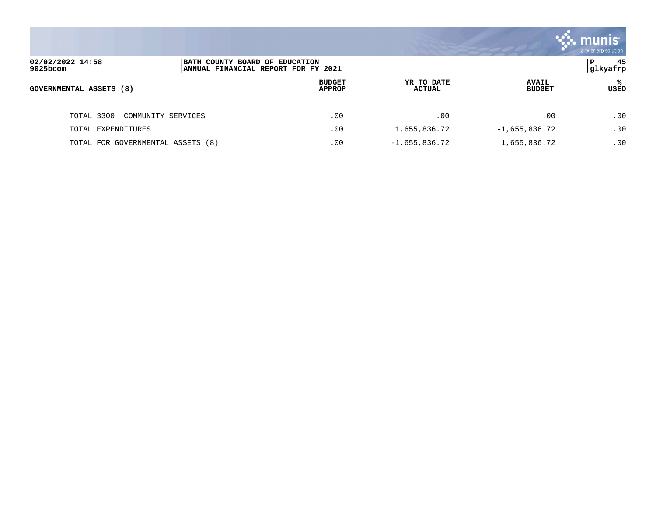|                                   |                                                                        |                                |                             |                               | a tyler erp solution |
|-----------------------------------|------------------------------------------------------------------------|--------------------------------|-----------------------------|-------------------------------|----------------------|
| 02/02/2022 14:58<br>$9025$ bcom   | BATH COUNTY BOARD OF EDUCATION<br> ANNUAL FINANCIAL REPORT FOR FY 2021 |                                |                             |                               | 45<br>P<br> glkyafrp |
| <b>GOVERNMENTAL ASSETS (8)</b>    |                                                                        | <b>BUDGET</b><br><b>APPROP</b> | YR TO DATE<br><b>ACTUAL</b> | <b>AVAIL</b><br><b>BUDGET</b> | ℁<br>USED            |
| TOTAL 3300                        | COMMUNITY SERVICES                                                     | .00                            | .00                         | .00                           | .00                  |
| TOTAL EXPENDITURES                |                                                                        | .00                            | 1,655,836.72                | $-1,655,836.72$               | .00                  |
| TOTAL FOR GOVERNMENTAL ASSETS (8) |                                                                        | .00                            | $-1,655,836.72$             | 1,655,836.72                  | .00                  |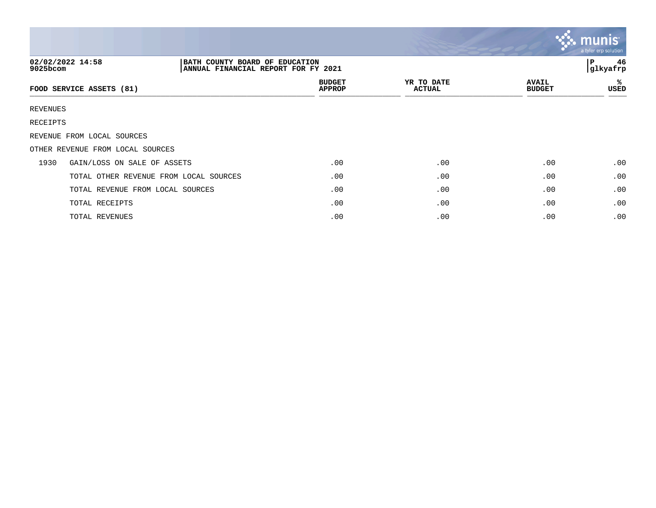|          |                                                                                           |                                |                             |                               | $\mathbb{C}\mathbb{C}$ munis $\mathbb{C}$<br>a tyler erp solution |
|----------|-------------------------------------------------------------------------------------------|--------------------------------|-----------------------------|-------------------------------|-------------------------------------------------------------------|
| 9025bcom | 02/02/2022 14:58<br>BATH COUNTY BOARD OF EDUCATION<br>ANNUAL FINANCIAL REPORT FOR FY 2021 |                                |                             |                               | 46<br>P<br>glkyafrp                                               |
|          | FOOD SERVICE ASSETS (81)                                                                  | <b>BUDGET</b><br><b>APPROP</b> | YR TO DATE<br><b>ACTUAL</b> | <b>AVAIL</b><br><b>BUDGET</b> | ℁<br>USED                                                         |
| REVENUES |                                                                                           |                                |                             |                               |                                                                   |
| RECEIPTS |                                                                                           |                                |                             |                               |                                                                   |
|          | REVENUE FROM LOCAL SOURCES                                                                |                                |                             |                               |                                                                   |
|          | OTHER REVENUE FROM LOCAL SOURCES                                                          |                                |                             |                               |                                                                   |
| 1930     | GAIN/LOSS ON SALE OF ASSETS                                                               | .00                            | .00                         | .00                           | .00                                                               |
|          | TOTAL OTHER REVENUE FROM LOCAL SOURCES                                                    | .00                            | .00                         | .00                           | .00                                                               |
|          | TOTAL REVENUE FROM LOCAL SOURCES                                                          | .00                            | .00                         | .00                           | .00                                                               |
|          | TOTAL RECEIPTS                                                                            | .00                            | .00                         | .00                           | .00                                                               |
|          | TOTAL REVENUES                                                                            | .00                            | .00                         | .00                           | .00                                                               |

and the contract of the contract of the contract of the contract of the contract of the contract of the contract of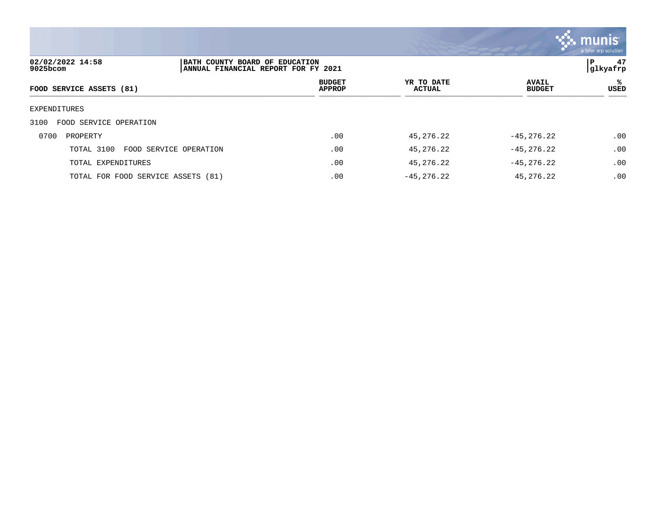

| 02/02/2022 14:58<br>9025bcom       |                        | BATH COUNTY BOARD OF EDUCATION<br>ANNUAL FINANCIAL REPORT FOR FY 2021 |                             |                               |           |  |
|------------------------------------|------------------------|-----------------------------------------------------------------------|-----------------------------|-------------------------------|-----------|--|
| FOOD SERVICE ASSETS (81)           |                        | <b>BUDGET</b><br><b>APPROP</b>                                        | YR TO DATE<br><b>ACTUAL</b> | <b>AVAIL</b><br><b>BUDGET</b> | ℁<br>USED |  |
| EXPENDITURES                       |                        |                                                                       |                             |                               |           |  |
| FOOD SERVICE OPERATION<br>3100     |                        |                                                                       |                             |                               |           |  |
| 0700<br>PROPERTY                   |                        | .00                                                                   | 45,276.22                   | $-45, 276.22$                 | .00       |  |
| TOTAL 3100                         | FOOD SERVICE OPERATION | .00                                                                   | 45,276.22                   | $-45, 276.22$                 | .00       |  |
| TOTAL EXPENDITURES                 |                        | .00                                                                   | 45,276.22                   | $-45, 276.22$                 | .00       |  |
| TOTAL FOR FOOD SERVICE ASSETS (81) |                        | .00                                                                   | $-45, 276.22$               | 45,276.22                     | .00       |  |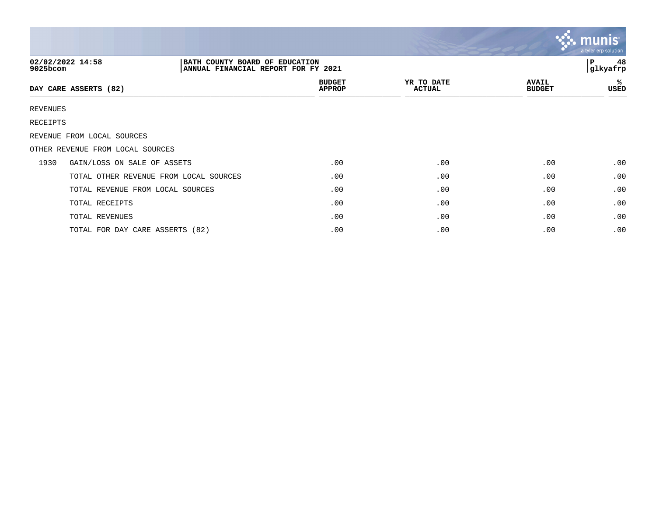|          |                                                                                           |                                |                             |                               | $\mathbb{C}$ . munist<br>a tyler erp solution |
|----------|-------------------------------------------------------------------------------------------|--------------------------------|-----------------------------|-------------------------------|-----------------------------------------------|
| 9025bcom | 02/02/2022 14:58<br>BATH COUNTY BOARD OF EDUCATION<br>ANNUAL FINANCIAL REPORT FOR FY 2021 |                                |                             |                               | 48<br>l P<br> glkyafrp                        |
|          | DAY CARE ASSERTS (82)                                                                     | <b>BUDGET</b><br><b>APPROP</b> | YR TO DATE<br><b>ACTUAL</b> | <b>AVAIL</b><br><b>BUDGET</b> | %<br>USED                                     |
| REVENUES |                                                                                           |                                |                             |                               |                                               |
| RECEIPTS |                                                                                           |                                |                             |                               |                                               |
|          | REVENUE FROM LOCAL SOURCES                                                                |                                |                             |                               |                                               |
|          | OTHER REVENUE FROM LOCAL SOURCES                                                          |                                |                             |                               |                                               |
| 1930     | GAIN/LOSS ON SALE OF ASSETS                                                               | .00                            | .00                         | .00                           | .00                                           |
|          | TOTAL OTHER REVENUE FROM LOCAL SOURCES                                                    | .00                            | .00                         | .00                           | .00                                           |
|          | TOTAL REVENUE FROM LOCAL SOURCES                                                          | .00                            | .00                         | .00                           | .00                                           |
|          | TOTAL RECEIPTS                                                                            | .00                            | .00                         | .00                           | .00                                           |
|          | TOTAL REVENUES                                                                            | .00                            | .00                         | .00                           | .00                                           |
|          | TOTAL FOR DAY CARE ASSERTS (82)                                                           | .00                            | .00                         | .00                           | .00                                           |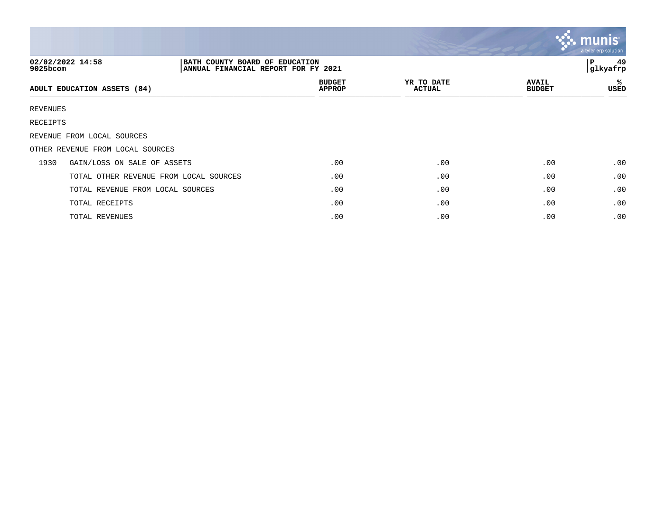|          |                                                                                           |                                |                             |                               | <b>W. munis</b><br>a tyler erp solution |
|----------|-------------------------------------------------------------------------------------------|--------------------------------|-----------------------------|-------------------------------|-----------------------------------------|
| 9025bcom | 02/02/2022 14:58<br>BATH COUNTY BOARD OF EDUCATION<br>ANNUAL FINANCIAL REPORT FOR FY 2021 |                                |                             |                               | 49<br>l P<br>glkyafrp                   |
|          | ADULT EDUCATION ASSETS (84)                                                               | <b>BUDGET</b><br><b>APPROP</b> | YR TO DATE<br><b>ACTUAL</b> | <b>AVAIL</b><br><b>BUDGET</b> | ℁<br>USED                               |
| REVENUES |                                                                                           |                                |                             |                               |                                         |
| RECEIPTS |                                                                                           |                                |                             |                               |                                         |
|          | REVENUE FROM LOCAL SOURCES                                                                |                                |                             |                               |                                         |
|          | OTHER REVENUE FROM LOCAL SOURCES                                                          |                                |                             |                               |                                         |
| 1930     | GAIN/LOSS ON SALE OF ASSETS                                                               | .00                            | .00                         | .00                           | .00                                     |
|          | TOTAL OTHER REVENUE FROM LOCAL SOURCES                                                    | .00                            | .00                         | .00                           | .00                                     |
|          | TOTAL REVENUE FROM LOCAL SOURCES                                                          | .00                            | .00                         | .00                           | .00                                     |
|          | TOTAL RECEIPTS                                                                            | .00                            | .00                         | .00                           | .00                                     |
|          | TOTAL REVENUES                                                                            | .00                            | .00                         | .00                           | .00                                     |

 $\sim$   $\sim$   $\sim$   $\sim$   $\sim$   $\sim$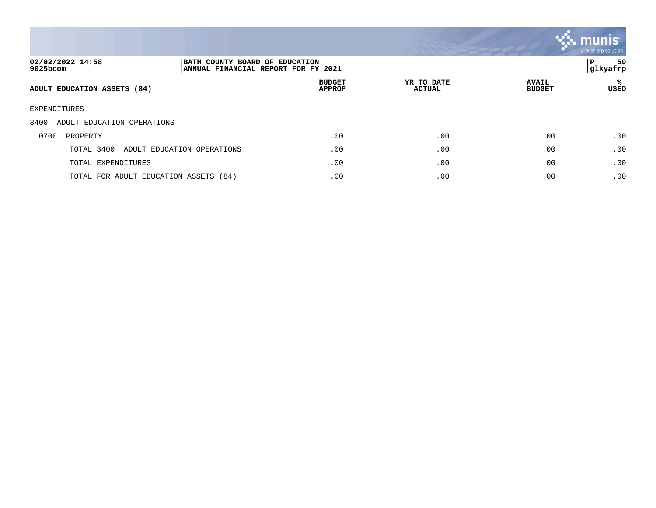

| 02/02/2022 14:58<br>9025bcom          | BATH COUNTY BOARD OF EDUCATION<br>ANNUAL FINANCIAL REPORT FOR FY 2021 |                                |                             |                               | 50<br>P<br> glkyafrp |
|---------------------------------------|-----------------------------------------------------------------------|--------------------------------|-----------------------------|-------------------------------|----------------------|
| ADULT EDUCATION ASSETS (84)           |                                                                       | <b>BUDGET</b><br><b>APPROP</b> | YR TO DATE<br><b>ACTUAL</b> | <b>AVAIL</b><br><b>BUDGET</b> | ႜ<br>USED            |
| EXPENDITURES                          |                                                                       |                                |                             |                               |                      |
| 3400<br>ADULT EDUCATION OPERATIONS    |                                                                       |                                |                             |                               |                      |
| 0700<br>PROPERTY                      |                                                                       | .00                            | .00                         | .00                           | .00                  |
| TOTAL 3400                            | ADULT EDUCATION OPERATIONS                                            | .00                            | .00                         | .00                           | .00                  |
| TOTAL EXPENDITURES                    |                                                                       | .00                            | .00                         | .00                           | .00                  |
| TOTAL FOR ADULT EDUCATION ASSETS (84) |                                                                       | .00                            | .00                         | .00                           | .00                  |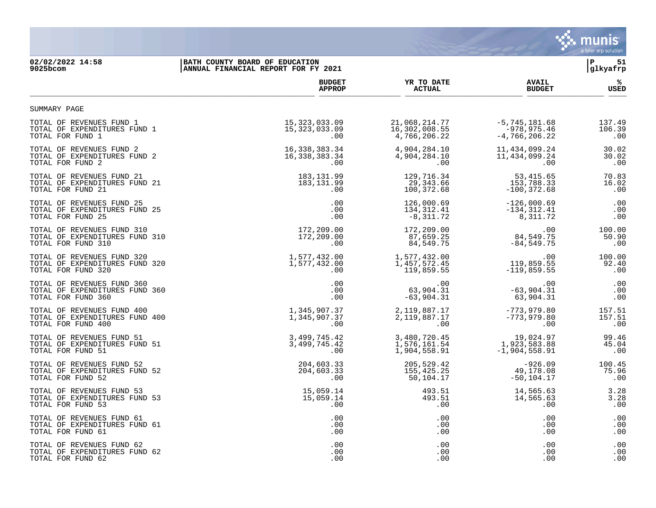

## **02/02/2022 14:58 |BATH COUNTY BOARD OF EDUCATION |P 51 9025bcom |ANNUAL FINANCIAL REPORT FOR FY 2021 |glkyafrp**

|                                | <b>BUDGET</b>   | YR TO DATE      | <b>AVAIL</b>      | ℁           |
|--------------------------------|-----------------|-----------------|-------------------|-------------|
|                                | <b>APPROP</b>   | <b>ACTUAL</b>   | <b>BUDGET</b>     | <b>USED</b> |
| SUMMARY PAGE                   |                 |                 |                   |             |
| TOTAL OF REVENUES FUND 1       | 15, 323, 033.09 | 21,068,214.77   | $-5, 745, 181.68$ | 137.49      |
| TOTAL OF EXPENDITURES FUND 1   | 15, 323, 033.09 | 16,302,008.55   | -978,975.46       | 106.39      |
| TOTAL FOR FUND 1               | $.00 \ \rm$     | 4,766,206.22    | $-4,766,206.22$   | .00         |
| TOTAL OF REVENUES FUND 2       | 16,338,383.34   | 4,904,284.10    | 11,434,099.24     | 30.02       |
| TOTAL OF EXPENDITURES FUND 2   | 16,338,383.34   | 4,904,284.10    | 11, 434, 099. 24  | 30.02       |
| TOTAL FOR FUND 2               | .00             | $.00 \,$        | .00               | .00         |
| TOTAL OF REVENUES FUND 21      | 183, 131.99     | 129,716.34      | 53,415.65         | 70.83       |
| TOTAL OF EXPENDITURES FUND 21  | 183, 131.99     | 29,343.66       | 153,788.33        | 16.02       |
| TOTAL FOR FUND 21              | .00             | 100,372.68      | $-100, 372.68$    | .00         |
| TOTAL OF REVENUES FUND 25      | $.00 \,$        | 126,000.69      | $-126,000.69$     | .00         |
| TOTAL OF EXPENDITURES FUND 25  | .00             | 134, 312.41     | $-134, 312.41$    | .00         |
| TOTAL FOR FUND 25              | $.00 \,$        | $-8,311.72$     | 8,311.72          | .00         |
| TOTAL OF REVENUES FUND 310     | 172,209.00      | 172,209.00      | .00               | 100.00      |
| TOTAL OF EXPENDITURES FUND 310 | 172,209.00      | 87,659.25       | 84,549.75         | 50.90       |
| TOTAL FOR FUND 310             | .00             | 84,549.75       | $-84, 549.75$     | .00         |
| TOTAL OF REVENUES FUND 320     | 1,577,432.00    | 1,577,432.00    | .00               | 100.00      |
| TOTAL OF EXPENDITURES FUND 320 | 1,577,432.00    | 1,457,572.45    | 119,859.55        | 92.40       |
| TOTAL FOR FUND 320             | $.00 \,$        | 119,859.55      | $-119,859.55$     | .00         |
| TOTAL OF REVENUES FUND 360     | $.00 \ \rm$     | $.00 \,$        | .00               | .00         |
| TOTAL OF EXPENDITURES FUND 360 | .00             | 63,904.31       | $-63,904.31$      | .00         |
| TOTAL FOR FUND 360             | .00             | $-63,904.31$    | 63,904.31         | .00         |
| TOTAL OF REVENUES FUND 400     | 1,345,907.37    | 2, 119, 887. 17 | $-773,979.80$     | 157.51      |
| TOTAL OF EXPENDITURES FUND 400 | 1,345,907.37    | 2, 119, 887. 17 | $-773,979.80$     | 157.51      |
| TOTAL FOR FUND 400             | .00             | $.00 \,$        | .00               | .00         |
| TOTAL OF REVENUES FUND 51      | 3,499,745.42    | 3,480,720.45    | 19,024.97         | 99.46       |
| TOTAL OF EXPENDITURES FUND 51  | 3,499,745.42    | 1,576,161.54    | 1,923,583.88      | 45.04       |
| TOTAL FOR FUND 51              | .00             | 1,904,558.91    | $-1,904,558.91$   | .00         |
| TOTAL OF REVENUES FUND 52      | 204,603.33      | 205,529.42      | $-926.09$         | 100.45      |
| TOTAL OF EXPENDITURES FUND 52  | 204,603.33      | 155,425.25      | 49,178.08         | 75.96       |
| TOTAL FOR FUND 52              | .00             | 50,104.17       | $-50, 104.17$     | .00         |
| TOTAL OF REVENUES FUND 53      | 15,059.14       | 493.51          | 14,565.63         | 3.28        |
| TOTAL OF EXPENDITURES FUND 53  | 15,059.14       | 493.51          | 14,565.63         | 3.28        |
| TOTAL FOR FUND 53              | $.00 \ \rm$     | $.00 \,$        | .00               | .00         |
| TOTAL OF REVENUES FUND 61      | .00             | .00             | .00               | .00         |
| TOTAL OF EXPENDITURES FUND 61  | .00             | .00             | .00               | .00         |
| TOTAL FOR FUND 61              | .00             | .00.            | .00               | .00         |
| TOTAL OF REVENUES FUND 62      | .00             | .00             | .00               | .00         |
| TOTAL OF EXPENDITURES FUND 62  | $.00 \,$        | .00             | .00               | .00         |
| TOTAL FOR FUND 62              | .00             | .00             | .00               | .00         |